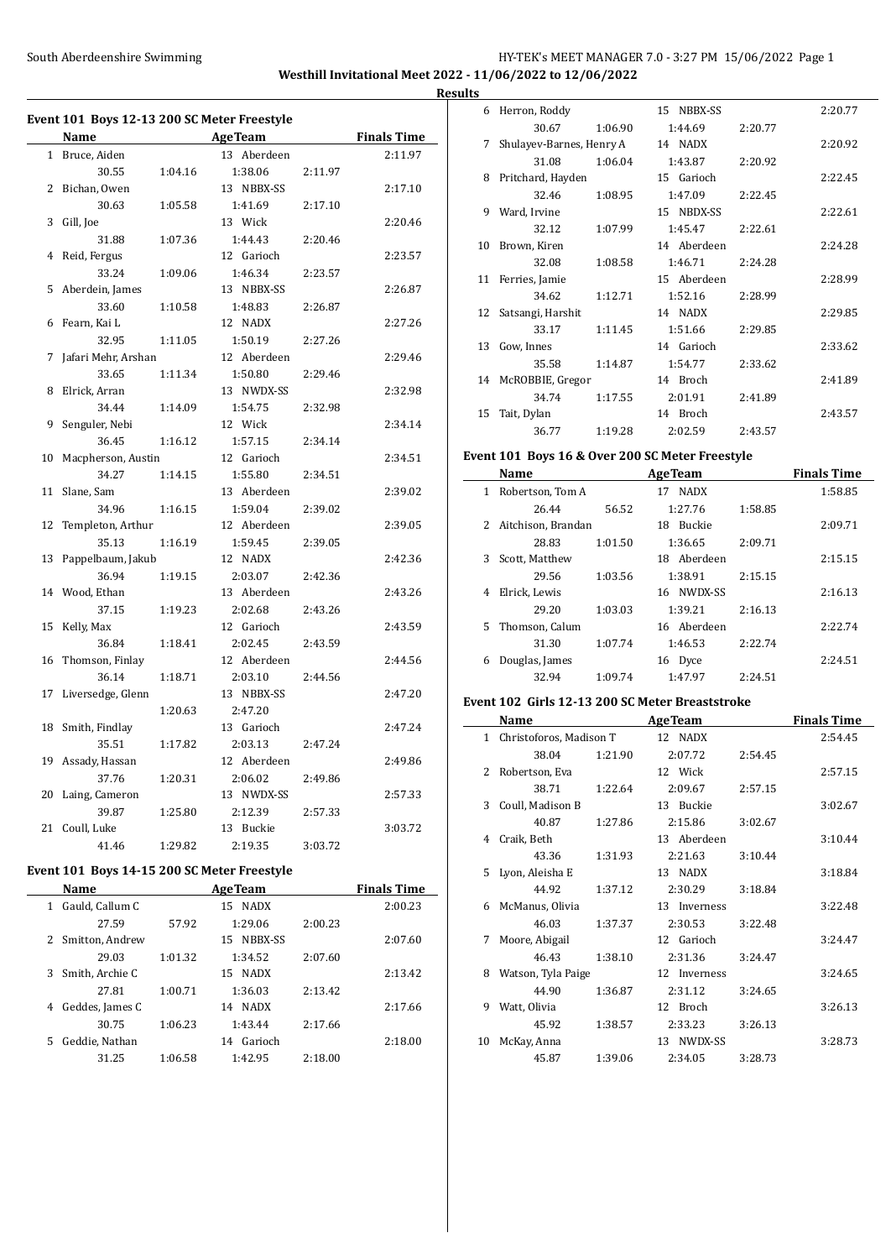### South Aberdeenshire Swimming HY-TEK's MEET MANAGER 7.0 - 3:27 PM 15/06/2022 Page 1 **Westhill Invitational Meet 2022 - 11/06/2022 to 12/06/2022 Results**

|              | Event 101  Boys 12-13 200 SC Meter Freestyle<br>Name |         | <b>AgeTeam</b> |         | <b>Finals Time</b> |
|--------------|------------------------------------------------------|---------|----------------|---------|--------------------|
| $\mathbf{1}$ |                                                      |         | 13 Aberdeen    |         | 2:11.97            |
|              | Bruce, Aiden                                         |         |                |         |                    |
|              | 30.55                                                | 1:04.16 | 1:38.06        | 2:11.97 |                    |
| 2            | Bichan, Owen                                         |         | 13 NBBX-SS     |         | 2:17.10            |
|              | 30.63                                                | 1:05.58 | 1:41.69        | 2:17.10 |                    |
| 3            | Gill, Joe                                            |         | 13 Wick        |         | 2:20.46            |
|              | 31.88                                                | 1:07.36 | 1:44.43        | 2:20.46 |                    |
| 4            | Reid, Fergus                                         |         | 12 Garioch     |         | 2:23.57            |
|              | 33.24                                                | 1:09.06 | 1:46.34        | 2:23.57 |                    |
| 5            | Aberdein, James                                      |         | 13 NBBX-SS     |         | 2:26.87            |
|              | 33.60                                                | 1:10.58 | 1:48.83        | 2:26.87 |                    |
| 6            | Fearn, Kai L                                         |         | 12 NADX        |         | 2:27.26            |
|              | 32.95                                                | 1:11.05 | 1:50.19        | 2:27.26 |                    |
| 7            | Jafari Mehr, Arshan                                  |         | 12 Aberdeen    |         | 2:29.46            |
|              | 33.65                                                | 1:11.34 | 1:50.80        | 2:29.46 |                    |
| 8            | Elrick, Arran                                        |         | 13 NWDX-SS     |         | 2:32.98            |
|              | 34.44                                                | 1:14.09 | 1:54.75        | 2:32.98 |                    |
| 9            | Senguler, Nebi                                       |         | 12 Wick        |         | 2:34.14            |
|              | 36.45                                                | 1:16.12 | 1:57.15        | 2:34.14 |                    |
| 10           | Macpherson, Austin                                   |         | 12 Garioch     |         | 2:34.51            |
|              | 34.27                                                | 1:14.15 | 1:55.80        | 2:34.51 |                    |
| 11           | Slane, Sam                                           |         | 13 Aberdeen    |         | 2:39.02            |
|              | 34.96                                                | 1:16.15 | 1:59.04        | 2:39.02 |                    |
| 12           | Templeton, Arthur                                    |         | 12 Aberdeen    |         | 2:39.05            |
|              | 35.13                                                | 1:16.19 | 1:59.45        | 2:39.05 |                    |
| 13           | Pappelbaum, Jakub                                    |         | 12 NADX        |         | 2:42.36            |
|              | 36.94                                                | 1:19.15 | 2:03.07        | 2:42.36 |                    |
| 14           | Wood. Ethan                                          |         | 13 Aberdeen    |         | 2:43.26            |
|              | 37.15                                                | 1:19.23 | 2:02.68        | 2:43.26 |                    |
| 15           | Kelly, Max                                           |         | 12 Garioch     |         | 2:43.59            |
|              | 36.84                                                | 1:18.41 | 2:02.45        | 2:43.59 |                    |
| 16           | Thomson, Finlay                                      |         | 12 Aberdeen    |         | 2:44.56            |
|              | 36.14                                                | 1:18.71 | 2:03.10        | 2:44.56 |                    |
| 17           | Liversedge, Glenn                                    |         | 13 NBBX-SS     |         | 2:47.20            |
|              |                                                      | 1:20.63 | 2:47.20        |         |                    |
| 18           |                                                      |         | 13 Garioch     |         | 2:47.24            |
|              | Smith, Findlay                                       |         |                |         |                    |
|              | 35.51                                                | 1:17.82 | 2:03.13        | 2:47.24 |                    |
| 19           | Assady, Hassan                                       |         | 12 Aberdeen    |         | 2:49.86            |
|              | 37.76                                                | 1:20.31 | 2:06.02        | 2:49.86 |                    |
| 20           | Laing, Cameron                                       |         | 13 NWDX-SS     |         | 2:57.33            |
|              | 39.87                                                | 1:25.80 | 2:12.39        | 2:57.33 |                    |
| 21           | Coull, Luke                                          |         | 13 Buckie      |         | 3:03.72            |
|              | 41.46                                                | 1:29.82 | 2:19.35        | 3:03.72 |                    |
|              |                                                      |         |                |         |                    |

# **Event 101 Boys 14-15 200 SC Meter Freestyle**

|    | Name            |         | <b>AgeTeam</b>    | <b>Finals Time</b> |         |
|----|-----------------|---------|-------------------|--------------------|---------|
| 1  | Gauld, Callum C |         | <b>NADX</b><br>15 |                    | 2:00.23 |
|    | 27.59           | 57.92   | 1:29.06           | 2:00.23            |         |
| 2  | Smitton, Andrew |         | NBBX-SS<br>15.    |                    | 2:07.60 |
|    | 29.03           | 1:01.32 | 1:34.52           | 2:07.60            |         |
| 3  | Smith, Archie C |         | 15 NADX           |                    | 2:13.42 |
|    | 27.81           | 1:00.71 | 1:36.03           | 2:13.42            |         |
| 4  | Geddes, James C |         | 14 NADX           |                    | 2:17.66 |
|    | 30.75           | 1:06.23 | 1:43.44           | 2:17.66            |         |
| 5. | Geddie, Nathan  |         | Garioch<br>14     |                    | 2:18.00 |
|    | 31.25           | 1:06.58 | 1:42.95           | 2:18.00            |         |
|    |                 |         |                   |                    |         |

| ıэ |                          |         |             |         |         |
|----|--------------------------|---------|-------------|---------|---------|
| 6  | Herron, Roddy            |         | 15 NBBX-SS  |         | 2:20.77 |
|    | 30.67                    | 1:06.90 | 1:44.69     | 2:20.77 |         |
| 7  | Shulayev-Barnes, Henry A |         | 14 NADX     |         | 2:20.92 |
|    | 31.08                    | 1:06.04 | 1:43.87     | 2:20.92 |         |
| 8  | Pritchard, Hayden        |         | 15 Garioch  |         | 2:22.45 |
|    | 32.46                    | 1:08.95 | 1:47.09     | 2:22.45 |         |
| 9  | Ward, Irvine             |         | 15 NBDX-SS  |         | 2:22.61 |
|    | 32.12                    | 1:07.99 | 1:45.47     | 2:22.61 |         |
| 10 | Brown, Kiren             |         | 14 Aberdeen |         | 2:24.28 |
|    | 32.08                    | 1:08.58 | 1:46.71     | 2:24.28 |         |
| 11 | Ferries, Jamie           |         | 15 Aberdeen |         | 2:28.99 |
|    | 34.62                    | 1:12.71 | 1:52.16     | 2:28.99 |         |
| 12 | Satsangi, Harshit        |         | 14 NADX     |         | 2:29.85 |
|    | 33.17                    | 1:11.45 | 1:51.66     | 2:29.85 |         |
| 13 | Gow, Innes               |         | 14 Garioch  |         | 2:33.62 |
|    | 35.58                    | 1:14.87 | 1:54.77     | 2:33.62 |         |
| 14 | McROBBIE, Gregor         |         | 14 Broch    |         | 2:41.89 |
|    | 34.74                    | 1:17.55 | 2:01.91     | 2:41.89 |         |
| 15 | Tait, Dylan              |         | 14 Broch    |         | 2:43.57 |
|    | 36.77                    | 1:19.28 | 2:02.59     | 2:43.57 |         |

#### **Event 101 Boys 16 & Over 200 SC Meter Freestyle**

|    | Name               |         | <b>AgeTeam</b> |         | <b>Finals Time</b> |
|----|--------------------|---------|----------------|---------|--------------------|
| 1  | Robertson, Tom A   |         | 17 NADX        |         | 1:58.85            |
|    | 26.44              | 56.52   | 1:27.76        | 1:58.85 |                    |
| 2  | Aitchison, Brandan |         | 18 Buckie      |         | 2:09.71            |
|    | 28.83              | 1:01.50 | 1:36.65        | 2:09.71 |                    |
| 3  | Scott, Matthew     |         | 18 Aberdeen    |         | 2:15.15            |
|    | 29.56              | 1:03.56 | 1:38.91        | 2:15.15 |                    |
| 4  | Elrick, Lewis      |         | 16 NWDX-SS     |         | 2:16.13            |
|    | 29.20              | 1:03.03 | 1:39.21        | 2:16.13 |                    |
| 5. | Thomson, Calum     |         | 16 Aberdeen    |         | 2:22.74            |
|    | 31.30              | 1:07.74 | 1:46.53        | 2:22.74 |                    |
| 6  | Douglas, James     |         | 16 Dyce        |         | 2:24.51            |
|    | 32.94              | 1:09.74 | 1:47.97        | 2:24.51 |                    |
|    |                    |         |                |         |                    |

### **Event 102 Girls 12-13 200 SC Meter Breaststroke**

| Name         |                         |         | <b>AgeTeam</b> | Finals Time |         |
|--------------|-------------------------|---------|----------------|-------------|---------|
| $\mathbf{1}$ | Christoforos, Madison T |         | 12 NADX        |             | 2:54.45 |
|              | 38.04                   | 1:21.90 | 2:07.72        | 2:54.45     |         |
| 2            | Robertson, Eva          |         | 12 Wick        |             | 2:57.15 |
|              | 38.71                   | 1:22.64 | 2:09.67        | 2:57.15     |         |
| 3            | Coull, Madison B        |         | 13 Buckie      |             | 3:02.67 |
|              | 40.87                   | 1:27.86 | 2:15.86        | 3:02.67     |         |
| 4            | Craik, Beth             |         | 13 Aberdeen    |             | 3:10.44 |
|              | 43.36                   | 1:31.93 | 2:21.63        | 3:10.44     |         |
|              | 5 Lyon, Aleisha E       |         | 13 NADX        |             | 3:18.84 |
|              | 44.92                   | 1:37.12 | 2:30.29        | 3:18.84     |         |
| 6            | McManus, Olivia         |         | 13 Inverness   |             | 3:22.48 |
|              | 46.03                   | 1:37.37 | 2:30.53        | 3:22.48     |         |
| 7            | Moore, Abigail          |         | 12 Garioch     |             | 3:24.47 |
|              | 46.43                   | 1:38.10 | 2:31.36        | 3:24.47     |         |
| 8            | Watson, Tyla Paige      |         | 12 Inverness   |             | 3:24.65 |
|              | 44.90                   | 1:36.87 | 2:31.12        | 3:24.65     |         |
| 9            | Watt, Olivia            |         | 12 Broch       |             | 3:26.13 |
|              | 45.92                   | 1:38.57 | 2:33.23        | 3:26.13     |         |
| 10           | McKay, Anna             |         | 13 NWDX-SS     |             | 3:28.73 |
|              | 45.87                   | 1:39.06 | 2:34.05        | 3:28.73     |         |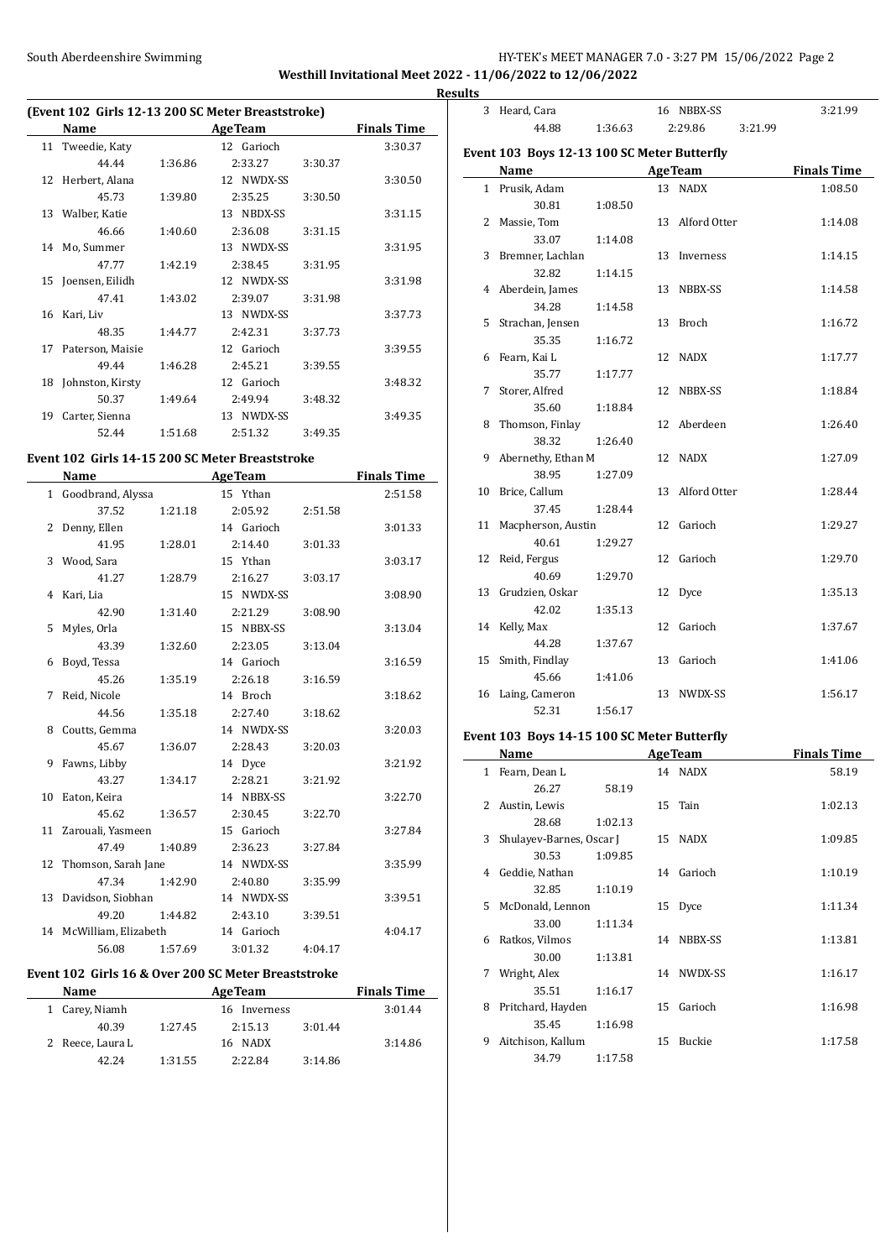# South Aberdeenshire Swimming HY-TEK's MEET MANAGER 7.0 - 3:27 PM 15/06/2022 Page 2

**Westhill Invitational Meet 2022 - 11/06/2022 to 12/06/2022**

# **(Event 102 Girls 12-13 200 SC Meter Breaststroke)**

| $\frac{1}{2}$ and $\frac{1}{2}$ to $\frac{1}{2}$ or $\frac{1}{2}$ . Because the set |                  |         |                |         |                    |  |  |  |  |
|-------------------------------------------------------------------------------------|------------------|---------|----------------|---------|--------------------|--|--|--|--|
|                                                                                     | Name             |         | <b>AgeTeam</b> |         | <b>Finals Time</b> |  |  |  |  |
| 11                                                                                  | Tweedie, Katy    |         | 12 Garioch     |         | 3:30.37            |  |  |  |  |
|                                                                                     | 44.44            | 1:36.86 | 2:33.27        | 3:30.37 |                    |  |  |  |  |
| 12                                                                                  | Herbert, Alana   |         | 12 NWDX-SS     |         | 3:30.50            |  |  |  |  |
|                                                                                     | 45.73            | 1:39.80 | 2:35.25        | 3:30.50 |                    |  |  |  |  |
| 13                                                                                  | Walber, Katie    |         | NBDX-SS<br>13  |         | 3:31.15            |  |  |  |  |
|                                                                                     | 46.66            | 1:40.60 | 2:36.08        | 3:31.15 |                    |  |  |  |  |
| 14                                                                                  | Mo, Summer       |         | 13 NWDX-SS     |         | 3:31.95            |  |  |  |  |
|                                                                                     | 47.77            | 1:42.19 | 2:38.45        | 3:31.95 |                    |  |  |  |  |
| 15                                                                                  | Joensen, Eilidh  |         | 12 NWDX-SS     |         | 3:31.98            |  |  |  |  |
|                                                                                     | 47.41            | 1:43.02 | 2:39.07        | 3:31.98 |                    |  |  |  |  |
| 16                                                                                  | Kari, Liv        |         | 13 NWDX-SS     |         | 3:37.73            |  |  |  |  |
|                                                                                     | 48.35            | 1:44.77 | 2:42.31        | 3:37.73 |                    |  |  |  |  |
| 17                                                                                  | Paterson, Maisie |         | 12 Garioch     |         | 3:39.55            |  |  |  |  |
|                                                                                     | 49.44            | 1:46.28 | 2:45.21        | 3:39.55 |                    |  |  |  |  |
| 18                                                                                  | Johnston, Kirsty |         | 12 Garioch     |         | 3:48.32            |  |  |  |  |
|                                                                                     | 50.37            | 1:49.64 | 2:49.94        | 3:48.32 |                    |  |  |  |  |
| 19                                                                                  | Carter, Sienna   |         | 13 NWDX-SS     |         | 3:49.35            |  |  |  |  |
|                                                                                     | 52.44            | 1:51.68 | 2:51.32        | 3:49.35 |                    |  |  |  |  |

#### **Event 102 Girls 14-15 200 SC Meter Breaststroke**

|    | Name                   |         | <b>AgeTeam</b> |         | <b>Finals Time</b> |
|----|------------------------|---------|----------------|---------|--------------------|
|    | 1 Goodbrand, Alyssa    |         | 15 Ythan       |         | 2:51.58            |
|    | 37.52                  | 1:21.18 | 2:05.92        | 2:51.58 |                    |
| 2  | Denny, Ellen           |         | 14 Garioch     |         | 3:01.33            |
|    | 41.95                  | 1:28.01 | 2:14.40        | 3:01.33 |                    |
|    | 3 Wood, Sara           |         | 15 Ythan       |         | 3:03.17            |
|    | 41.27                  | 1:28.79 | 2:16.27        | 3:03.17 |                    |
|    | 4 Kari, Lia            |         | 15 NWDX-SS     |         | 3:08.90            |
|    | 42.90                  | 1:31.40 | 2:21.29        | 3:08.90 |                    |
| 5  | Myles, Orla            |         | 15 NBBX-SS     |         | 3:13.04            |
|    | 43.39                  | 1:32.60 | 2:23.05        | 3:13.04 |                    |
| 6  | Boyd, Tessa            |         | 14 Garioch     |         | 3:16.59            |
|    | 45.26                  | 1:35.19 | 2:26.18        | 3:16.59 |                    |
| 7  | Reid, Nicole           |         | 14 Broch       |         | 3:18.62            |
|    | 44.56                  | 1:35.18 | 2:27.40        | 3:18.62 |                    |
| 8  | Coutts, Gemma          |         | 14 NWDX-SS     |         | 3:20.03            |
|    | 45.67                  | 1:36.07 | 2:28.43        | 3:20.03 |                    |
| 9  | Fawns, Libby           |         | 14 Dyce        |         | 3:21.92            |
|    | 43.27                  | 1:34.17 | 2:28.21        | 3:21.92 |                    |
| 10 | Eaton, Keira           |         | 14 NBBX-SS     |         | 3:22.70            |
|    | 45.62                  | 1:36.57 | 2:30.45        | 3:22.70 |                    |
| 11 | Zarouali, Yasmeen      |         | 15 Garioch     |         | 3:27.84            |
|    | 47.49                  | 1:40.89 | 2:36.23        | 3:27.84 |                    |
|    | 12 Thomson, Sarah Jane |         | 14 NWDX-SS     |         | 3:35.99            |
|    | 47.34                  | 1:42.90 | 2:40.80        | 3:35.99 |                    |
| 13 | Davidson, Siobhan      |         | 14 NWDX-SS     |         | 3:39.51            |
|    | 49.20                  | 1:44.82 | 2:43.10        | 3:39.51 |                    |
| 14 | McWilliam, Elizabeth   |         | 14 Garioch     |         | 4:04.17            |
|    | 56.08                  | 1:57.69 | 3:01.32        | 4:04.17 |                    |

#### **Event 102 Girls 16 & Over 200 SC Meter Breaststroke**

| <b>Name</b>      |         | <b>AgeTeam</b> | <b>Finals Time</b> |         |
|------------------|---------|----------------|--------------------|---------|
| 1 Carey, Niamh   |         | 16 Inverness   |                    | 3:01.44 |
| 40.39            | 1:27.45 | 2:15.13        | 3:01.44            |         |
| 2 Reece, Laura L |         | 16 NADX        |                    | 3:14.86 |
| 42.24            | 1:31.55 | 2:22.84        | 3:14.86            |         |

| <b>Results</b> |                                             |         |                 |         |                    |
|----------------|---------------------------------------------|---------|-----------------|---------|--------------------|
|                | 3 Heard, Cara                               |         | 16 NBBX-SS      |         | 3:21.99            |
|                | 44.88                                       | 1:36.63 | 2:29.86         | 3:21.99 |                    |
|                | Event 103 Boys 12-13 100 SC Meter Butterfly |         |                 |         |                    |
|                | Name                                        |         | <b>AgeTeam</b>  |         | <b>Finals Time</b> |
|                | 1 Prusik, Adam                              |         | 13 NADX         |         | 1:08.50            |
|                | 30.81                                       | 1:08.50 |                 |         |                    |
|                | 2 Massie, Tom                               |         | 13 Alford Otter |         | 1:14.08            |
|                | 33.07                                       | 1:14.08 |                 |         |                    |
|                | 3 Bremner, Lachlan                          |         | 13 Inverness    |         | 1:14.15            |
|                | 32.82                                       | 1:14.15 |                 |         |                    |
|                | 4 Aberdein, James                           |         | 13 NBBX-SS      |         | 1:14.58            |
|                | 34.28                                       | 1:14.58 |                 |         |                    |
|                | 5 Strachan, Jensen                          |         | 13 Broch        |         | 1:16.72            |
|                | 35.35                                       | 1:16.72 |                 |         |                    |
|                | 6 Fearn, Kai L                              |         | 12 NADX         |         | 1:17.77            |
|                | 35.77                                       | 1:17.77 |                 |         |                    |
|                | 7 Storer, Alfred                            |         | 12 NBBX-SS      |         | 1:18.84            |
|                | 35.60                                       | 1:18.84 |                 |         |                    |
|                | 8 Thomson, Finlay                           |         | 12 Aberdeen     |         | 1:26.40            |
|                | 38.32                                       | 1:26.40 |                 |         |                    |
|                | 9 Abernethy, Ethan M                        |         | 12 NADX         |         | 1:27.09            |
|                | 38.95                                       | 1:27.09 |                 |         |                    |
|                | 10 Brice, Callum                            |         | 13 Alford Otter |         | 1:28.44            |
|                | 37.45                                       | 1:28.44 |                 |         |                    |
|                | 11 Macpherson, Austin                       |         | 12 Garioch      |         | 1:29.27            |
|                | 40.61                                       | 1:29.27 |                 |         |                    |
|                | 12 Reid, Fergus                             |         | 12 Garioch      |         | 1:29.70            |
|                | 40.69                                       | 1:29.70 |                 |         |                    |
|                | 13 Grudzien, Oskar                          |         | 12 Dyce         |         | 1:35.13            |
|                | 42.02                                       | 1:35.13 |                 |         |                    |
|                | 14 Kelly, Max                               |         | 12 Garioch      |         | 1:37.67            |
|                | 44.28                                       | 1:37.67 |                 |         |                    |
|                | 15 Smith, Findlay                           |         | 13 Garioch      |         | 1:41.06            |
|                | 45.66                                       | 1:41.06 |                 |         |                    |
|                | 16 Laing, Cameron                           |         | 13 NWDX-SS      |         | 1:56.17            |
|                | 52.31                                       | 1:56.17 |                 |         |                    |

### **Event 103 Boys 14-15 100 SC Meter Butterfly**

|   | Name                     |         |    | <b>AgeTeam</b> | <b>Finals Time</b> |
|---|--------------------------|---------|----|----------------|--------------------|
| 1 | Fearn, Dean L            |         |    | 14 NADX        | 58.19              |
|   | 26.27                    | 58.19   |    |                |                    |
| 2 | Austin, Lewis            |         |    | 15 Tain        | 1:02.13            |
|   | 28.68                    | 1:02.13 |    |                |                    |
| 3 | Shulayev-Barnes, Oscar J |         |    | 15 NADX        | 1:09.85            |
|   | 30.53                    | 1:09.85 |    |                |                    |
| 4 | Geddie, Nathan           |         |    | 14 Garioch     | 1:10.19            |
|   | 32.85                    | 1:10.19 |    |                |                    |
|   | 5 McDonald, Lennon       |         | 15 | Dyce           | 1:11.34            |
|   | 33.00                    | 1:11.34 |    |                |                    |
| 6 | Ratkos, Vilmos           |         |    | 14 NBBX-SS     | 1:13.81            |
|   | 30.00                    | 1:13.81 |    |                |                    |
| 7 | Wright, Alex             |         |    | 14 NWDX-SS     | 1:16.17            |
|   | 35.51                    | 1:16.17 |    |                |                    |
| 8 | Pritchard, Hayden        |         | 15 | Garioch        | 1:16.98            |
|   | 35.45                    | 1:16.98 |    |                |                    |
| 9 | Aitchison, Kallum        |         | 15 | Buckie         | 1:17.58            |
|   | 34.79                    | 1:17.58 |    |                |                    |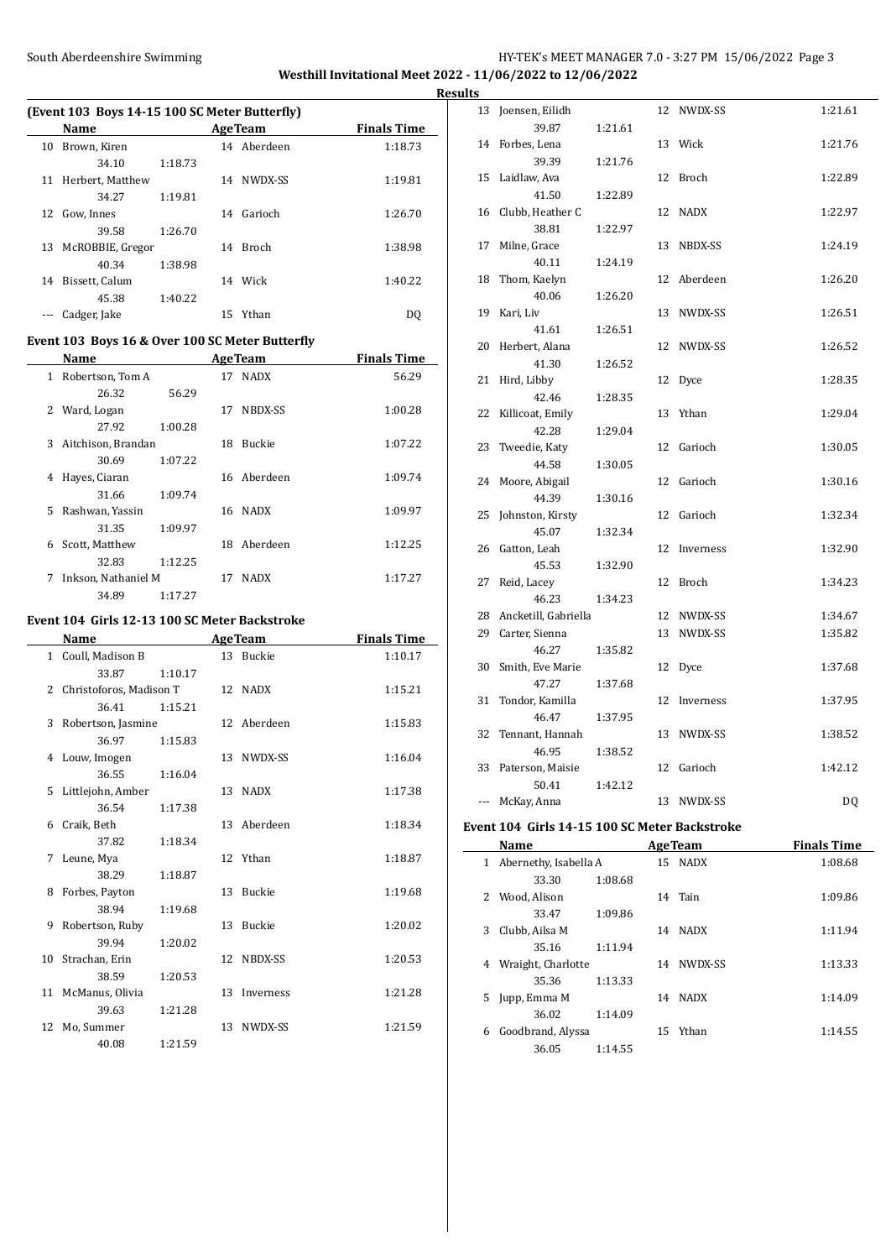## South Aberdeenshire Swimming HY-TEK's MEET MANAGER 7.0 - 3:27 PM 15/06/2022 Page 3 **Westhill Invitational Meet 2022 - 11/06/2022 to 12/06/2022**

**(Event 103 Boys 14-15 100 SC Meter Butterfly) Name Age Team Finals Time** 10 Brown, Kiren 14 Aberdeen 1:18.73 34.10 1:18.73 11 Herbert, Matthew 14 NWDX-SS 1:19.81 34.27 1:19.81 12 Gow, Innes 14 Garioch 1:26.70 39.58 1:26.70 13 McROBBIE, Gregor 14 Broch 1:38.98 40.34 1:38.98 14 Bissett, Calum 14 Wick 1:40.22 45.38 1:40.22 --- Cadger, Jake 15 Ythan DQ

# **Event 103 Boys 16 & Over 100 SC Meter Butterfly**

|    | Name                |         |    | <b>AgeTeam</b> | <b>Finals Time</b> |
|----|---------------------|---------|----|----------------|--------------------|
| 1  | Robertson, Tom A    |         |    | 17 NADX        | 56.29              |
|    | 26.32               | 56.29   |    |                |                    |
| 2  | Ward, Logan         |         | 17 | NBDX-SS        | 1:00.28            |
|    | 27.92               | 1:00.28 |    |                |                    |
| 3  | Aitchison, Brandan  |         | 18 | <b>Buckie</b>  | 1:07.22            |
|    | 30.69               | 1:07.22 |    |                |                    |
| 4  | Hayes, Ciaran       |         |    | 16 Aberdeen    | 1:09.74            |
|    | 31.66               | 1:09.74 |    |                |                    |
| 5. | Rashwan, Yassin     |         |    | 16 NADX        | 1:09.97            |
|    | 31.35               | 1:09.97 |    |                |                    |
| 6  | Scott, Matthew      |         |    | 18 Aberdeen    | 1:12.25            |
|    | 32.83               | 1:12.25 |    |                |                    |
| 7  | Inkson, Nathaniel M |         | 17 | <b>NADX</b>    | 1:17.27            |
|    | 34.89               | 1:17.27 |    |                |                    |

#### **Event 104 Girls 12-13 100 SC Meter Backstroke**

 $\overline{\phantom{a}}$ 

|             | Name                    |         |    | <b>AgeTeam</b> | <b>Finals Time</b> |
|-------------|-------------------------|---------|----|----------------|--------------------|
|             | 1 Coull, Madison B      |         |    | 13 Buckie      | 1:10.17            |
|             | 33.87                   | 1:10.17 |    |                |                    |
| $2^{\circ}$ | Christoforos, Madison T |         |    | 12 NADX        | 1:15.21            |
|             | 36.41                   | 1:15.21 |    |                |                    |
| 3           | Robertson, Jasmine      |         |    | 12 Aberdeen    | 1:15.83            |
|             | 36.97                   | 1:15.83 |    |                |                    |
|             | 4 Louw, Imogen          |         |    | 13 NWDX-SS     | 1:16.04            |
|             | 36.55                   | 1:16.04 |    |                |                    |
|             | 5 Littlejohn, Amber     |         | 13 | <b>NADX</b>    | 1:17.38            |
|             | 36.54                   | 1:17.38 |    |                |                    |
| 6           | Craik, Beth             |         |    | 13 Aberdeen    | 1:18.34            |
|             | 37.82                   | 1:18.34 |    |                |                    |
| 7           | Leune, Mya              |         |    | 12 Ythan       | 1:18.87            |
|             | 38.29                   | 1:18.87 |    |                |                    |
| 8           | Forbes, Payton          |         | 13 | Buckie         | 1:19.68            |
|             | 38.94                   | 1:19.68 |    |                |                    |
| 9           | Robertson, Ruby         |         | 13 | Buckie         | 1:20.02            |
|             | 39.94                   | 1:20.02 |    |                |                    |
| 10          | Strachan, Erin          |         | 12 | NBDX-SS        | 1:20.53            |
|             | 38.59                   | 1:20.53 |    |                |                    |
|             | 11 McManus, Olivia      |         | 13 | Inverness      | 1:21.28            |
|             | 39.63                   | 1:21.28 |    |                |                    |
|             | 12 Mo, Summer           |         |    | 13 NWDX-SS     | 1:21.59            |
|             | 40.08                   | 1:21.59 |    |                |                    |

|   | <b>Results</b> |                           |         |    |              |         |
|---|----------------|---------------------------|---------|----|--------------|---------|
|   |                | 13 Joensen, Eilidh        |         |    | 12 NWDX-SS   | 1:21.61 |
| - |                | 39.87                     | 1:21.61 |    |              |         |
|   |                | 14 Forbes, Lena           |         |    | 13 Wick      | 1:21.76 |
|   |                | 39.39                     | 1:21.76 |    |              |         |
|   |                | 15 Laidlaw, Ava           |         |    | 12 Broch     | 1:22.89 |
|   |                | 41.50                     | 1:22.89 |    |              |         |
|   |                | 16 Clubb, Heather C       |         | 12 | NADX         | 1:22.97 |
|   |                | 38.81                     | 1:22.97 |    |              |         |
|   |                | 17 Milne, Grace           |         | 13 | NBDX-SS      | 1:24.19 |
|   |                | 40.11                     | 1:24.19 |    |              |         |
|   |                | 18 Thom, Kaelyn           |         |    | 12 Aberdeen  | 1:26.20 |
|   |                | 40.06                     | 1:26.20 |    |              |         |
|   |                | 19 Kari, Liv              |         |    | 13 NWDX-SS   | 1:26.51 |
|   |                | 41.61                     | 1:26.51 |    |              |         |
|   |                | 20 Herbert, Alana         |         |    | 12 NWDX-SS   | 1:26.52 |
|   |                | 41.30                     | 1:26.52 |    |              |         |
|   | 21             | Hird, Libby               |         |    | 12 Dyce      | 1:28.35 |
|   |                | 42.46                     | 1:28.35 |    |              |         |
|   |                | 22 Killicoat, Emily       |         |    | 13 Ythan     | 1:29.04 |
|   |                | 42.28                     | 1:29.04 |    |              |         |
|   |                | 23 Tweedie, Katy          |         |    | 12 Garioch   | 1:30.05 |
|   |                | 44.58                     | 1:30.05 |    |              |         |
|   |                | 24 Moore, Abigail         |         | 12 | Garioch      | 1:30.16 |
|   |                | 44.39                     | 1:30.16 |    |              |         |
|   |                | 25 Johnston, Kirsty       |         |    | 12 Garioch   | 1:32.34 |
|   |                | 45.07                     | 1:32.34 |    |              |         |
|   |                | 26 Gatton, Leah           |         | 12 | Inverness    | 1:32.90 |
|   |                | 45.53                     | 1:32.90 |    |              |         |
|   |                | 27 Reid, Lacey            |         | 12 | Broch        | 1:34.23 |
|   |                | 46.23                     | 1:34.23 |    |              |         |
|   |                | 28 Ancketill, Gabriella   |         |    | 12 NWDX-SS   | 1:34.67 |
|   |                | 29 Carter, Sienna         |         |    | 13 NWDX-SS   | 1:35.82 |
|   |                | 46.27                     | 1:35.82 |    |              |         |
|   |                | 30 Smith, Eve Marie       |         | 12 | Dyce         | 1:37.68 |
|   |                | 47.27                     | 1:37.68 |    |              |         |
|   |                | 31 Tondor, Kamilla        |         |    | 12 Inverness | 1:37.95 |
|   |                | 46.47                     | 1:37.95 |    |              |         |
|   |                | 32 Tennant, Hannah        |         | 13 | NWDX-SS      | 1:38.52 |
|   |                | 46.95                     | 1:38.52 |    | 12 Garioch   | 1:42.12 |
|   | 33             | Paterson, Maisie<br>50.41 |         |    |              |         |
|   | $---$          | McKay, Anna               | 1:42.12 |    | 13 NWDX-SS   |         |
|   |                |                           |         |    |              | DQ      |

#### **Event 104 Girls 14-15 100 SC Meter Backstroke**

|    | Name                  |         |    | <b>AgeTeam</b> | <b>Finals Time</b> |
|----|-----------------------|---------|----|----------------|--------------------|
| 1  | Abernethy, Isabella A |         |    | 15 NADX        | 1:08.68            |
|    | 33.30                 | 1:08.68 |    |                |                    |
| 2  | Wood, Alison          |         |    | 14 Tain        | 1:09.86            |
|    | 33.47                 | 1:09.86 |    |                |                    |
| 3  | Clubb, Ailsa M        |         | 14 | <b>NADX</b>    | 1:11.94            |
|    | 35.16                 | 1:11.94 |    |                |                    |
| 4  | Wraight, Charlotte    |         | 14 | NWDX-SS        | 1:13.33            |
|    | 35.36                 | 1:13.33 |    |                |                    |
| 5. | Jupp, Emma M          |         | 14 | <b>NADX</b>    | 1:14.09            |
|    | 36.02                 | 1:14.09 |    |                |                    |
| 6  | Goodbrand, Alyssa     |         |    | 15 Ythan       | 1:14.55            |
|    | 36.05                 | 1:14.55 |    |                |                    |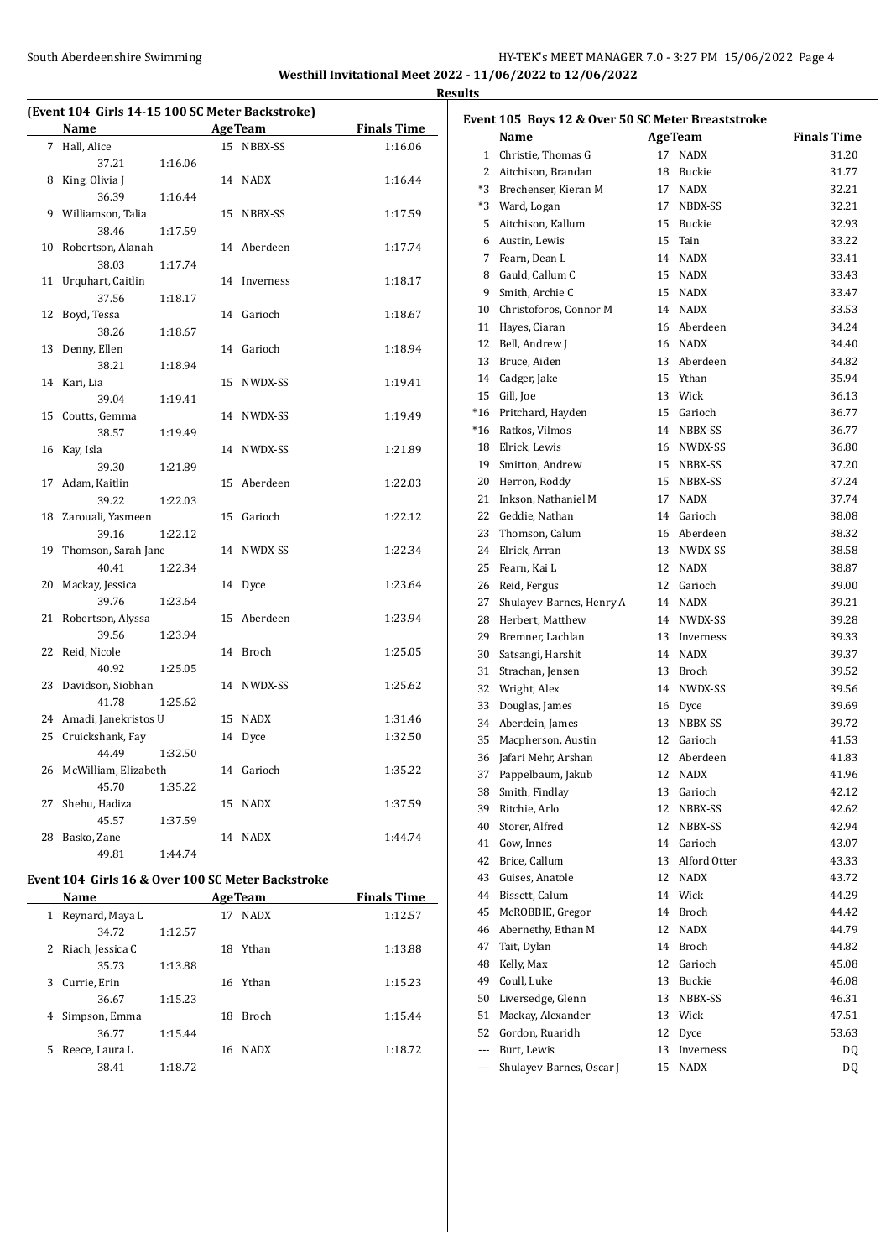#### South Aberdeenshire Swimming HY-TEK's MEET MANAGER 7.0 - 3:27 PM 15/06/2022 Page 4 **Westhill Invitational Meet 2022 - 11/06/2022 to 12/06/2022 Results**

 $\overline{a}$ 

**(Event 104 Girls 14-15 100 SC Meter Backstroke) Name Age Team Finals Time**  Hall, Alice 15 NBBX-SS 1:16.06 37.21 1:16.06 8 King, Olivia J 14 NADX 1:16.44 36.39 1:16.44 9 Williamson, Talia 15 NBBX-SS 1:17.59 38.46 1:17.59 Robertson, Alanah 14 Aberdeen 1:17.74 38.03 1:17.74 Urquhart, Caitlin 14 Inverness 1:18.17 37.56 1:18.17 Boyd, Tessa 14 Garioch 1:18.67 38.26 1:18.67 Denny, Ellen 14 Garioch 1:18.94 38.21 1:18.94 Kari, Lia 15 NWDX-SS 1:19.41 39.04 1:19.41 Coutts, Gemma 14 NWDX-SS 1:19.49 38.57 1:19.49 Kay, Isla 14 NWDX-SS 1:21.89 39.30 1:21.89 Adam, Kaitlin 15 Aberdeen 1:22.03 39.22 1:22.03 Zarouali, Yasmeen 15 Garioch 1:22.12 39.16 1:22.12 Thomson, Sarah Jane 14 NWDX-SS 1:22.34 40.41 1:22.34 20 Mackay, Jessica 14 Dyce 1:23.64 39.76 1:23.64 Robertson, Alyssa 15 Aberdeen 1:23.94 39.56 1:23.94 Reid, Nicole 14 Broch 1:25.05 40.92 1:25.05 Davidson, Siobhan 14 NWDX-SS 1:25.62 41.78 1:25.62 Amadi, Janekristos U 15 NADX 1:31.46 25 Cruickshank, Fay 14 Dyce 1:32.50 44.49 1:32.50 McWilliam, Elizabeth 14 Garioch 1:35.22 45.70 1:35.22 Shehu, Hadiza 15 NADX 1:37.59 45.57 1:37.59 Basko, Zane 14 NADX 1:44.74 49.81 1:44.74

# **Event 104 Girls 16 & Over 100 SC Meter Backstroke**

| Name                  |                  |    | <b>AgeTeam</b> | <b>Finals Time</b> |
|-----------------------|------------------|----|----------------|--------------------|
|                       | Reynard, Maya L  | 17 | <b>NADX</b>    | 1:12.57            |
|                       | 1:12.57<br>34.72 |    |                |                    |
| Riach, Jessica C<br>2 |                  | 18 | Ythan          | 1:13.88            |
|                       | 35.73<br>1:13.88 |    |                |                    |
| Currie, Erin<br>3     |                  |    | 16 Ythan       | 1:15.23            |
|                       | 1:15.23<br>36.67 |    |                |                    |
| 4                     | Simpson, Emma    | 18 | <b>Broch</b>   | 1:15.44            |
|                       | 36.77<br>1:15.44 |    |                |                    |
| Reece, Laura L<br>5   |                  |    | 16 NADX        | 1:18.72            |
|                       | 38.41<br>1:18.72 |    |                |                    |
|                       |                  |    |                |                    |

| Event 105 Boys 12 & Over 50 SC Meter Breaststroke |                          |    |                 |                    |  |  |  |
|---------------------------------------------------|--------------------------|----|-----------------|--------------------|--|--|--|
|                                                   | Name                     |    | <b>AgeTeam</b>  | <b>Finals Time</b> |  |  |  |
| 1                                                 | Christie, Thomas G       | 17 | <b>NADX</b>     | 31.20              |  |  |  |
| 2                                                 | Aitchison, Brandan       | 18 | Buckie          | 31.77              |  |  |  |
| *3                                                | Brechenser, Kieran M     |    | 17 NADX         | 32.21              |  |  |  |
| *3                                                | Ward, Logan              | 17 | NBDX-SS         | 32.21              |  |  |  |
| 5                                                 | Aitchison, Kallum        | 15 | Buckie          | 32.93              |  |  |  |
| 6                                                 | Austin, Lewis            | 15 | Tain            | 33.22              |  |  |  |
| 7                                                 | Fearn, Dean L            |    | 14 NADX         | 33.41              |  |  |  |
| 8                                                 | Gauld, Callum C          | 15 | <b>NADX</b>     | 33.43              |  |  |  |
| 9                                                 | Smith, Archie C          |    | 15 NADX         | 33.47              |  |  |  |
| 10                                                | Christoforos, Connor M   |    | 14 NADX         | 33.53              |  |  |  |
| 11                                                | Hayes, Ciaran            |    | 16 Aberdeen     | 34.24              |  |  |  |
| 12                                                | Bell, Andrew J           |    | 16 NADX         | 34.40              |  |  |  |
| 13                                                | Bruce, Aiden             |    | 13 Aberdeen     | 34.82              |  |  |  |
| 14                                                | Cadger, Jake             |    | 15 Ythan        | 35.94              |  |  |  |
| 15                                                | Gill, Joe                |    | 13 Wick         | 36.13              |  |  |  |
| $*16$                                             | Pritchard, Hayden        |    | 15 Garioch      | 36.77              |  |  |  |
| $*16$                                             | Ratkos, Vilmos           |    | 14 NBBX-SS      | 36.77              |  |  |  |
| 18                                                | Elrick, Lewis            |    | 16 NWDX-SS      | 36.80              |  |  |  |
| 19                                                | Smitton, Andrew          | 15 | NBBX-SS         | 37.20              |  |  |  |
| 20                                                | Herron, Roddy            | 15 | NBBX-SS         | 37.24              |  |  |  |
| 21                                                | Inkson, Nathaniel M      | 17 | <b>NADX</b>     | 37.74              |  |  |  |
| 22                                                | Geddie, Nathan           |    | 14 Garioch      | 38.08              |  |  |  |
| 23                                                | Thomson, Calum           |    | 16 Aberdeen     | 38.32              |  |  |  |
| 24                                                | Elrick, Arran            |    | 13 NWDX-SS      | 38.58              |  |  |  |
| 25                                                | Fearn, Kai L             |    | 12 NADX         | 38.87              |  |  |  |
| 26                                                | Reid, Fergus             |    | 12 Garioch      | 39.00              |  |  |  |
| 27                                                | Shulayev-Barnes, Henry A |    | 14 NADX         | 39.21              |  |  |  |
| 28                                                | Herbert, Matthew         |    | 14 NWDX-SS      | 39.28              |  |  |  |
| 29                                                | Bremner, Lachlan         | 13 | Inverness       | 39.33              |  |  |  |
| 30                                                | Satsangi, Harshit        |    | 14 NADX         | 39.37              |  |  |  |
| 31                                                | Strachan, Jensen         |    | 13 Broch        | 39.52              |  |  |  |
| 32                                                | Wright, Alex             |    | 14 NWDX-SS      | 39.56              |  |  |  |
| 33                                                | Douglas, James           |    | 16 Dyce         | 39.69              |  |  |  |
| 34                                                | Aberdein, James          | 13 | NBBX-SS         | 39.72              |  |  |  |
| 35                                                | Macpherson, Austin       |    | 12 Garioch      | 41.53              |  |  |  |
| 36                                                | Jafari Mehr, Arshan      |    | 12 Aberdeen     | 41.83              |  |  |  |
| 37                                                | Pappelbaum, Jakub        | 12 | NADX            | 41.96              |  |  |  |
| 38                                                | Smith, Findlay           |    | 13 Garioch      | 42.12              |  |  |  |
| 39                                                | Ritchie, Arlo            | 12 | NBBX-SS         | 42.62              |  |  |  |
| 40                                                | Storer, Alfred           | 12 | NBBX-SS         | 42.94              |  |  |  |
| 41                                                | Gow. Innes               |    | 14 Garioch      | 43.07              |  |  |  |
| 42                                                | Brice, Callum            |    | 13 Alford Otter | 43.33              |  |  |  |
| 43                                                | Guises, Anatole          | 12 | <b>NADX</b>     | 43.72              |  |  |  |
| 44                                                | Bissett, Calum           |    | 14 Wick         | 44.29              |  |  |  |
| 45                                                | McROBBIE, Gregor         |    | 14 Broch        | 44.42              |  |  |  |
| 46                                                | Abernethy, Ethan M       | 12 | <b>NADX</b>     | 44.79              |  |  |  |
| 47                                                | Tait, Dylan              | 14 | Broch           | 44.82              |  |  |  |
| 48                                                | Kelly, Max               |    | 12 Garioch      | 45.08              |  |  |  |
| 49                                                | Coull, Luke              |    | 13 Buckie       | 46.08              |  |  |  |
| 50                                                | Liversedge, Glenn        |    | 13 NBBX-SS      | 46.31              |  |  |  |
| 51                                                | Mackay, Alexander        |    | 13 Wick         | 47.51              |  |  |  |
| 52                                                | Gordon, Ruaridh          | 12 | Dyce            | 53.63              |  |  |  |
| $\cdots$                                          | Burt, Lewis              | 13 | Inverness       | DQ                 |  |  |  |
| ---                                               | Shulayev-Barnes, Oscar J | 15 | NADX            | DQ                 |  |  |  |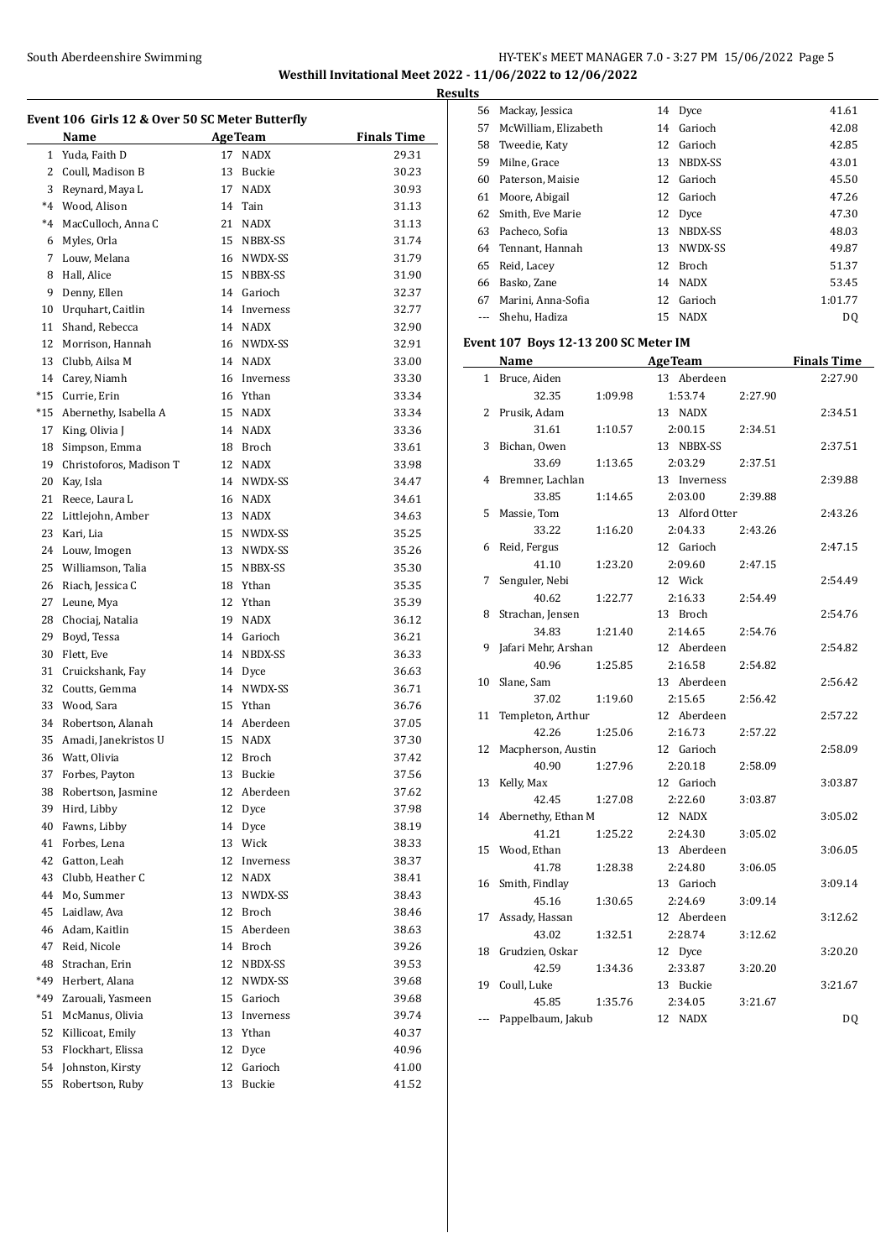### South Aberdeenshire Swimming **Supplemance 2018** HY-TEK's MEET MANAGER 7.0 - 3:27 PM 15/06/2022 Page 5 **Westhill Invitational Meet 2022 - 11/06/2022 to 12/06/2022**

**Event 106 Girls 12 & Over 50 SC Meter Butterfly Name Age Team Finals Time**  Yuda, Faith D 17 NADX 29.31 2 Coull, Madison B 13 Buckie 30.23 3 Reynard, Maya L 17 NADX 30.93 \*4 Wood, Alison 14 Tain 31.13 \*4 MacCulloch, Anna C 21 NADX 31.13 Myles, Orla 15 NBBX-SS 31.74 7 Louw, Melana 16 NWDX-SS 31.79 8 Hall, Alice 15 NBBX-SS 31.90 Denny, Ellen 14 Garioch 32.37 Urquhart, Caitlin 14 Inverness 32.77 11 Shand, Rebecca 14 NADX 32.90 Morrison, Hannah 16 NWDX-SS 32.91 Clubb, Ailsa M 14 NADX 33.00 Carey, Niamh 16 Inverness 33.30 \*15 Currie, Erin 16 Ythan 33.34 \*15 Abernethy, Isabella A 15 NADX 33.34 17 King, Olivia J 14 NADX 33.36 Simpson, Emma 18 Broch 33.61 Christoforos, Madison T 12 NADX 33.98 Kay, Isla 14 NWDX-SS 34.47 21 Reece, Laura L 16 NADX 34.61 Littlejohn, Amber 13 NADX 34.63 Kari, Lia 15 NWDX-SS 35.25 24 Louw, Imogen 13 NWDX-SS 35.26 25 Williamson, Talia 15 NBBX-SS 35.30 Riach, Jessica C 18 Ythan 35.35 27 Leune, Mya 12 Ythan 35.39 Chociaj, Natalia 19 NADX 36.12 Boyd, Tessa 14 Garioch 36.21 Flett, Eve 14 NBDX-SS 36.33 Cruickshank, Fay 14 Dyce 36.63 32 Coutts, Gemma 14 NWDX-SS 36.71 33 Wood, Sara 15 Ythan 36.76 Robertson, Alanah 14 Aberdeen 37.05 Amadi, Janekristos U 15 NADX 37.30 Watt, Olivia 12 Broch 37.42 Forbes, Payton 13 Buckie 37.56 Robertson, Jasmine 12 Aberdeen 37.62 Hird, Libby 12 Dyce 37.98 Fawns, Libby 14 Dyce 38.19 Forbes, Lena 13 Wick 38.33 Gatton, Leah 12 Inverness 38.37 Clubb, Heather C 12 NADX 38.41 Mo, Summer 13 NWDX-SS 38.43 Laidlaw, Ava 12 Broch 38.46 Adam, Kaitlin 15 Aberdeen 38.63 Reid, Nicole 14 Broch 39.26 48 Strachan, Erin 12 NBDX-SS 39.53 \*49 Herbert, Alana 12 NWDX-SS 39.68 \*49 Zarouali, Yasmeen 15 Garioch 39.68 McManus, Olivia 13 Inverness 39.74 Killicoat, Emily 13 Ythan 40.37 53 Flockhart, Elissa 12 Dyce 40.96 Johnston, Kirsty 12 Garioch 41.00 Robertson, Ruby 13 Buckie 41.52

| <b>Results</b> |                      |    |             |         |
|----------------|----------------------|----|-------------|---------|
|                | 56 Mackay, Jessica   |    | 14 Dyce     | 41.61   |
| 57             | McWilliam, Elizabeth | 14 | Garioch     | 42.08   |
|                | 58 Tweedie, Katy     | 12 | Garioch     | 42.85   |
| 59             | Milne, Grace         | 13 | NBDX-SS     | 43.01   |
| 60             | Paterson, Maisie     |    | 12 Garioch  | 45.50   |
| 61             | Moore, Abigail       |    | 12 Garioch  | 47.26   |
| 62             | Smith, Eve Marie     |    | 12 Dyce     | 47.30   |
| 63             | Pacheco, Sofia       | 13 | NBDX-SS     | 48.03   |
|                | 64 Tennant, Hannah   | 13 | NWDX-SS     | 49.87   |
| 65             | Reid, Lacey          |    | 12 Broch    | 51.37   |
| 66             | Basko, Zane          | 14 | <b>NADX</b> | 53.45   |
| 67             | Marini, Anna-Sofia   | 12 | Garioch     | 1:01.77 |
|                | Shehu, Hadiza        | 15 | <b>NADX</b> | DQ      |
|                |                      |    |             |         |

#### **Event 107 Boys 12-13 200 SC Meter IM**

|              | <b>Name</b>         |         | <b>AgeTeam</b>  |         | <b>Finals Time</b> |
|--------------|---------------------|---------|-----------------|---------|--------------------|
| $\mathbf{1}$ | Bruce, Aiden        |         | 13 Aberdeen     |         | 2:27.90            |
|              | 32.35               | 1:09.98 | 1:53.74         | 2:27.90 |                    |
| 2            | Prusik, Adam        |         | 13 NADX         |         | 2:34.51            |
|              | 31.61               | 1:10.57 | 2:00.15         | 2:34.51 |                    |
| 3            | Bichan, Owen        |         | 13 NBBX-SS      |         | 2:37.51            |
|              | 33.69               | 1:13.65 | 2:03.29         | 2:37.51 |                    |
| 4            | Bremner, Lachlan    |         | 13 Inverness    |         | 2:39.88            |
|              | 33.85               | 1:14.65 | 2:03.00         | 2:39.88 |                    |
| 5            | Massie, Tom         |         | 13 Alford Otter |         | 2:43.26            |
|              | 33.22               | 1:16.20 | 2:04.33         | 2:43.26 |                    |
| 6            | Reid, Fergus        |         | 12 Garioch      |         | 2:47.15            |
|              | 41.10               | 1:23.20 | 2:09.60         | 2:47.15 |                    |
| 7            | Senguler, Nebi      |         | 12 Wick         |         | 2:54.49            |
|              | 40.62               | 1:22.77 | 2:16.33         | 2:54.49 |                    |
| 8            | Strachan, Jensen    |         | 13 Broch        |         | 2:54.76            |
|              | 34.83               | 1:21.40 | 2:14.65         | 2:54.76 |                    |
| 9            | Jafari Mehr, Arshan |         | 12 Aberdeen     |         | 2:54.82            |
|              | 40.96               | 1:25.85 | 2:16.58         | 2:54.82 |                    |
| 10           | Slane, Sam          |         | 13 Aberdeen     |         | 2:56.42            |
|              | 37.02               | 1:19.60 | 2:15.65         | 2:56.42 |                    |
| 11           | Templeton, Arthur   |         | 12 Aberdeen     |         | 2:57.22            |
|              | 42.26               | 1:25.06 | 2:16.73         | 2:57.22 |                    |
| 12           | Macpherson, Austin  |         | 12 Garioch      |         | 2:58.09            |
|              | 40.90               | 1:27.96 | 2:20.18         | 2:58.09 |                    |
| 13           | Kelly, Max          |         | 12 Garioch      |         | 3:03.87            |
|              | 42.45               | 1:27.08 | 2:22.60         | 3:03.87 |                    |
| 14           | Abernethy, Ethan M  |         | 12 NADX         |         | 3:05.02            |
|              | 41.21               | 1:25.22 | 2:24.30         | 3:05.02 |                    |
| 15           | Wood, Ethan         |         | 13 Aberdeen     |         | 3:06.05            |
|              | 41.78               | 1:28.38 | 2:24.80         | 3:06.05 |                    |
| 16           | Smith, Findlay      |         | 13 Garioch      |         | 3:09.14            |
|              | 45.16               | 1:30.65 | 2:24.69         | 3:09.14 |                    |
| 17           | Assady, Hassan      |         | 12 Aberdeen     |         | 3:12.62            |
|              | 43.02               | 1:32.51 | 2:28.74         | 3:12.62 |                    |
| 18           | Grudzien, Oskar     |         | 12 Dyce         |         | 3:20.20            |
|              | 42.59               | 1:34.36 | 2:33.87         | 3:20.20 |                    |
| 19           | Coull, Luke         |         | 13 Buckie       |         | 3:21.67            |
|              | 45.85               | 1:35.76 | 2:34.05         | 3:21.67 |                    |
| ---          | Pappelbaum, Jakub   |         | 12 NADX         |         | DQ                 |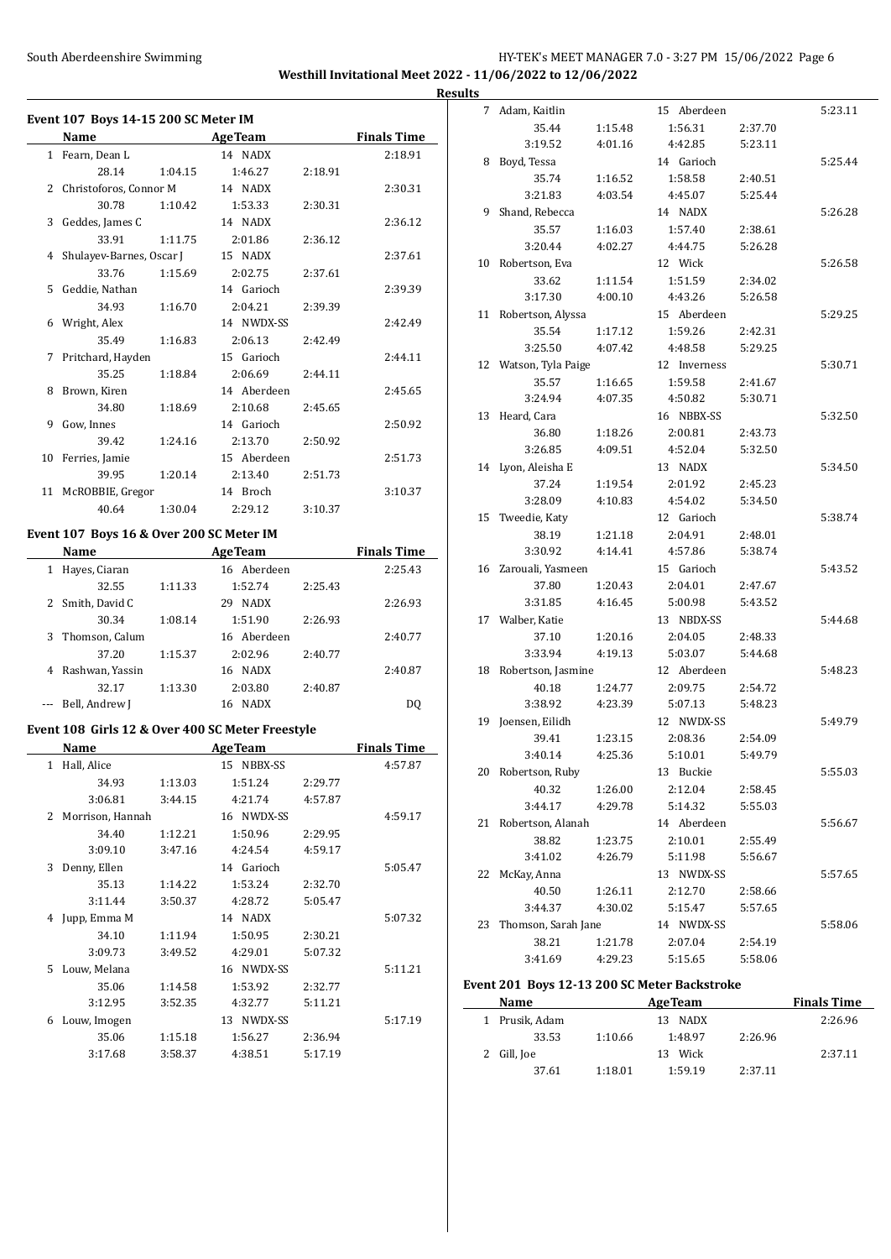# South Aberdeenshire Swimming HY-TEK's MEET MANAGER 7.0 - 3:27 PM 15/06/2022 Page 6 **Westhill Invitational Meet 2022 - 11/06/2022 to 12/06/2022**

**Event 107 Boys 14-15 200 SC Meter IM Name Age Team Finals Time** 1 Fearn, Dean L 14 NADX 2:18.91 28.14 1:04.15 1:46.27 2:18.91 2 Christoforos, Connor M 14 NADX 2:30.31 30.78 1:10.42 1:53.33 2:30.31 3 Geddes, James C 14 NADX 2:36.12 33.91 1:11.75 2:01.86 2:36.12 4 Shulayev-Barnes, Oscar J 15 NADX 2:37.61 33.76 1:15.69 2:02.75 2:37.61 5 Geddie, Nathan 14 Garioch 2:39.39 34.93 1:16.70 2:04.21 2:39.39 6 Wright, Alex 14 NWDX-SS 2:42.49 35.49 1:16.83 2:06.13 2:42.49 7 Pritchard, Hayden 15 Garioch 2:44.11 35.25 1:18.84 2:06.69 2:44.11 8 Brown, Kiren 14 Aberdeen 2:45.65 34.80 1:18.69 2:10.68 2:45.65 9 Gow, Innes 14 Garioch 2:50.92 39.42 1:24.16 2:13.70 2:50.92 10 Ferries, Jamie 15 Aberdeen 2:51.73 39.95 1:20.14 2:13.40 2:51.73 11 McROBBIE, Gregor 14 Broch 3:10.37 40.64 1:30.04 2:29.12 3:10.37

### **Event 107 Boys 16 & Over 200 SC Meter IM**

|   | Name             |         | <b>AgeTeam</b>    |         | <b>Finals Time</b> |
|---|------------------|---------|-------------------|---------|--------------------|
| 1 | Hayes, Ciaran    |         | 16 Aberdeen       |         | 2:25.43            |
|   | 32.55            | 1:11.33 | 1:52.74           | 2:25.43 |                    |
|   | Smith, David C   |         | <b>NADX</b><br>29 |         | 2:26.93            |
|   | 30.34            | 1:08.14 | 1:51.90           | 2:26.93 |                    |
|   | 3 Thomson, Calum |         | 16 Aberdeen       |         | 2:40.77            |
|   | 37.20            | 1:15.37 | 2:02.96           | 2:40.77 |                    |
|   | Rashwan, Yassin  |         | 16 NADX           |         | 2:40.87            |
|   | 32.17            | 1:13.30 | 2:03.80           | 2:40.87 |                    |
|   | Bell, Andrew J   |         | <b>NADX</b><br>16 |         | DO                 |

#### **Event 108 Girls 12 & Over 400 SC Meter Freestyle**

|   | Name             |         | <b>AgeTeam</b>    |         | <b>Finals Time</b> |
|---|------------------|---------|-------------------|---------|--------------------|
| 1 | Hall, Alice      |         | NBBX-SS<br>15     |         | 4:57.87            |
|   | 34.93            | 1:13.03 | 1:51.24           | 2:29.77 |                    |
|   | 3:06.81          | 3:44.15 | 4:21.74           | 4:57.87 |                    |
| 2 | Morrison, Hannah |         | 16 NWDX-SS        |         | 4:59.17            |
|   | 34.40            | 1:12.21 | 1:50.96           | 2:29.95 |                    |
|   | 3:09.10          | 3:47.16 | 4:24.54           | 4:59.17 |                    |
| 3 | Denny, Ellen     |         | 14 Garioch        |         | 5:05.47            |
|   | 35.13            | 1:14.22 | 1:53.24           | 2:32.70 |                    |
|   | 3:11.44          | 3:50.37 | 4:28.72           | 5:05.47 |                    |
| 4 | Jupp, Emma M     |         | <b>NADX</b><br>14 |         | 5:07.32            |
|   | 34.10            | 1:11.94 | 1:50.95           | 2:30.21 |                    |
|   | 3:09.73          | 3:49.52 | 4:29.01           | 5:07.32 |                    |
| 5 | Louw, Melana     |         | NWDX-SS<br>16     |         | 5:11.21            |
|   | 35.06            | 1:14.58 | 1:53.92           | 2:32.77 |                    |
|   | 3:12.95          | 3:52.35 | 4:32.77           | 5:11.21 |                    |
| 6 | Louw, Imogen     |         | NWDX-SS<br>13     |         | 5:17.19            |
|   | 35.06            | 1:15.18 | 1:56.27           | 2:36.94 |                    |
|   | 3:17.68          | 3:58.37 | 4:38.51           | 5:17.19 |                    |

| <b>Results</b> |                       |         |              |         |         |
|----------------|-----------------------|---------|--------------|---------|---------|
|                | 7 Adam, Kaitlin       |         | 15 Aberdeen  |         | 5:23.11 |
|                | 35.44                 | 1:15.48 | 1:56.31      | 2:37.70 |         |
|                | 3:19.52               | 4:01.16 | 4:42.85      | 5:23.11 |         |
|                | 8 Boyd, Tessa         |         | 14 Garioch   |         | 5:25.44 |
|                | 35.74                 | 1:16.52 | 1:58.58      | 2:40.51 |         |
|                | 3:21.83               | 4:03.54 | 4:45.07      | 5:25.44 |         |
| 9              | Shand, Rebecca        |         | 14 NADX      |         | 5:26.28 |
|                | 35.57                 | 1:16.03 | 1:57.40      | 2:38.61 |         |
|                | 3:20.44               | 4:02.27 | 4:44.75      | 5:26.28 |         |
|                | 10 Robertson, Eva     |         | 12 Wick      |         | 5:26.58 |
|                | 33.62                 | 1:11.54 | 1:51.59      | 2:34.02 |         |
|                | 3:17.30               | 4:00.10 | 4:43.26      | 5:26.58 |         |
|                | 11 Robertson, Alyssa  |         | 15 Aberdeen  |         | 5:29.25 |
|                | 35.54                 | 1:17.12 | 1:59.26      | 2:42.31 |         |
|                | 3:25.50               | 4:07.42 | 4:48.58      | 5:29.25 |         |
|                | 12 Watson, Tyla Paige |         | 12 Inverness |         | 5:30.71 |
|                | 35.57                 | 1:16.65 | 1:59.58      | 2:41.67 |         |
|                | 3:24.94               | 4:07.35 | 4:50.82      | 5:30.71 |         |
|                | 13 Heard, Cara        |         | 16 NBBX-SS   |         | 5:32.50 |
|                | 36.80                 | 1:18.26 | 2:00.81      | 2:43.73 |         |
|                | 3:26.85               | 4:09.51 | 4:52.04      | 5:32.50 |         |
|                | 14 Lyon, Aleisha E    |         | 13 NADX      |         | 5:34.50 |
|                | 37.24                 | 1:19.54 | 2:01.92      | 2:45.23 |         |
|                | 3:28.09               | 4:10.83 | 4:54.02      | 5:34.50 |         |
|                | 15 Tweedie, Katy      |         | 12 Garioch   |         | 5:38.74 |
|                | 38.19                 | 1:21.18 | 2:04.91      | 2:48.01 |         |
|                | 3:30.92               | 4:14.41 | 4:57.86      | 5:38.74 |         |
|                | 16 Zarouali, Yasmeen  |         | 15 Garioch   |         | 5:43.52 |
|                | 37.80                 | 1:20.43 | 2:04.01      | 2:47.67 |         |
|                | 3:31.85               | 4:16.45 | 5:00.98      | 5:43.52 |         |
|                | 17 Walber, Katie      |         | 13 NBDX-SS   |         | 5:44.68 |
|                | 37.10                 | 1:20.16 | 2:04.05      | 2:48.33 |         |
|                | 3:33.94               | 4:19.13 | 5:03.07      | 5:44.68 |         |
|                | 18 Robertson, Jasmine |         | 12 Aberdeen  |         | 5:48.23 |
|                | 40.18                 | 1:24.77 | 2:09.75      | 2:54.72 |         |
|                | 3:38.92               | 4:23.39 | 5:07.13      | 5:48.23 |         |
|                | 19 Joensen, Eilidh    |         | 12 NWDX-SS   |         | 5:49.79 |
|                | 39.41                 | 1:23.15 | 2:08.36      | 2:54.09 |         |
|                | 3:40.14               | 4:25.36 | 5:10.01      | 5:49.79 |         |
|                | 20 Robertson, Ruby    |         | 13 Buckie    |         | 5:55.03 |
|                | 40.32                 | 1:26.00 | 2:12.04      | 2:58.45 |         |
|                | 3:44.17               | 4:29.78 | 5:14.32      | 5:55.03 |         |
|                | 21 Robertson, Alanah  |         | 14 Aberdeen  |         | 5:56.67 |
|                | 38.82                 | 1:23.75 | 2:10.01      | 2:55.49 |         |
|                | 3:41.02               | 4:26.79 | 5:11.98      | 5:56.67 |         |
| 22             | McKay, Anna           |         | 13 NWDX-SS   |         | 5:57.65 |
|                | 40.50                 | 1:26.11 | 2:12.70      | 2:58.66 |         |
|                | 3:44.37               | 4:30.02 | 5:15.47      | 5:57.65 |         |
| 23             | Thomson, Sarah Jane   |         | 14 NWDX-SS   |         | 5:58.06 |
|                | 38.21                 | 1:21.78 | 2:07.04      | 2:54.19 |         |
|                | 3:41.69               | 4:29.23 | 5:15.65      | 5:58.06 |         |
|                |                       |         |              |         |         |

#### **Event 201 Boys 12-13 200 SC Meter Backstroke**

| Name           |         | <b>AgeTeam</b> |         | <b>Finals Time</b> |
|----------------|---------|----------------|---------|--------------------|
| 1 Prusik, Adam |         | NADX<br>13.    |         | 2:26.96            |
| 33.53          | 1:10.66 | 1:48.97        | 2:26.96 |                    |
| 2 Gill, Joe    |         | Wick<br>13.    |         | 2:37.11            |
| 37.61          | 1:18.01 | 1:59.19        | 2:37.11 |                    |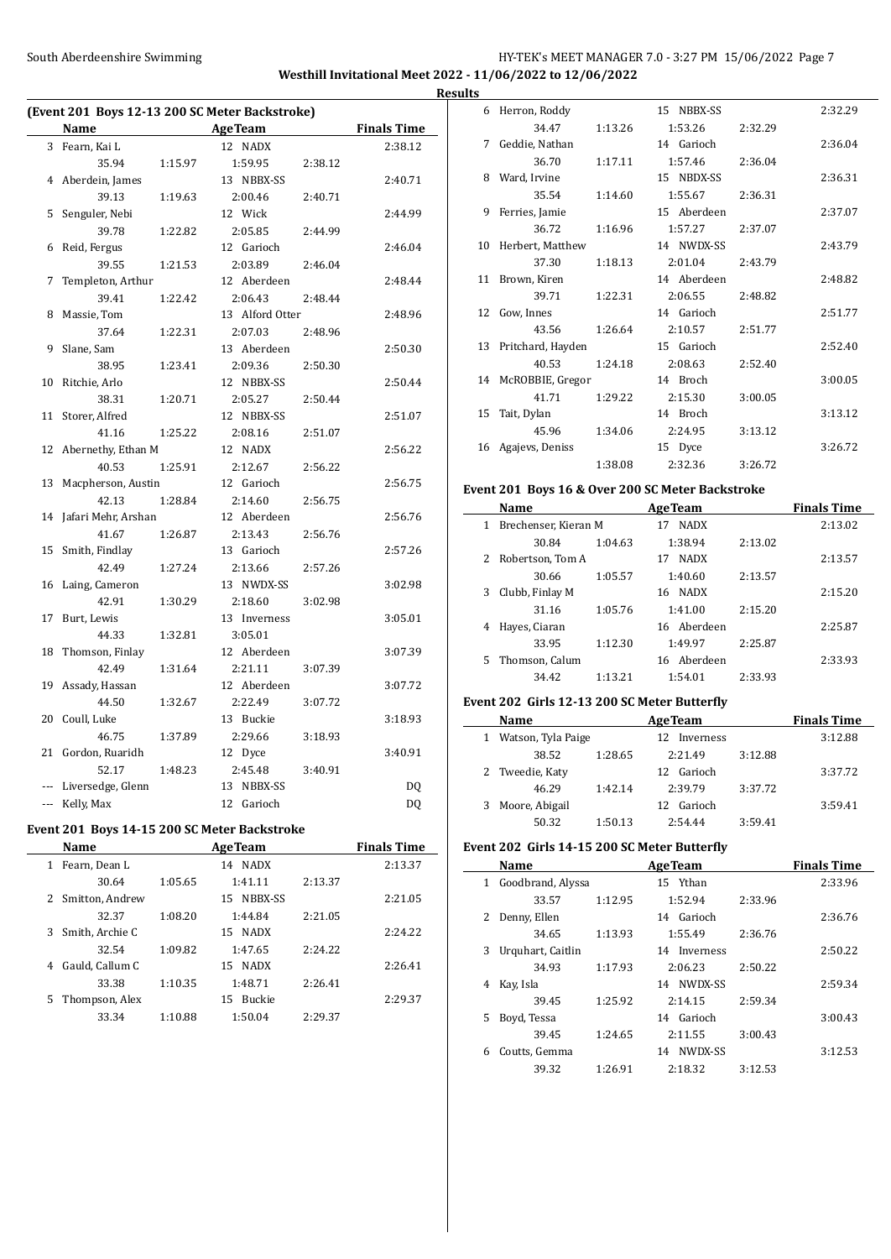### South Aberdeenshire Swimming HY-TEK's MEET MANAGER 7.0 - 3:27 PM 15/06/2022 Page 7 **Westhill Invitational Meet 2022 - 11/06/2022 to 12/06/2022 Results**

| (Event 201 Boys 12-13 200 SC Meter Backstroke) |                       |         |                                              |         |                    |  |  |
|------------------------------------------------|-----------------------|---------|----------------------------------------------|---------|--------------------|--|--|
|                                                | Name                  |         | <b>AgeTeam</b>                               |         | <b>Finals Time</b> |  |  |
| 3                                              | Fearn, Kai L          |         | 12 NADX                                      |         | 2:38.12            |  |  |
|                                                | 35.94                 | 1:15.97 | 1:59.95                                      | 2:38.12 |                    |  |  |
| 4                                              | Aberdein, James       |         | 13 NBBX-SS                                   |         | 2:40.71            |  |  |
|                                                | 39.13                 | 1:19.63 | 2:00.46                                      | 2:40.71 |                    |  |  |
| 5                                              | Senguler, Nebi        |         | 12 Wick                                      |         | 2:44.99            |  |  |
|                                                | 39.78                 | 1:22.82 | 2:05.85                                      | 2:44.99 |                    |  |  |
| 6                                              | Reid, Fergus          |         | 12 Garioch                                   |         | 2:46.04            |  |  |
|                                                | 39.55                 | 1:21.53 | 2:03.89                                      | 2:46.04 |                    |  |  |
| 7                                              | Templeton, Arthur     |         | 12 Aberdeen                                  |         | 2:48.44            |  |  |
|                                                | 39.41                 | 1:22.42 | 2:06.43                                      | 2:48.44 |                    |  |  |
| 8                                              | Massie, Tom           |         | 13 Alford Otter                              |         | 2:48.96            |  |  |
|                                                | 37.64                 | 1:22.31 | 2:07.03                                      | 2:48.96 |                    |  |  |
| 9                                              | Slane, Sam            |         | 13 Aberdeen                                  |         | 2:50.30            |  |  |
|                                                | 38.95                 | 1:23.41 | 2:09.36                                      | 2:50.30 |                    |  |  |
| 10                                             | Ritchie, Arlo         |         | 12 NBBX-SS                                   |         | 2:50.44            |  |  |
|                                                | 38.31                 | 1:20.71 | 2:05.27                                      | 2:50.44 |                    |  |  |
| 11                                             | Storer, Alfred        |         | 12 NBBX-SS                                   |         | 2:51.07            |  |  |
|                                                | 41.16                 | 1:25.22 | 2:08.16                                      | 2:51.07 |                    |  |  |
| 12                                             | Abernethy, Ethan M    |         | 12 NADX                                      |         | 2:56.22            |  |  |
|                                                | 40.53                 | 1:25.91 | 2:12.67                                      | 2:56.22 |                    |  |  |
| 13                                             | Macpherson, Austin    |         | 12 Garioch                                   |         | 2:56.75            |  |  |
|                                                | 42.13                 | 1:28.84 | 2:14.60                                      | 2:56.75 |                    |  |  |
| 14                                             | Jafari Mehr, Arshan   |         | 12 Aberdeen                                  |         | 2:56.76            |  |  |
|                                                | 41.67                 | 1:26.87 | 2:13.43                                      | 2:56.76 |                    |  |  |
| 15                                             | Smith, Findlay        |         | 13 Garioch                                   |         | 2:57.26            |  |  |
|                                                | 42.49                 | 1:27.24 | 2:13.66                                      | 2:57.26 |                    |  |  |
| 16                                             | Laing, Cameron        |         | 13 NWDX-SS                                   |         | 3:02.98            |  |  |
|                                                | 42.91                 | 1:30.29 | 2:18.60                                      | 3:02.98 |                    |  |  |
| 17                                             | Burt, Lewis           |         | 13 Inverness                                 |         | 3:05.01            |  |  |
|                                                | 44.33                 | 1:32.81 | 3:05.01                                      |         |                    |  |  |
| 18                                             | Thomson, Finlay       |         | 12 Aberdeen                                  |         | 3:07.39            |  |  |
|                                                | 42.49                 | 1:31.64 | 2:21.11                                      | 3:07.39 |                    |  |  |
| 19                                             | Assady, Hassan        |         | 12 Aberdeen                                  |         | 3:07.72            |  |  |
|                                                | 44.50                 | 1:32.67 | 2:22.49                                      | 3:07.72 |                    |  |  |
| 20                                             | Coull, Luke           |         | 13 Buckie                                    |         | 3:18.93            |  |  |
|                                                | 46.75                 | 1:37.89 | 2:29.66                                      | 3:18.93 |                    |  |  |
| 21                                             | Gordon, Ruaridh       |         | 12 Dyce                                      |         | 3:40.91            |  |  |
|                                                | 52.17                 | 1:48.23 | 2:45.48                                      | 3:40.91 |                    |  |  |
|                                                | --- Liversedge, Glenn |         | 13 NBBX-SS                                   |         | DQ                 |  |  |
|                                                | --- Kelly, Max        |         | 12 Garioch                                   |         | DQ                 |  |  |
|                                                |                       |         | Event 201 Boys 14-15 200 SC Meter Backstroke |         |                    |  |  |
|                                                | Name                  |         | <b>AgeTeam</b>                               |         | <b>Finals Time</b> |  |  |

|   | Name            |         | Age Team            |         | <b>Finals</b> Time |
|---|-----------------|---------|---------------------|---------|--------------------|
| 1 | Fearn, Dean L   |         | NADX<br>14          |         | 2:13.37            |
|   | 30.64           | 1:05.65 | 1:41.11             | 2:13.37 |                    |
| 2 | Smitton, Andrew |         | NBBX-SS<br>15       |         | 2:21.05            |
|   | 32.37           | 1:08.20 | 1:44.84             | 2:21.05 |                    |
| 3 | Smith, Archie C |         | 15 NADX             |         | 2:24.22            |
|   | 32.54           | 1:09.82 | 1:47.65             | 2:24.22 |                    |
| 4 | Gauld, Callum C |         | 15 NADX             |         | 2:26.41            |
|   | 33.38           | 1:10.35 | 1:48.71             | 2:26.41 |                    |
| 5 | Thompson, Alex  |         | <b>Buckie</b><br>15 |         | 2:29.37            |
|   | 33.34           | 1:10.88 | 1:50.04             | 2:29.37 |                    |
|   |                 |         |                     |         |                    |

| w  |                      |         |             |         |         |
|----|----------------------|---------|-------------|---------|---------|
|    | 6 Herron, Roddy      |         | 15 NBBX-SS  |         | 2:32.29 |
|    | 34.47                | 1:13.26 | 1:53.26     | 2:32.29 |         |
|    | 7 Geddie, Nathan     |         | 14 Garioch  |         | 2:36.04 |
|    | 36.70                | 1:17.11 | 1:57.46     | 2:36.04 |         |
| 8  | Ward, Irvine         |         | 15 NBDX-SS  |         | 2:36.31 |
|    | 35.54                | 1:14.60 | 1:55.67     | 2:36.31 |         |
| 9  | Ferries, Jamie       |         | 15 Aberdeen |         | 2:37.07 |
|    | 36.72                | 1:16.96 | 1:57.27     | 2:37.07 |         |
| 10 | Herbert, Matthew     |         | 14 NWDX-SS  |         | 2:43.79 |
|    | 37.30                | 1:18.13 | 2:01.04     | 2:43.79 |         |
|    | 11 Brown, Kiren      |         | 14 Aberdeen |         | 2:48.82 |
|    | 39.71                | 1:22.31 | 2:06.55     | 2:48.82 |         |
| 12 | Gow, Innes           |         | 14 Garioch  |         | 2:51.77 |
|    | 43.56                | 1:26.64 | 2:10.57     | 2:51.77 |         |
|    | 13 Pritchard, Hayden |         | 15 Garioch  |         | 2:52.40 |
|    | 40.53                | 1:24.18 | 2:08.63     | 2:52.40 |         |
| 14 | McROBBIE, Gregor     |         | 14 Broch    |         | 3:00.05 |
|    | 41.71                | 1:29.22 | 2:15.30     | 3:00.05 |         |
| 15 | Tait, Dylan          |         | 14 Broch    |         | 3:13.12 |
|    | 45.96                | 1:34.06 | 2:24.95     | 3:13.12 |         |
| 16 | Agajevs, Deniss      |         | 15 Dyce     |         | 3:26.72 |
|    |                      | 1:38.08 | 2:32.36     | 3:26.72 |         |
|    |                      |         |             |         |         |

### **Event 201 Boys 16 & Over 200 SC Meter Backstroke**

|    | Name                 |         | <b>AgeTeam</b>    |         | <b>Finals Time</b> |
|----|----------------------|---------|-------------------|---------|--------------------|
| 1  | Brechenser, Kieran M |         | <b>NADX</b><br>17 |         | 2:13.02            |
|    | 30.84                | 1:04.63 | 1:38.94           | 2:13.02 |                    |
| 2  | Robertson, Tom A     |         | <b>NADX</b><br>17 |         | 2:13.57            |
|    | 30.66                | 1:05.57 | 1:40.60           | 2:13.57 |                    |
| 3  | Clubb, Finlay M      |         | 16 NADX           |         | 2:15.20            |
|    | 31.16                | 1:05.76 | 1:41.00           | 2:15.20 |                    |
| 4  | Hayes, Ciaran        |         | 16 Aberdeen       |         | 2:25.87            |
|    | 33.95                | 1:12.30 | 1:49.97           | 2:25.87 |                    |
| 5. | Thomson, Calum       |         | 16 Aberdeen       |         | 2:33.93            |
|    | 34.42                | 1:13.21 | 1:54.01           | 2:33.93 |                    |
|    |                      |         |                   |         |                    |

### **Event 202 Girls 12-13 200 SC Meter Butterfly**

|    | <b>Name</b>          |         | <b>AgeTeam</b>  | <b>Finals Time</b> |         |
|----|----------------------|---------|-----------------|--------------------|---------|
|    | 1 Watson, Tyla Paige |         | Inverness<br>12 |                    | 3:12.88 |
|    | 38.52                | 1:28.65 | 2:21.49         | 3:12.88            |         |
|    | 2 Tweedie, Katy      |         | Garioch<br>12.  |                    | 3:37.72 |
|    | 46.29                | 1:42.14 | 2:39.79         | 3:37.72            |         |
| 3. | Moore, Abigail       |         | Garioch<br>12   |                    | 3:59.41 |
|    | 50.32                | 1:50.13 | 2:54.44         | 3:59.41            |         |

### **Event 202 Girls 14-15 200 SC Meter Butterfly**

|    | Name              |         | <b>AgeTeam</b> |         | <b>Finals Time</b> |
|----|-------------------|---------|----------------|---------|--------------------|
| 1  | Goodbrand, Alyssa |         | 15 Ythan       |         | 2:33.96            |
|    | 33.57             | 1:12.95 | 1:52.94        | 2:33.96 |                    |
| 2  | Denny, Ellen      |         | 14 Garioch     |         | 2:36.76            |
|    | 34.65             | 1:13.93 | 1:55.49        | 2:36.76 |                    |
| 3  | Urquhart, Caitlin |         | 14 Inverness   |         | 2:50.22            |
|    | 34.93             | 1:17.93 | 2:06.23        | 2:50.22 |                    |
| 4  | Kay, Isla         |         | 14 NWDX-SS     |         | 2:59.34            |
|    | 39.45             | 1:25.92 | 2:14.15        | 2:59.34 |                    |
| 5. | Boyd, Tessa       |         | 14 Garioch     |         | 3:00.43            |
|    | 39.45             | 1:24.65 | 2:11.55        | 3:00.43 |                    |
| 6  | Coutts, Gemma     |         | 14 NWDX-SS     |         | 3:12.53            |
|    | 39.32             | 1:26.91 | 2:18.32        | 3:12.53 |                    |
|    |                   |         |                |         |                    |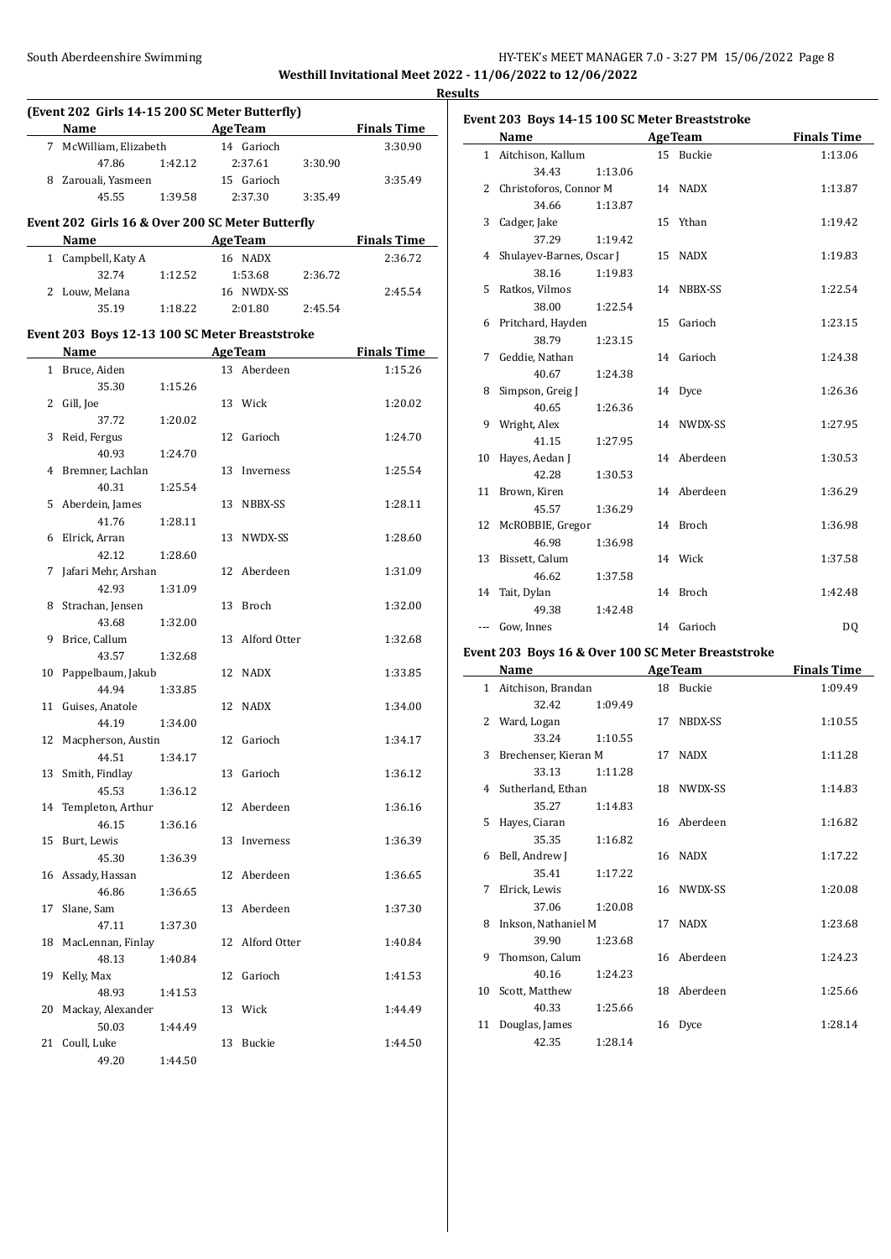# South Aberdeenshire Swimming **Supplemance 2018** HY-TEK's MEET MANAGER 7.0 - 3:27 PM 15/06/2022 Page 8 **Westhill Invitational Meet 2022 - 11/06/2022 to 12/06/2022**

**Results**

| (Event 202 Girls 14-15 200 SC Meter Butterfly) |                                                   |                 |  |                 |         |                    |  |  |  |  |  |
|------------------------------------------------|---------------------------------------------------|-----------------|--|-----------------|---------|--------------------|--|--|--|--|--|
|                                                | Name<br><b>Example 2 AgeTeam</b>                  |                 |  |                 |         | <b>Finals Time</b> |  |  |  |  |  |
|                                                | 7 McWilliam, Elizabeth                            |                 |  | 14 Garioch      |         | 3:30.90            |  |  |  |  |  |
|                                                | 47.86                                             | 1:42.12 2:37.61 |  |                 | 3:30.90 |                    |  |  |  |  |  |
|                                                | 8 Zarouali, Yasmeen                               |                 |  | 15 Garioch      |         | 3:35.49            |  |  |  |  |  |
|                                                | 45.55                                             | 1:39.58         |  | 2:37.30         | 3:35.49 |                    |  |  |  |  |  |
|                                                | Event 202 Girls 16 & Over 200 SC Meter Butterfly  |                 |  |                 |         |                    |  |  |  |  |  |
|                                                | Name AgeTeam                                      |                 |  |                 |         | <b>Finals Time</b> |  |  |  |  |  |
|                                                | 1 Campbell, Katy A                                |                 |  | 16 NADX         |         | 2:36.72            |  |  |  |  |  |
|                                                | 32.74                                             | 1:12.52         |  | 1:53.68         | 2:36.72 |                    |  |  |  |  |  |
|                                                | 2 Louw, Melana                                    |                 |  | 16 NWDX-SS      |         | 2:45.54            |  |  |  |  |  |
|                                                | 35.19                                             | 1:18.22         |  | 2:01.80         | 2:45.54 |                    |  |  |  |  |  |
|                                                | Event 203 Boys 12-13 100 SC Meter Breaststroke    |                 |  |                 |         |                    |  |  |  |  |  |
|                                                | Name<br>the control of the control of the control |                 |  | Age Team        |         | <b>Finals Time</b> |  |  |  |  |  |
|                                                | 1 Bruce, Aiden                                    |                 |  | 13 Aberdeen     |         | 1:15.26            |  |  |  |  |  |
|                                                | 35.30                                             | 1:15.26         |  |                 |         |                    |  |  |  |  |  |
|                                                | 2 Gill, Joe                                       |                 |  | 13 Wick         |         | 1:20.02            |  |  |  |  |  |
|                                                | 37.72                                             | 1:20.02         |  |                 |         |                    |  |  |  |  |  |
|                                                | 3 Reid, Fergus                                    |                 |  | 12 Garioch      |         | 1:24.70            |  |  |  |  |  |
|                                                | 40.93                                             | 1:24.70         |  |                 |         |                    |  |  |  |  |  |
|                                                | 4 Bremner, Lachlan                                |                 |  | 13 Inverness    |         | 1:25.54            |  |  |  |  |  |
|                                                | 40.31                                             | 1:25.54         |  |                 |         |                    |  |  |  |  |  |
|                                                | 5 Aberdein, James                                 |                 |  | 13 NBBX-SS      |         | 1:28.11            |  |  |  |  |  |
|                                                | 41.76                                             | 1:28.11         |  |                 |         |                    |  |  |  |  |  |
| 6                                              | Elrick, Arran                                     |                 |  | 13 NWDX-SS      |         | 1:28.60            |  |  |  |  |  |
|                                                | 42.12                                             | 1:28.60         |  |                 |         |                    |  |  |  |  |  |
| 7                                              | Jafari Mehr, Arshan                               |                 |  | 12 Aberdeen     |         | 1:31.09            |  |  |  |  |  |
|                                                | 42.93                                             | 1:31.09         |  |                 |         |                    |  |  |  |  |  |
| 8                                              | Strachan, Jensen                                  |                 |  | 13 Broch        |         | 1:32.00            |  |  |  |  |  |
|                                                | 43.68                                             | 1:32.00         |  |                 |         |                    |  |  |  |  |  |
| 9                                              | Brice, Callum                                     |                 |  | 13 Alford Otter |         | 1:32.68            |  |  |  |  |  |
|                                                | 43.57                                             | 1:32.68         |  |                 |         |                    |  |  |  |  |  |
| 10                                             | Pappelbaum, Jakub<br>44.94                        |                 |  | 12 NADX         |         | 1:33.85            |  |  |  |  |  |
| 11                                             | Guises, Anatole                                   | 1:33.85         |  | 12 NADX         |         | 1:34.00            |  |  |  |  |  |
|                                                | 44.19                                             | 1:34.00         |  |                 |         |                    |  |  |  |  |  |
| 12                                             | Macpherson, Austin                                |                 |  | 12 Garioch      |         | 1:34.17            |  |  |  |  |  |
|                                                | 44.51                                             | 1:34.17         |  |                 |         |                    |  |  |  |  |  |
|                                                | 13 Smith, Findlay                                 |                 |  | 13 Garioch      |         | 1:36.12            |  |  |  |  |  |
|                                                | 45.53                                             | 1:36.12         |  |                 |         |                    |  |  |  |  |  |
| 14                                             | Templeton, Arthur                                 |                 |  | 12 Aberdeen     |         | 1:36.16            |  |  |  |  |  |
|                                                | 46.15                                             | 1:36.16         |  |                 |         |                    |  |  |  |  |  |
| 15                                             | Burt, Lewis                                       |                 |  | 13 Inverness    |         | 1:36.39            |  |  |  |  |  |
|                                                | 45.30                                             | 1:36.39         |  |                 |         |                    |  |  |  |  |  |
| 16                                             | Assady, Hassan                                    |                 |  | 12 Aberdeen     |         | 1:36.65            |  |  |  |  |  |
|                                                | 46.86                                             | 1:36.65         |  |                 |         |                    |  |  |  |  |  |
| 17                                             | Slane, Sam                                        |                 |  | 13 Aberdeen     |         | 1:37.30            |  |  |  |  |  |
|                                                | 47.11                                             | 1:37.30         |  |                 |         |                    |  |  |  |  |  |
| 18                                             | MacLennan, Finlay                                 |                 |  | 12 Alford Otter |         | 1:40.84            |  |  |  |  |  |
|                                                | 48.13                                             | 1:40.84         |  |                 |         |                    |  |  |  |  |  |
| 19                                             | Kelly, Max                                        |                 |  | 12 Garioch      |         | 1:41.53            |  |  |  |  |  |
|                                                | 48.93                                             | 1:41.53         |  |                 |         |                    |  |  |  |  |  |
| 20                                             | Mackay, Alexander<br>50.03                        |                 |  | 13 Wick         |         | 1:44.49            |  |  |  |  |  |
| 21                                             | Coull, Luke                                       | 1:44.49         |  | 13 Buckie       |         | 1:44.50            |  |  |  |  |  |
|                                                | 49.20                                             | 1:44.50         |  |                 |         |                    |  |  |  |  |  |
|                                                |                                                   |                 |  |                 |         |                    |  |  |  |  |  |

|              | Event 203 Boys 14-15 100 SC Meter Breaststroke |                               |  |                |                    |  |  |  |
|--------------|------------------------------------------------|-------------------------------|--|----------------|--------------------|--|--|--|
|              | <b>Name</b>                                    | the control of the control of |  | <b>AgeTeam</b> | <b>Finals Time</b> |  |  |  |
| $\mathbf{1}$ | Aitchison, Kallum                              |                               |  | 15 Buckie      | 1:13.06            |  |  |  |
|              | 34.43                                          | 1:13.06                       |  |                |                    |  |  |  |
|              | 2 Christoforos, Connor M                       |                               |  | 14 NADX        | 1:13.87            |  |  |  |
|              | 34.66                                          | 1:13.87                       |  |                |                    |  |  |  |
| 3            | Cadger, Jake                                   |                               |  | 15 Ythan       | 1:19.42            |  |  |  |
|              | 37.29                                          | 1:19.42                       |  |                |                    |  |  |  |
|              | 4 Shulayev-Barnes, Oscar J                     |                               |  | 15 NADX        | 1:19.83            |  |  |  |
|              | 38.16                                          | 1:19.83                       |  |                |                    |  |  |  |
|              | 5 Ratkos, Vilmos                               |                               |  | 14 NBBX-SS     | 1:22.54            |  |  |  |
|              | 38.00                                          | 1:22.54                       |  |                |                    |  |  |  |
|              | 6 Pritchard, Hayden                            |                               |  | 15 Garioch     | 1:23.15            |  |  |  |
|              | 38.79                                          | 1:23.15                       |  |                |                    |  |  |  |
|              | 7 Geddie, Nathan                               |                               |  | 14 Garioch     | 1:24.38            |  |  |  |
|              | 40.67                                          | 1:24.38                       |  |                |                    |  |  |  |
| 8            | Simpson, Greig J                               |                               |  | 14 Dyce        | 1:26.36            |  |  |  |
|              | 40.65                                          | 1:26.36                       |  |                |                    |  |  |  |
|              | 9 Wright, Alex                                 |                               |  | 14 NWDX-SS     | 1:27.95            |  |  |  |
|              | 41.15                                          | 1:27.95                       |  |                |                    |  |  |  |
| 10           | Hayes, Aedan J                                 |                               |  | 14 Aberdeen    | 1:30.53            |  |  |  |
|              | 42.28                                          | 1:30.53                       |  |                |                    |  |  |  |
| 11           | Brown, Kiren                                   |                               |  | 14 Aberdeen    | 1:36.29            |  |  |  |
|              | 45.57                                          | 1:36.29                       |  |                |                    |  |  |  |
| 12           | McROBBIE, Gregor                               |                               |  | 14 Broch       | 1:36.98            |  |  |  |
|              | 46.98                                          | 1:36.98                       |  |                |                    |  |  |  |
|              | 13 Bissett, Calum                              |                               |  | 14 Wick        | 1:37.58            |  |  |  |
|              | 46.62                                          | 1:37.58                       |  |                |                    |  |  |  |
|              | 14 Tait, Dylan                                 |                               |  | 14 Broch       | 1:42.48            |  |  |  |
|              | 49.38                                          | 1:42.48                       |  |                |                    |  |  |  |
|              | Gow, Innes                                     |                               |  | 14 Garioch     | DQ                 |  |  |  |
|              |                                                |                               |  |                |                    |  |  |  |

### **Event 203 Boys 16 & Over 100 SC Meter Breaststroke**

|              | Name                 |         |    | <b>AgeTeam</b> | <b>Finals Time</b> |
|--------------|----------------------|---------|----|----------------|--------------------|
| $\mathbf{1}$ | Aitchison, Brandan   |         |    | 18 Buckie      | 1:09.49            |
|              | 32.42                | 1:09.49 |    |                |                    |
|              | 2 Ward, Logan        |         | 17 | NBDX-SS        | 1:10.55            |
|              | 33.24                | 1:10.55 |    |                |                    |
| 3            | Brechenser, Kieran M |         |    | 17 NADX        | 1:11.28            |
|              | 33.13                | 1:11.28 |    |                |                    |
|              | 4 Sutherland, Ethan  |         |    | 18 NWDX-SS     | 1:14.83            |
|              | 35.27                | 1:14.83 |    |                |                    |
| 5.           | Hayes, Ciaran        |         |    | 16 Aberdeen    | 1:16.82            |
|              | 35.35                | 1:16.82 |    |                |                    |
| 6            | Bell, Andrew J       |         |    | 16 NADX        | 1:17.22            |
|              | 35.41                | 1:17.22 |    |                |                    |
| 7            | Elrick, Lewis        |         | 16 | NWDX-SS        | 1:20.08            |
|              | 37.06                | 1:20.08 |    |                |                    |
| 8            | Inkson, Nathaniel M  |         | 17 | <b>NADX</b>    | 1:23.68            |
|              | 39.90                | 1:23.68 |    |                |                    |
| 9            | Thomson, Calum       |         |    | 16 Aberdeen    | 1:24.23            |
|              | 40.16                | 1:24.23 |    |                |                    |
|              | 10 Scott, Matthew    |         |    | 18 Aberdeen    | 1:25.66            |
|              | 40.33                | 1:25.66 |    |                |                    |
| 11           | Douglas, James       |         | 16 | Dyce           | 1:28.14            |
|              | 42.35                | 1:28.14 |    |                |                    |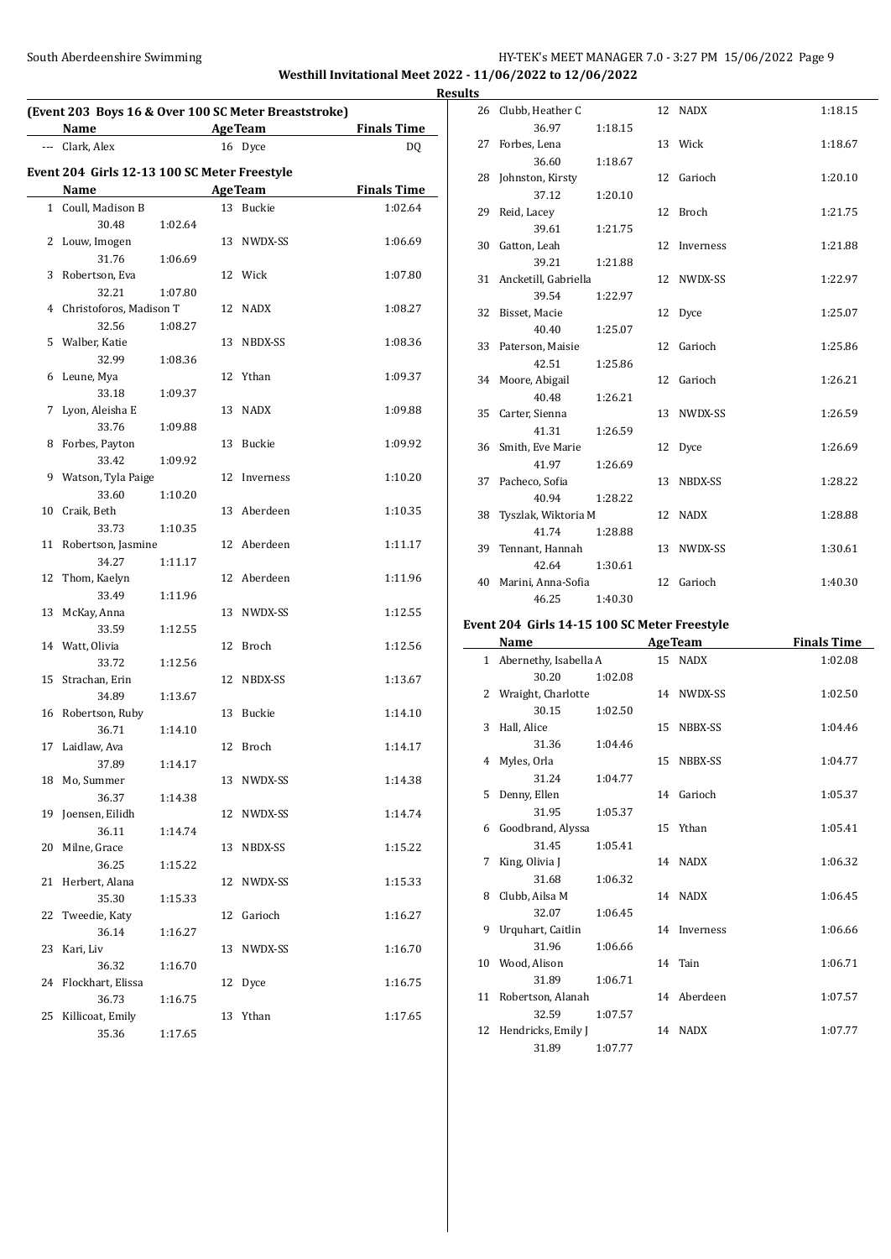#### South Aberdeenshire Swimming HY-TEK's MEET MANAGER 7.0 - 3:27 PM 15/06/2022 Page 9 **Westhill Invitational Meet 2022 - 11/06/2022 to 12/06/2022**

**(Event 203 Boys 16 & Over 100 SC Meter Breaststroke) Name Age Team Finals Time** --- Clark, Alex 16 Dyce DQ **Event 204 Girls 12-13 100 SC Meter Freestyle Name Age Team Finals Time** 1 Coull, Madison B 13 Buckie 1:02.64 30.48 1:02.64 2 Louw, Imogen 13 NWDX-SS 1:06.69 31.76 1:06.69 3 Robertson, Eva 12 Wick 1:07.80 32.21 1:07.80 4 Christoforos, Madison T 12 NADX 1:08.27 32.56 1:08.27 5 Walber, Katie 13 NBDX-SS 1:08.36 32.99 1:08.36 6 Leune, Mya 12 Ythan 1:09.37 33.18 1:09.37 7 Lyon, Aleisha E 13 NADX 1:09.88 33.76 1:09.88 8 Forbes, Payton 13 Buckie 1:09.92 33.42 1:09.92 9 Watson, Tyla Paige 12 Inverness 1:10.20 33.60 1:10.20 10 Craik, Beth 13 Aberdeen 1:10.35 33.73 1:10.35 11 Robertson, Jasmine 12 Aberdeen 1:11.17 34.27 1:11.17 12 Thom, Kaelyn 12 Aberdeen 1:11.96 33.49 1:11.96 13 McKay, Anna 13 NWDX-SS 1:12.55 33.59 1:12.55 14 Watt, Olivia 12 Broch 1:12.56 33.72 1:12.56 15 Strachan, Erin 12 NBDX-SS 1:13.67 34.89 1:13.67 16 Robertson, Ruby 13 Buckie 1:14.10 36.71 1:14.10 17 Laidlaw, Ava 12 Broch 1:14.17 37.89 1:14.17 18 Mo, Summer 13 NWDX-SS 1:14.38 36.37 1:14.38 19 Joensen, Eilidh 12 NWDX-SS 1:14.74 36.11 1:14.74 20 Milne, Grace 13 NBDX-SS 1:15.22 36.25 1:15.22 21 Herbert, Alana 12 NWDX-SS 1:15.33 35.30 1:15.33 22 Tweedie, Katy 12 Garioch 1:16.27 36.14 1:16.27 23 Kari, Liv 13 NWDX-SS 1:16.70 36.32 1:16.70 24 Flockhart, Elissa 12 Dyce 1:16.75 36.73 1:16.75 25 Killicoat, Emily 13 Ythan 1:17.65 35.36 1:17.65

|    | <b>Results</b> |                         |         |              |         |
|----|----------------|-------------------------|---------|--------------|---------|
|    |                | 26 Clubb, Heather C     |         | 12 NADX      | 1:18.15 |
| f, |                | 36.97                   | 1:18.15 |              |         |
|    |                | 27 Forbes, Lena         |         | 13 Wick      | 1:18.67 |
|    |                | 36.60                   | 1:18.67 |              |         |
|    |                | 28 Johnston, Kirsty     |         | 12 Garioch   | 1:20.10 |
|    |                | 37.12                   | 1:20.10 |              |         |
|    |                | 29 Reid, Lacey          |         | 12 Broch     | 1:21.75 |
|    |                | 39.61                   | 1:21.75 |              |         |
|    |                | 30 Gatton, Leah         |         | 12 Inverness | 1:21.88 |
|    |                | 39.21                   | 1:21.88 |              |         |
|    |                | 31 Ancketill, Gabriella |         | 12 NWDX-SS   | 1:22.97 |
|    |                | 39.54                   | 1:22.97 |              |         |
|    |                | 32 Bisset, Macie        |         | 12 Dyce      | 1:25.07 |
|    |                | 40.40                   | 1:25.07 |              |         |
|    |                | 33 Paterson, Maisie     |         | 12 Garioch   | 1:25.86 |
|    |                | 42.51                   | 1:25.86 |              |         |
|    |                | 34 Moore, Abigail       |         | 12 Garioch   | 1:26.21 |
|    |                | 40.48                   | 1:26.21 |              |         |
|    |                | 35 Carter, Sienna       |         | 13 NWDX-SS   | 1:26.59 |
|    |                | 41.31                   | 1:26.59 |              |         |
|    |                | 36 Smith, Eve Marie     |         | 12 Dyce      | 1:26.69 |
|    |                | 41.97                   | 1:26.69 |              |         |
|    |                | 37 Pacheco, Sofia       |         | 13 NBDX-SS   | 1:28.22 |
|    |                | 40.94                   | 1:28.22 |              |         |
|    |                | 38 Tyszlak, Wiktoria M  |         | 12 NADX      | 1:28.88 |
|    |                | 41.74                   | 1:28.88 |              |         |
|    |                | 39 Tennant, Hannah      |         | 13 NWDX-SS   | 1:30.61 |
|    |                | 42.64                   | 1:30.61 |              |         |
|    |                | 40 Marini, Anna-Sofia   |         | 12 Garioch   | 1:40.30 |
|    |                | 46.25                   | 1:40.30 |              |         |

#### **Event 204 Girls 14-15 100 SC Meter Freestyle**

 $\overline{a}$ 

|    | <b>Name</b>             |         | <b>AgeTeam</b> | <b>Finals Time</b> |
|----|-------------------------|---------|----------------|--------------------|
|    | 1 Abernethy, Isabella A |         | 15 NADX        | 1:02.08            |
|    | 30.20                   | 1:02.08 |                |                    |
|    | 2 Wraight, Charlotte    |         | 14 NWDX-SS     | 1:02.50            |
|    | 30.15                   | 1:02.50 |                |                    |
| 3  | Hall, Alice             |         | 15 NBBX-SS     | 1:04.46            |
|    | 31.36                   | 1:04.46 |                |                    |
| 4  | Myles, Orla             |         | 15 NBBX-SS     | 1:04.77            |
|    | 31.24                   | 1:04.77 |                |                    |
| 5. | Denny, Ellen            |         | 14 Garioch     | 1:05.37            |
|    | 31.95                   | 1:05.37 |                |                    |
|    | 6 Goodbrand, Alyssa     |         | 15 Ythan       | 1:05.41            |
|    | 31.45                   | 1:05.41 |                |                    |
| 7  | King, Olivia J          |         | 14 NADX        | 1:06.32            |
|    | 31.68                   | 1:06.32 |                |                    |
|    | 8 Clubb, Ailsa M        |         | 14 NADX        | 1:06.45            |
|    | 32.07                   | 1:06.45 |                |                    |
| 9  | Urquhart, Caitlin       |         | 14 Inverness   | 1:06.66            |
|    | 31.96                   | 1:06.66 |                |                    |
|    | 10 Wood, Alison         |         | 14 Tain        | 1:06.71            |
|    | 31.89                   | 1:06.71 |                |                    |
|    | 11 Robertson, Alanah    |         | 14 Aberdeen    | 1:07.57            |
|    | 32.59                   | 1:07.57 |                |                    |
|    | 12 Hendricks, Emily J   |         | 14 NADX        | 1:07.77            |
|    | 31.89                   | 1:07.77 |                |                    |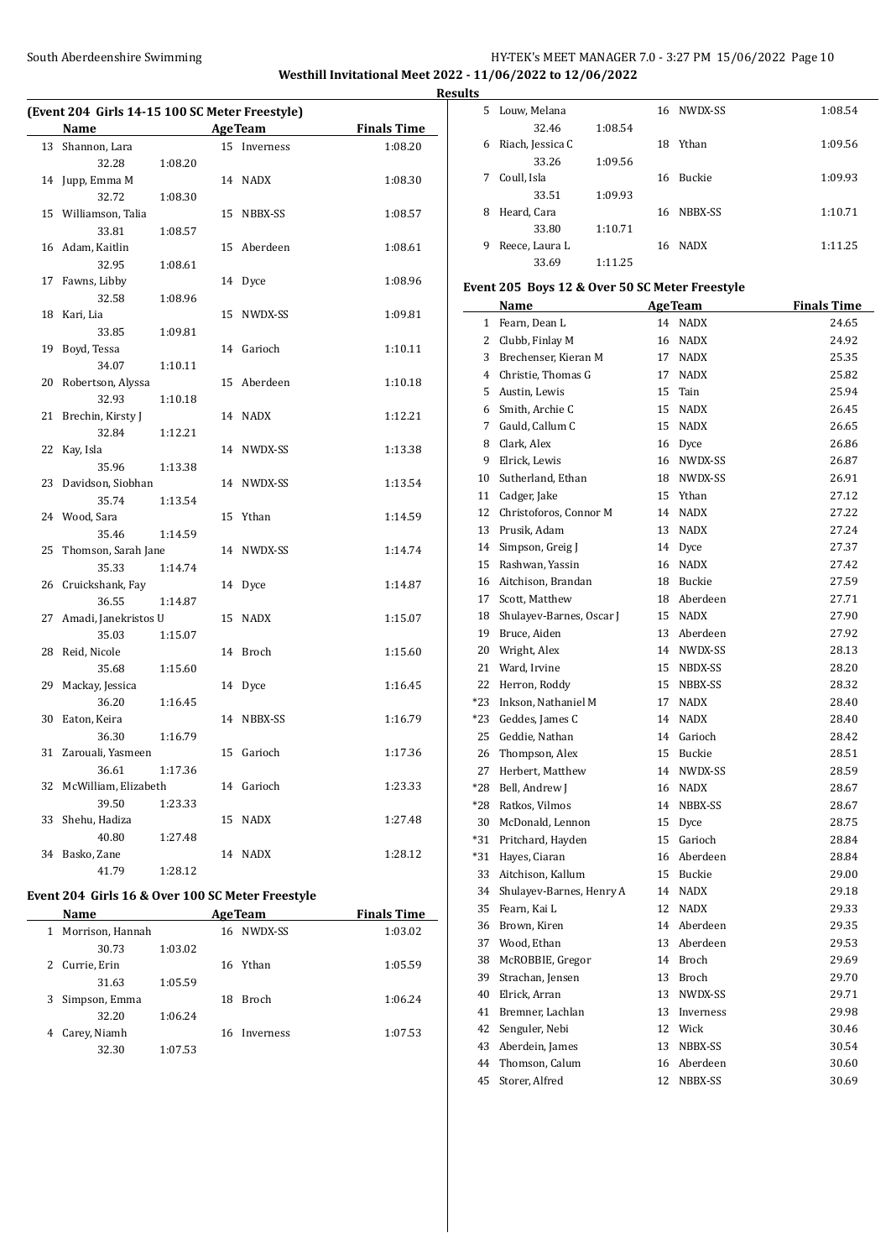#### South Aberdeenshire Swimming Theory of the HY-TEK's MEET MANAGER 7.0 - 3:27 PM 15/06/2022 Page 10 **Westhill Invitational Meet 2022 - 11/06/2022 to 12/06/2022 Results**

 $\overline{a}$ 

**(Event 204 Girls 14-15 100 SC Meter Freestyle) Name Age Team Finals Time** 13 Shannon, Lara 15 Inverness 1:08.20 32.28 1:08.20 14 Jupp, Emma M 14 NADX 1:08.30 32.72 1:08.30 15 Williamson, Talia 15 NBBX-SS 1:08.57 33.81 1:08.57 16 Adam, Kaitlin 15 Aberdeen 1:08.61 32.95 1:08.61 17 Fawns, Libby 14 Dyce 1:08.96 32.58 1:08.96 18 Kari, Lia 15 NWDX-SS 1:09.81 33.85 1:09.81 19 Boyd, Tessa 14 Garioch 1:10.11 34.07 1:10.11 20 Robertson, Alyssa 15 Aberdeen 1:10.18 32.93 1:10.18 21 Brechin, Kirsty J 14 NADX 1:12.21 32.84 1:12.21 22 Kay, Isla 14 NWDX-SS 1:13.38 35.96 1:13.38 23 Davidson, Siobhan 14 NWDX-SS 1:13.54 35.74 1:13.54 24 Wood, Sara 15 Ythan 1:14.59 35.46 1:14.59 25 Thomson, Sarah Jane 14 NWDX-SS 1:14.74 35.33 1:14.74 26 Cruickshank, Fay 14 Dyce 1:14.87 36.55 1:14.87 27 Amadi, Janekristos U 15 NADX 1:15.07 35.03 1:15.07 28 Reid, Nicole 14 Broch 1:15.60 35.68 1:15.60 29 Mackay, Jessica 14 Dyce 1:16.45 36.20 1:16.45 30 Eaton, Keira 14 NBBX-SS 1:16.79 36.30 1:16.79 31 Zarouali, Yasmeen 15 Garioch 1:17.36 36.61 1:17.36 32 McWilliam, Elizabeth 14 Garioch 1:23.33 39.50 1:23.33 33 Shehu, Hadiza 15 NADX 1:27.48 40.80 1:27.48 34 Basko, Zane 14 NADX 1:28.12 41.79 1:28.12

### **Event 204 Girls 16 & Over 100 SC Meter Freestyle**

|   | Name             |         |    | <b>AgeTeam</b> | <b>Finals Time</b> |
|---|------------------|---------|----|----------------|--------------------|
| 1 | Morrison, Hannah |         |    | 16 NWDX-SS     | 1:03.02            |
|   | 30.73            | 1:03.02 |    |                |                    |
| 2 | Currie, Erin     |         |    | 16 Ythan       | 1:05.59            |
|   | 31.63            | 1:05.59 |    |                |                    |
| 3 | Simpson, Emma    |         | 18 | <b>Broch</b>   | 1:06.24            |
|   | 32.20            | 1:06.24 |    |                |                    |
| 4 | Carey, Niamh     |         |    | 16 Inverness   | 1:07.53            |
|   | 32.30            | 1:07.53 |    |                |                    |

| .  |                  |         |     |             |         |
|----|------------------|---------|-----|-------------|---------|
| 5. | Louw, Melana     |         |     | 16 NWDX-SS  | 1:08.54 |
|    | 32.46            | 1:08.54 |     |             |         |
| 6  | Riach, Jessica C |         | 18  | Ythan       | 1:09.56 |
|    | 33.26            | 1:09.56 |     |             |         |
| 7  | Coull, Isla      |         | 16. | Buckie      | 1:09.93 |
|    | 33.51            | 1:09.93 |     |             |         |
| 8  | Heard, Cara      |         | 16. | NBBX-SS     | 1:10.71 |
|    | 33.80            | 1:10.71 |     |             |         |
| 9  | Reece, Laura L   |         | 16. | <b>NADX</b> | 1:11.25 |
|    | 33.69            | 1:11.25 |     |             |         |
|    |                  |         |     |             |         |

# **Event 205 Boys 12 & Over 50 SC Meter Freestyle**

|       | Name                     |    | <b>AgeTeam</b> | <b>Finals Time</b> |
|-------|--------------------------|----|----------------|--------------------|
| 1     | Fearn, Dean L            |    | 14 NADX        | 24.65              |
| 2     | Clubb, Finlay M          | 16 | NADX           | 24.92              |
| 3     | Brechenser, Kieran M     | 17 | <b>NADX</b>    | 25.35              |
| 4     | Christie, Thomas G       | 17 | <b>NADX</b>    | 25.82              |
| 5     | Austin, Lewis            | 15 | Tain           | 25.94              |
| 6     | Smith, Archie C          | 15 | <b>NADX</b>    | 26.45              |
| 7     | Gauld, Callum C          | 15 | <b>NADX</b>    | 26.65              |
| 8     | Clark, Alex              |    | 16 Dyce        | 26.86              |
| 9     | Elrick, Lewis            |    | 16 NWDX-SS     | 26.87              |
| 10    | Sutherland, Ethan        |    | 18 NWDX-SS     | 26.91              |
| 11    | Cadger, Jake             | 15 | Ythan          | 27.12              |
| 12    | Christoforos, Connor M   |    | 14 NADX        | 27.22              |
| 13    | Prusik, Adam             | 13 | NADX           | 27.24              |
| 14    | Simpson, Greig J         | 14 | Dyce           | 27.37              |
| 15    | Rashwan, Yassin          | 16 | <b>NADX</b>    | 27.42              |
| 16    | Aitchison, Brandan       | 18 | Buckie         | 27.59              |
| 17    | Scott, Matthew           | 18 | Aberdeen       | 27.71              |
| 18    | Shulayev-Barnes, Oscar J | 15 | <b>NADX</b>    | 27.90              |
| 19    | Bruce, Aiden             | 13 | Aberdeen       | 27.92              |
| 20    | Wright, Alex             | 14 | NWDX-SS        | 28.13              |
| 21    | Ward, Irvine             |    | 15 NBDX-SS     | 28.20              |
| 22    | Herron, Roddy            |    | 15 NBBX-SS     | 28.32              |
| $*23$ | Inkson, Nathaniel M      | 17 | <b>NADX</b>    | 28.40              |
| $*23$ | Geddes, James C          | 14 | <b>NADX</b>    | 28.40              |
| 25    | Geddie, Nathan           |    | 14 Garioch     | 28.42              |
| 26    | Thompson, Alex           | 15 | Buckie         | 28.51              |
| 27    | Herbert, Matthew         | 14 | NWDX-SS        | 28.59              |
| *28   | Bell, Andrew J           | 16 | <b>NADX</b>    | 28.67              |
| $*28$ | Ratkos, Vilmos           | 14 | NBBX-SS        | 28.67              |
| 30    | McDonald, Lennon         | 15 | Dyce           | 28.75              |
| $*31$ | Pritchard, Hayden        | 15 | Garioch        | 28.84              |
| $*31$ | Hayes, Ciaran            | 16 | Aberdeen       | 28.84              |
| 33    | Aitchison, Kallum        |    | 15 Buckie      | 29.00              |
| 34    | Shulayev-Barnes, Henry A |    | 14 NADX        | 29.18              |
| 35    | Fearn, Kai L             |    | 12 NADX        | 29.33              |
| 36    | Brown, Kiren             |    | 14 Aberdeen    | 29.35              |
| 37    | Wood, Ethan              | 13 | Aberdeen       | 29.53              |
| 38    | McROBBIE, Gregor         | 14 | Broch          | 29.69              |
| 39    | Strachan, Jensen         | 13 | Broch          | 29.70              |
| 40    | Elrick, Arran            | 13 | NWDX-SS        | 29.71              |
| 41    | Bremner, Lachlan         | 13 | Inverness      | 29.98              |
| 42    | Senguler, Nebi           | 12 | Wick           | 30.46              |
| 43    | Aberdein, James          | 13 | NBBX-SS        | 30.54              |
| 44    | Thomson, Calum           | 16 | Aberdeen       | 30.60              |
| 45    | Storer, Alfred           | 12 | NBBX-SS        | 30.69              |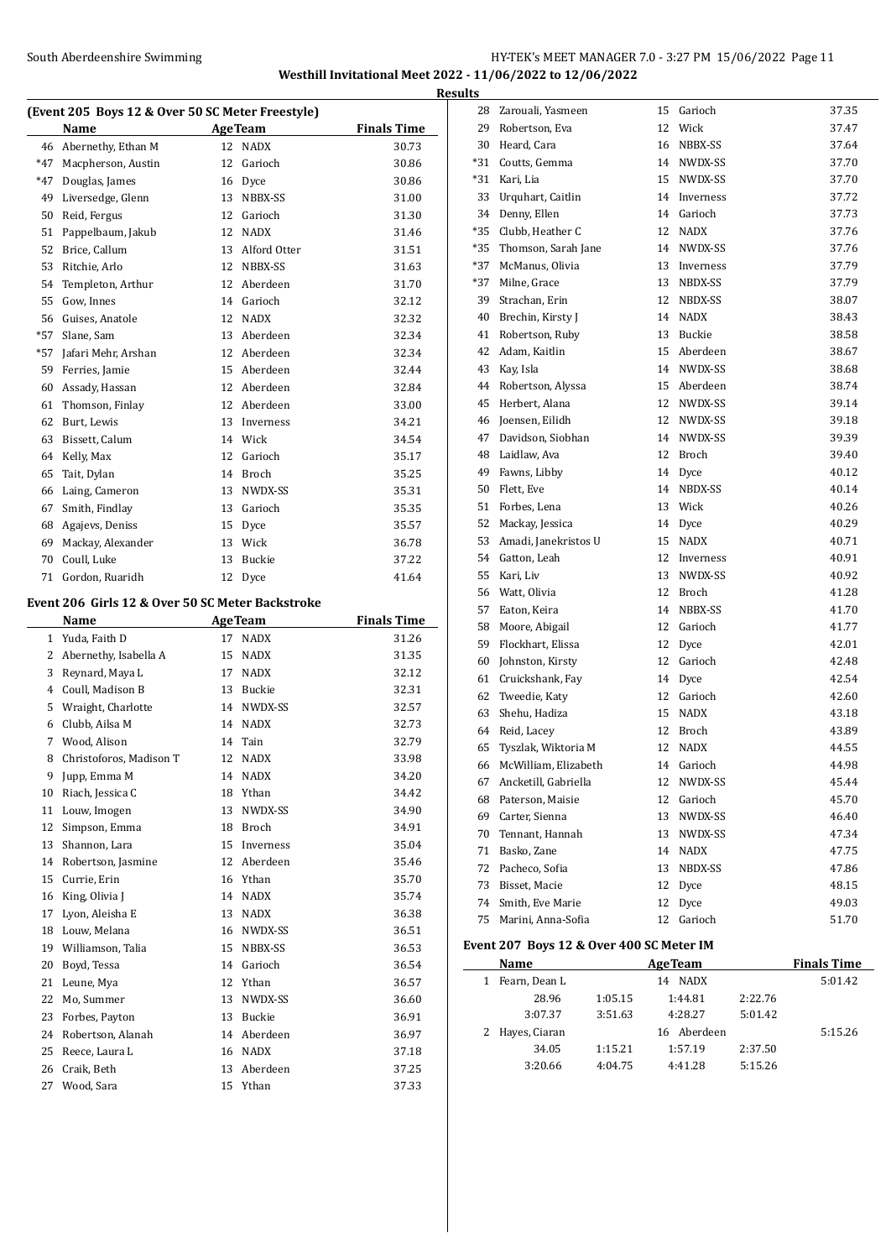#### South Aberdeenshire Swimming HY-TEK's MEET MANAGER 7.0 - 3:27 PM 15/06/2022 Page 11 **Westhill Invitational Meet 2022 - 11/06/2022 to 12/06/2022**

**(Event 205 Boys 12 & Over 50 SC Meter Freestyle) Name Age Team Finals Time** 46 Abernethy, Ethan M 12 NADX 30.73 \*47 Macpherson, Austin 12 Garioch 30.86 \*47 Douglas, James 16 Dyce 30.86 49 Liversedge, Glenn 13 NBBX-SS 31.00 Reid, Fergus 12 Garioch 31.30 Pappelbaum, Jakub 12 NADX 31.46 Brice, Callum 13 Alford Otter 31.51 Ritchie, Arlo 12 NBBX-SS 31.63 Templeton, Arthur 12 Aberdeen 31.70 Gow, Innes 14 Garioch 32.12 Guises, Anatole 12 NADX 32.32 \*57 Slane, Sam 13 Aberdeen 32.34 \*57 Jafari Mehr, Arshan 12 Aberdeen 32.34 Ferries, Jamie 15 Aberdeen 32.44 Assady, Hassan 12 Aberdeen 32.84 Thomson, Finlay 12 Aberdeen 33.00 Burt, Lewis 13 Inverness 34.21 Bissett, Calum 14 Wick 34.54 Kelly, Max 12 Garioch 35.17 Tait, Dylan 14 Broch 35.25 Laing, Cameron 13 NWDX-SS 35.31 Smith, Findlay 13 Garioch 35.35 Agajevs, Deniss 15 Dyce 35.57 Mackay, Alexander 13 Wick 36.78 Coull, Luke 13 Buckie 37.22 71 Gordon, Ruaridh 12 Dyce 41.64 **Event 206 Girls 12 & Over 50 SC Meter Backstroke Name Age Team Finals Time**  Yuda, Faith D 17 NADX 31.26 2 Abernethy, Isabella A 15 NADX 31.35 Reynard, Maya L 17 NADX 32.12 Coull, Madison B 13 Buckie 32.31 Wraight, Charlotte 14 NWDX-SS 32.57 Clubb, Ailsa M 14 NADX 32.73 Wood, Alison 14 Tain 32.79 8 Christoforos, Madison T 12 NADX 33.98 Jupp, Emma M 14 NADX 34.20 Riach, Jessica C 18 Ythan 34.42 11 Louw, Imogen 13 NWDX-SS 34.90 Simpson, Emma 18 Broch 34.91 13 Shannon, Lara 15 Inverness 35.04 Robertson, Jasmine 12 Aberdeen 35.46 Currie, Erin 16 Ythan 35.70 16 King, Olivia J 14 NADX 35.74 17 Lyon, Aleisha E 13 NADX 36.38 18 Louw, Melana 16 NWDX-SS 36.51 19 Williamson, Talia 15 NBBX-SS 36.53 Boyd, Tessa 14 Garioch 36.54 21 Leune, Mya 12 Ythan 36.57 22 Mo, Summer 13 NWDX-SS 36.60 Forbes, Payton 13 Buckie 36.91 Robertson, Alanah 14 Aberdeen 36.97 25 Reece, Laura L 16 NADX 37.18 Craik, Beth 13 Aberdeen 37.25 Wood, Sara 15 Ythan 37.33

| <b>Results</b> |                         |    |              |       |
|----------------|-------------------------|----|--------------|-------|
|                | 28 Zarouali, Yasmeen    |    | 15 Garioch   | 37.35 |
|                | 29 Robertson, Eva       | 12 | Wick         | 37.47 |
| 30             | Heard, Cara             | 16 | NBBX-SS      | 37.64 |
|                | *31 Coutts, Gemma       | 14 | NWDX-SS      | 37.70 |
|                | *31 Kari, Lia           | 15 | NWDX-SS      | 37.70 |
|                | 33 Urquhart, Caitlin    | 14 | Inverness    | 37.72 |
|                | 34 Denny, Ellen         | 14 | Garioch      | 37.73 |
|                | *35 Clubb, Heather C    | 12 | NADX         | 37.76 |
|                | *35 Thomson, Sarah Jane | 14 | NWDX-SS      | 37.76 |
|                | *37 McManus, Olivia     | 13 | Inverness    | 37.79 |
|                | *37 Milne, Grace        | 13 | NBDX-SS      | 37.79 |
|                | 39 Strachan, Erin       | 12 | NBDX-SS      | 38.07 |
|                | 40 Brechin, Kirsty J    |    | 14 NADX      | 38.43 |
|                | 41 Robertson, Ruby      | 13 | Buckie       | 38.58 |
|                | 42 Adam, Kaitlin        | 15 | Aberdeen     | 38.67 |
|                | 43 Kay, Isla            |    | 14 NWDX-SS   | 38.68 |
|                | 44 Robertson, Alyssa    | 15 | Aberdeen     | 38.74 |
|                | 45 Herbert, Alana       | 12 | NWDX-SS      | 39.14 |
|                | 46 Joensen, Eilidh      | 12 | NWDX-SS      | 39.18 |
|                | 47 Davidson, Siobhan    | 14 | NWDX-SS      | 39.39 |
|                | 48 Laidlaw, Ava         | 12 | Broch        | 39.40 |
|                | 49 Fawns, Libby         | 14 | Dyce         | 40.12 |
|                | 50 Flett, Eve           | 14 | NBDX-SS      | 40.14 |
|                | 51 Forbes. Lena         | 13 | Wick         | 40.26 |
|                | 52 Mackay, Jessica      | 14 | Dyce         | 40.29 |
|                | 53 Amadi, Janekristos U | 15 | NADX         | 40.71 |
|                | 54 Gatton, Leah         | 12 | Inverness    | 40.91 |
|                | 55 Kari, Liv            | 13 | NWDX-SS      | 40.92 |
|                | 56 Watt, Olivia         | 12 | <b>Broch</b> | 41.28 |
| 57             | Eaton, Keira            | 14 | NBBX-SS      | 41.70 |
|                | 58 Moore, Abigail       | 12 | Garioch      | 41.77 |
|                | 59 Flockhart, Elissa    | 12 | Dyce         | 42.01 |
| 60             | Johnston, Kirsty        | 12 | Garioch      | 42.48 |
|                | 61 Cruickshank, Fay     | 14 | Dyce         | 42.54 |
|                | 62 Tweedie, Katy        | 12 | Garioch      | 42.60 |
|                | 63 Shehu, Hadiza        | 15 | NADX         | 43.18 |
|                | 64 Reid, Lacey          | 12 | Broch        | 43.89 |
| 65             | Tyszlak, Wiktoria M     | 12 | <b>NADX</b>  | 44.55 |
| 66             | McWilliam, Elizabeth    | 14 | Garioch      | 44.98 |
| 67             | Ancketill, Gabriella    | 12 | NWDX-SS      | 45.44 |
| 68             | Paterson, Maisie        | 12 | Garioch      | 45.70 |
| 69             | Carter, Sienna          | 13 | NWDX-SS      | 46.40 |
| 70             | Tennant, Hannah         | 13 | NWDX-SS      | 47.34 |
| 71             | Basko, Zane             | 14 | <b>NADX</b>  | 47.75 |
| 72             | Pacheco, Sofia          | 13 | NBDX-SS      | 47.86 |
| 73             | Bisset, Macie           | 12 | Dyce         | 48.15 |
| 74             | Smith, Eve Marie        | 12 | Dyce         | 49.03 |
| 75             | Marini, Anna-Sofia      | 12 | Garioch      | 51.70 |
|                |                         |    |              |       |

# **Event 207 Boys 12 & Over 400 SC Meter IM**

 $\overline{a}$ 

| Name            |         | <b>AgeTeam</b> |         | <b>Finals Time</b> |
|-----------------|---------|----------------|---------|--------------------|
| Fearn, Dean L   |         | 14 NADX        |         | 5:01.42            |
| 28.96           | 1:05.15 | 1:44.81        | 2:22.76 |                    |
| 3:07.37         | 3:51.63 | 4:28.27        | 5:01.42 |                    |
| 2 Hayes, Ciaran |         | 16 Aberdeen    |         | 5:15.26            |
| 34.05           | 1:15.21 | 1:57.19        | 2:37.50 |                    |
| 3:20.66         | 4:04.75 | 4:41.28        | 5:15.26 |                    |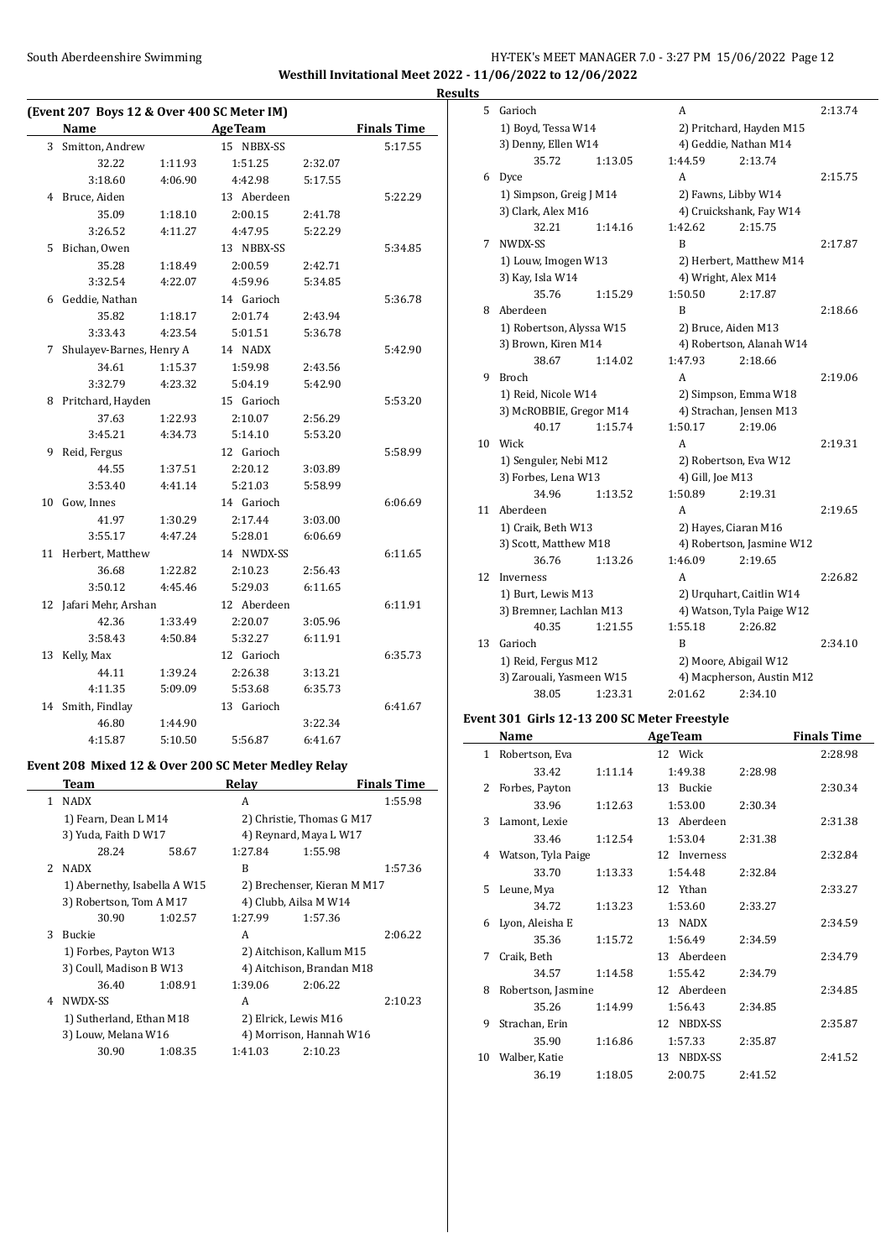### South Aberdeenshire Swimming **Example 2018** HY-TEK's MEET MANAGER 7.0 - 3:27 PM 15/06/2022 Page 12 **Westhill Invitational Meet 2022 - 11/06/2022 to 12/06/2022**

**Results**

|    | (Event 207 Boys 12 & Over 400 SC Meter IM) |         |                |         |                    |
|----|--------------------------------------------|---------|----------------|---------|--------------------|
|    | Name                                       |         | <b>AgeTeam</b> |         | <b>Finals Time</b> |
|    | 3 Smitton, Andrew                          |         | 15 NBBX-SS     |         | 5:17.55            |
|    | 32.22                                      | 1:11.93 | 1:51.25        | 2:32.07 |                    |
|    | 3:18.60                                    | 4:06.90 | 4:42.98        | 5:17.55 |                    |
| 4  | Bruce, Aiden                               |         | 13 Aberdeen    |         | 5:22.29            |
|    | 35.09                                      | 1:18.10 | 2:00.15        | 2:41.78 |                    |
|    | 3:26.52                                    | 4:11.27 | 4:47.95        | 5:22.29 |                    |
| 5  | Bichan, Owen                               |         | 13 NBBX-SS     |         | 5:34.85            |
|    | 35.28                                      | 1:18.49 | 2:00.59        | 2:42.71 |                    |
|    | 3:32.54                                    | 4:22.07 | 4:59.96        | 5:34.85 |                    |
| 6  | Geddie, Nathan                             |         | 14 Garioch     |         | 5:36.78            |
|    | 35.82                                      | 1:18.17 | 2:01.74        | 2:43.94 |                    |
|    | 3:33.43                                    | 4:23.54 | 5:01.51        | 5:36.78 |                    |
| 7  | Shulayev-Barnes, Henry A                   |         | 14 NADX        |         | 5:42.90            |
|    | 34.61                                      | 1:15.37 | 1:59.98        | 2:43.56 |                    |
|    | 3:32.79                                    | 4:23.32 | 5:04.19        | 5:42.90 |                    |
| 8  | Pritchard, Hayden                          |         | 15 Garioch     |         | 5:53.20            |
|    | 37.63                                      | 1:22.93 | 2:10.07        | 2:56.29 |                    |
|    | 3:45.21                                    | 4:34.73 | 5:14.10        | 5:53.20 |                    |
| 9  | Reid, Fergus                               |         | 12 Garioch     |         | 5:58.99            |
|    | 44.55                                      | 1:37.51 | 2:20.12        | 3:03.89 |                    |
|    | 3:53.40                                    | 4:41.14 | 5:21.03        | 5:58.99 |                    |
| 10 | Gow, Innes                                 |         | 14 Garioch     |         | 6:06.69            |
|    | 41.97                                      | 1:30.29 | 2:17.44        | 3:03.00 |                    |
|    | 3:55.17                                    | 4:47.24 | 5:28.01        | 6:06.69 |                    |
| 11 | Herbert, Matthew                           |         | 14 NWDX-SS     |         | 6:11.65            |
|    | 36.68                                      | 1:22.82 | 2:10.23        | 2:56.43 |                    |
|    | 3:50.12                                    | 4:45.46 | 5:29.03        | 6:11.65 |                    |
| 12 | Jafari Mehr, Arshan                        |         | 12 Aberdeen    |         | 6:11.91            |
|    | 42.36                                      | 1:33.49 | 2:20.07        | 3:05.96 |                    |
|    | 3:58.43                                    | 4:50.84 | 5:32.27        | 6:11.91 |                    |
| 13 | Kelly, Max                                 |         | 12 Garioch     |         | 6:35.73            |
|    | 44.11                                      | 1:39.24 | 2:26.38        | 3:13.21 |                    |
|    | 4:11.35                                    | 5:09.09 | 5:53.68        | 6:35.73 |                    |
| 14 | Smith, Findlay                             |         | 13 Garioch     |         | 6:41.67            |
|    | 46.80                                      | 1:44.90 |                | 3:22.34 |                    |
|    | 4:15.87                                    | 5:10.50 | 5:56.87        | 6:41.67 |                    |

### **Event 208 Mixed 12 & Over 200 SC Meter Medley Relay**

|                | Team                         |         | Relay   |                             | <b>Finals Time</b> |
|----------------|------------------------------|---------|---------|-----------------------------|--------------------|
| 1              | <b>NADX</b>                  |         | A       |                             | 1:55.98            |
|                | 1) Fearn, Dean L M14         |         |         | 2) Christie, Thomas G M17   |                    |
|                | 3) Yuda, Faith D W17         |         |         | 4) Reynard, Maya L W17      |                    |
|                | 28.24                        | 58.67   | 1:27.84 | 1:55.98                     |                    |
| $\overline{2}$ | <b>NADX</b>                  |         | B       |                             | 1:57.36            |
|                | 1) Abernethy, Isabella A W15 |         |         | 2) Brechenser, Kieran M M17 |                    |
|                | 3) Robertson, Tom A M17      |         |         | 4) Clubb, Ailsa M W14       |                    |
|                | 30.90                        | 1:02.57 | 1:27.99 | 1:57.36                     |                    |
| 3              | <b>Buckie</b>                |         | A       |                             | 2:06.22            |
|                | 1) Forbes, Payton W13        |         |         | 2) Aitchison, Kallum M15    |                    |
|                | 3) Coull, Madison B W13      |         |         | 4) Aitchison, Brandan M18   |                    |
|                | 36.40                        | 1:08.91 | 1:39.06 | 2:06.22                     |                    |
| 4              | NWDX-SS                      |         | A       |                             | 2:10.23            |
|                | 1) Sutherland, Ethan M18     |         |         | 2) Elrick, Lewis M16        |                    |
|                | 3) Louw, Melana W16          |         |         | 4) Morrison, Hannah W16     |                    |
|                | 30.90                        | 1:08.35 | 1:41.03 | 2:10.23                     |                    |

| 5  | Garioch                  |         | A                        |                           | 2:13.74 |
|----|--------------------------|---------|--------------------------|---------------------------|---------|
|    | 1) Boyd, Tessa W14       |         | 2) Pritchard, Hayden M15 |                           |         |
|    | 3) Denny, Ellen W14      |         | 4) Geddie, Nathan M14    |                           |         |
|    | 35.72                    | 1:13.05 | 1:44.59                  | 2:13.74                   |         |
| 6  | Dyce                     |         | A                        |                           | 2:15.75 |
|    | 1) Simpson, Greig J M14  |         | 2) Fawns, Libby W14      |                           |         |
|    | 3) Clark, Alex M16       |         |                          | 4) Cruickshank, Fay W14   |         |
|    | 32.21                    | 1:14.16 | 1:42.62                  | 2:15.75                   |         |
| 7  | NWDX-SS                  |         | R                        |                           | 2:17.87 |
|    | 1) Louw, Imogen W13      |         |                          | 2) Herbert, Matthew M14   |         |
|    | 3) Kay, Isla W14         |         | 4) Wright, Alex M14      |                           |         |
|    | 35.76                    | 1:15.29 | 1:50.50                  | 2:17.87                   |         |
| 8  | Aberdeen                 |         | R                        |                           | 2:18.66 |
|    | 1) Robertson, Alyssa W15 |         | 2) Bruce, Aiden M13      |                           |         |
|    | 3) Brown, Kiren M14      |         |                          | 4) Robertson, Alanah W14  |         |
|    | 38.67                    | 1:14.02 | 1:47.93                  | 2:18.66                   |         |
| 9  | <b>Broch</b>             |         | A                        |                           | 2:19.06 |
|    | 1) Reid, Nicole W14      |         |                          | 2) Simpson, Emma W18      |         |
|    | 3) McROBBIE, Gregor M14  |         |                          | 4) Strachan, Jensen M13   |         |
|    | 40.17                    | 1:15.74 | 1:50.17                  | 2:19.06                   |         |
| 10 | Wick                     |         | A                        |                           | 2:19.31 |
|    | 1) Senguler, Nebi M12    |         | 2) Robertson, Eva W12    |                           |         |
|    | 3) Forbes, Lena W13      |         | 4) Gill, Joe M13         |                           |         |
|    | 34.96                    | 1:13.52 | 1:50.89                  | 2:19.31                   |         |
| 11 | Aberdeen                 |         | A                        |                           | 2:19.65 |
|    | 1) Craik, Beth W13       |         | 2) Hayes, Ciaran M16     |                           |         |
|    | 3) Scott, Matthew M18    |         |                          | 4) Robertson, Jasmine W12 |         |
|    | 36.76                    | 1:13.26 | 1:46.09                  | 2:19.65                   |         |
| 12 | Inverness                |         | A                        |                           | 2:26.82 |
|    | 1) Burt, Lewis M13       |         |                          | 2) Urquhart, Caitlin W14  |         |
|    | 3) Bremner, Lachlan M13  |         |                          | 4) Watson, Tyla Paige W12 |         |
|    | 40.35                    | 1:21.55 | 1:55.18                  | 2:26.82                   |         |
| 13 | Garioch                  |         | B                        |                           | 2:34.10 |
|    | 1) Reid, Fergus M12      |         | 2) Moore, Abigail W12    |                           |         |
|    | 3) Zarouali, Yasmeen W15 |         |                          | 4) Macpherson, Austin M12 |         |
|    | 38.05                    | 1:23.31 | 2:01.62                  | 2:34.10                   |         |

### **Event 301 Girls 12-13 200 SC Meter Freestyle**

|    | Name               |         | <b>AgeTeam</b> |         | <b>Finals Time</b> |
|----|--------------------|---------|----------------|---------|--------------------|
| 1  | Robertson, Eva     |         | 12 Wick        |         | 2:28.98            |
|    | 33.42              | 1:11.14 | 1:49.38        | 2:28.98 |                    |
| 2  | Forbes, Payton     |         | 13 Buckie      |         | 2:30.34            |
|    | 33.96              | 1:12.63 | 1:53.00        | 2:30.34 |                    |
|    | 3 Lamont, Lexie    |         | 13 Aberdeen    |         | 2:31.38            |
|    | 33.46              | 1:12.54 | 1:53.04        | 2:31.38 |                    |
| 4  | Watson, Tyla Paige |         | 12 Inverness   |         | 2:32.84            |
|    | 33.70              | 1:13.33 | 1:54.48        | 2:32.84 |                    |
|    | 5 Leune, Mya       |         | 12 Ythan       |         | 2:33.27            |
|    | 34.72              | 1:13.23 | 1:53.60        | 2:33.27 |                    |
| 6  | Lyon, Aleisha E    |         | 13 NADX        |         | 2:34.59            |
|    | 35.36              | 1:15.72 | 1:56.49        | 2:34.59 |                    |
| 7  | Craik, Beth        |         | 13 Aberdeen    |         | 2:34.79            |
|    | 34.57              | 1:14.58 | 1:55.42        | 2:34.79 |                    |
| 8  | Robertson, Jasmine |         | 12 Aberdeen    |         | 2:34.85            |
|    | 35.26              | 1:14.99 | 1:56.43        | 2:34.85 |                    |
| 9  | Strachan, Erin     |         | 12 NBDX-SS     |         | 2:35.87            |
|    | 35.90              | 1:16.86 | 1:57.33        | 2:35.87 |                    |
| 10 | Walber, Katie      |         | 13 NBDX-SS     |         | 2:41.52            |
|    | 36.19              | 1:18.05 | 2:00.75        | 2:41.52 |                    |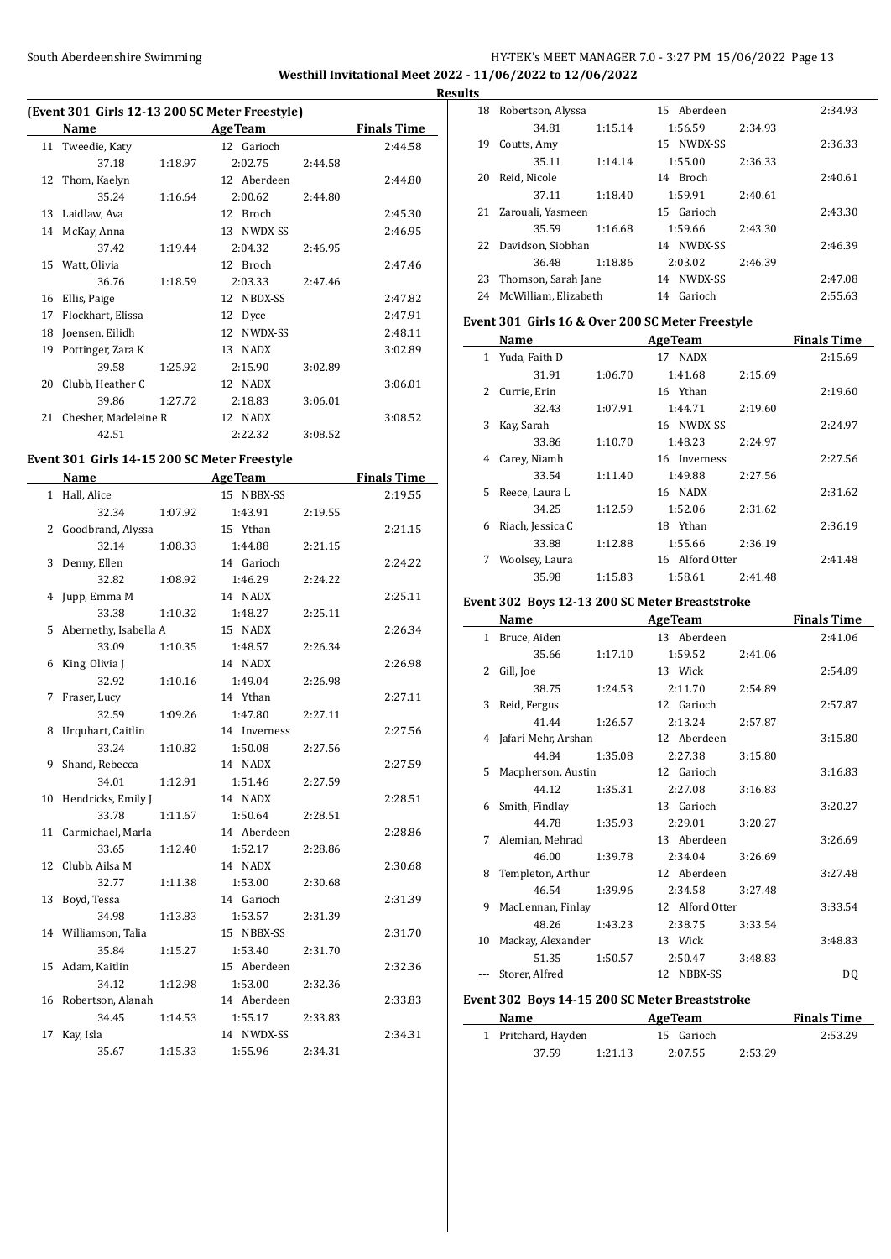### South Aberdeenshire Swimming **Example 2018** HY-TEK's MEET MANAGER 7.0 - 3:27 PM 15/06/2022 Page 13 **Westhill Invitational Meet 2022 - 11/06/2022 to 12/06/2022 Results**

# **(Event 301 Girls 12-13 200 SC Meter Freestyle)**

|    | Name                 |         | <b>AgeTeam</b>     |         | <b>Finals Time</b> |
|----|----------------------|---------|--------------------|---------|--------------------|
| 11 | Tweedie, Katy        |         | 12 Garioch         |         | 2:44.58            |
|    | 37.18                | 1:18.97 | 2:02.75            | 2:44.58 |                    |
| 12 | Thom, Kaelyn         |         | Aberdeen<br>12     |         | 2:44.80            |
|    | 35.24                | 1:16.64 | 2:00.62            | 2:44.80 |                    |
| 13 | Laidlaw, Ava         |         | <b>Broch</b><br>12 |         | 2:45.30            |
| 14 | McKay, Anna          |         | NWDX-SS<br>13      |         | 2:46.95            |
|    | 37.42                | 1:19.44 | 2:04.32            | 2:46.95 |                    |
| 15 | Watt, Olivia         |         | 12 Broch           |         | 2:47.46            |
|    | 36.76                | 1:18.59 | 2:03.33            | 2:47.46 |                    |
| 16 | Ellis, Paige         |         | NBDX-SS<br>12      |         | 2:47.82            |
| 17 | Flockhart, Elissa    |         | 12<br>Dyce         |         | 2:47.91            |
| 18 | Joensen, Eilidh      |         | NWDX-SS<br>12      |         | 2:48.11            |
| 19 | Pottinger, Zara K    |         | <b>NADX</b><br>13  |         | 3:02.89            |
|    | 39.58                | 1:25.92 | 2:15.90            | 3:02.89 |                    |
| 20 | Clubb, Heather C     |         | 12 NADX            |         | 3:06.01            |
|    | 39.86                | 1:27.72 | 2:18.83            | 3:06.01 |                    |
| 21 | Chesher, Madeleine R |         | 12 NADX            |         | 3:08.52            |
|    | 42.51                |         | 2:22.32            | 3:08.52 |                    |

#### **Event 301 Girls 14-15 200 SC Meter Freestyle**

|    | Name                  |         | <b>AgeTeam</b> |         | <b>Finals Time</b> |
|----|-----------------------|---------|----------------|---------|--------------------|
|    | 1 Hall, Alice         |         | 15 NBBX-SS     |         | 2:19.55            |
|    | 32.34                 | 1:07.92 | 1:43.91        | 2:19.55 |                    |
| 2  | Goodbrand, Alyssa     |         | 15 Ythan       |         | 2:21.15            |
|    | 32.14                 | 1:08.33 | 1:44.88        | 2:21.15 |                    |
| 3  | Denny, Ellen          |         | 14 Garioch     |         | 2:24.22            |
|    | 32.82                 | 1:08.92 | 1:46.29        | 2:24.22 |                    |
| 4  | Jupp, Emma M          |         | 14 NADX        |         | 2:25.11            |
|    | 33.38                 | 1:10.32 | 1:48.27        | 2:25.11 |                    |
| 5  | Abernethy, Isabella A |         | 15 NADX        |         | 2:26.34            |
|    | 33.09                 | 1:10.35 | 1:48.57        | 2:26.34 |                    |
| 6  | King, Olivia J        |         | 14 NADX        |         | 2:26.98            |
|    | 32.92                 | 1:10.16 | 1:49.04        | 2:26.98 |                    |
| 7  | Fraser, Lucy          |         | 14 Ythan       |         | 2:27.11            |
|    | 32.59                 | 1:09.26 | 1:47.80        | 2:27.11 |                    |
| 8  | Urquhart, Caitlin     |         | 14 Inverness   |         | 2:27.56            |
|    | 33.24                 | 1:10.82 | 1:50.08        | 2:27.56 |                    |
| 9  | Shand, Rebecca        |         | 14 NADX        |         | 2:27.59            |
|    | 34.01                 | 1:12.91 | 1:51.46        | 2:27.59 |                    |
| 10 | Hendricks, Emily J    |         | 14 NADX        |         | 2:28.51            |
|    | 33.78                 | 1:11.67 | 1:50.64        | 2:28.51 |                    |
| 11 | Carmichael, Marla     |         | 14 Aberdeen    |         | 2:28.86            |
|    | 33.65                 | 1:12.40 | 1:52.17        | 2:28.86 |                    |
|    | 12 Clubb, Ailsa M     |         | 14 NADX        |         | 2:30.68            |
|    | 32.77                 | 1:11.38 | 1:53.00        | 2:30.68 |                    |
| 13 | Boyd, Tessa           |         | 14 Garioch     |         | 2:31.39            |
|    | 34.98                 | 1:13.83 | 1:53.57        | 2:31.39 |                    |
|    | 14 Williamson, Talia  |         | 15 NBBX-SS     |         | 2:31.70            |
|    | 35.84                 | 1:15.27 | 1:53.40        | 2:31.70 |                    |
| 15 | Adam, Kaitlin         |         | 15 Aberdeen    |         | 2:32.36            |
|    | 34.12                 | 1:12.98 | 1:53.00        | 2:32.36 |                    |
|    | 16 Robertson, Alanah  |         | 14 Aberdeen    |         | 2:33.83            |
|    | 34.45                 | 1:14.53 | 1:55.17        | 2:33.83 |                    |
| 17 | Kay, Isla             |         | 14 NWDX-SS     |         | 2:34.31            |
|    | 35.67                 | 1:15.33 | 1:55.96        | 2:34.31 |                    |

| 18 | Robertson, Alyssa    |         | 15 Aberdeen   |         | 2:34.93 |
|----|----------------------|---------|---------------|---------|---------|
|    | 34.81                | 1:15.14 | 1:56.59       | 2:34.93 |         |
| 19 | Coutts, Amy          |         | NWDX-SS<br>15 |         | 2:36.33 |
|    | 35.11                | 1:14.14 | 1:55.00       | 2:36.33 |         |
| 20 | Reid, Nicole         |         | Broch<br>14   |         | 2:40.61 |
|    | 37.11                | 1:18.40 | 1:59.91       | 2:40.61 |         |
| 21 | Zarouali, Yasmeen    |         | 15 Garioch    |         | 2:43.30 |
|    | 35.59                | 1:16.68 | 1:59.66       | 2:43.30 |         |
| 22 | Davidson, Siobhan    |         | NWDX-SS<br>14 |         | 2:46.39 |
|    | 36.48                | 1:18.86 | 2:03.02       | 2:46.39 |         |
| 23 | Thomson, Sarah Jane  |         | NWDX-SS<br>14 |         | 2:47.08 |
| 24 | McWilliam. Elizabeth |         | Garioch<br>14 |         | 2:55.63 |
|    |                      |         |               |         |         |

#### **Event 301 Girls 16 & Over 200 SC Meter Freestyle**

|               | Name             |         | <b>AgeTeam</b>  |         | <b>Finals Time</b> |
|---------------|------------------|---------|-----------------|---------|--------------------|
| 1             | Yuda, Faith D    |         | 17 NADX         |         | 2:15.69            |
|               | 31.91            | 1:06.70 | 1:41.68         | 2:15.69 |                    |
| $\mathcal{L}$ | Currie, Erin     |         | 16 Ythan        |         | 2:19.60            |
|               | 32.43            | 1:07.91 | 1:44.71         | 2:19.60 |                    |
| 3             | Kay, Sarah       |         | 16 NWDX-SS      |         | 2:24.97            |
|               | 33.86            | 1:10.70 | 1:48.23         | 2:24.97 |                    |
| 4             | Carey, Niamh     |         | 16 Inverness    |         | 2:27.56            |
|               | 33.54            | 1:11.40 | 1:49.88         | 2:27.56 |                    |
| 5.            | Reece, Laura L   |         | 16 NADX         |         | 2:31.62            |
|               | 34.25            | 1:12.59 | 1:52.06         | 2:31.62 |                    |
| 6             | Riach, Jessica C |         | 18 Ythan        |         | 2:36.19            |
|               | 33.88            | 1:12.88 | 1:55.66         | 2:36.19 |                    |
| 7             | Woolsey, Laura   |         | 16 Alford Otter |         | 2:41.48            |
|               | 35.98            | 1:15.83 | 1:58.61         | 2:41.48 |                    |

### **Event 302 Boys 12-13 200 SC Meter Breaststroke**

|                                                | Name                  |         | <b>AgeTeam</b>  |         | <b>Finals Time</b> |  |  |
|------------------------------------------------|-----------------------|---------|-----------------|---------|--------------------|--|--|
|                                                | 1 Bruce, Aiden        |         | 13 Aberdeen     |         | 2:41.06            |  |  |
|                                                | 35.66                 | 1:17.10 | 1:59.52         | 2:41.06 |                    |  |  |
| 2                                              | Gill, Joe             |         | 13 Wick         |         | 2:54.89            |  |  |
|                                                | 38.75                 | 1:24.53 | 2:11.70         | 2:54.89 |                    |  |  |
|                                                | 3 Reid, Fergus        |         | 12 Garioch      |         | 2:57.87            |  |  |
|                                                | 41.44                 | 1:26.57 | 2:13.24         | 2:57.87 |                    |  |  |
|                                                | 4 Jafari Mehr, Arshan |         | 12 Aberdeen     |         | 3:15.80            |  |  |
|                                                | 44.84                 | 1:35.08 | 2:27.38         | 3:15.80 |                    |  |  |
| 5.                                             | Macpherson, Austin    |         | 12 Garioch      |         | 3:16.83            |  |  |
|                                                | 44.12                 | 1:35.31 | 2:27.08         | 3:16.83 |                    |  |  |
|                                                | 6 Smith, Findlay      |         | 13 Garioch      |         | 3:20.27            |  |  |
|                                                | 44.78                 | 1:35.93 | 2:29.01         | 3:20.27 |                    |  |  |
|                                                | 7 Alemian, Mehrad     |         | 13 Aberdeen     |         | 3:26.69            |  |  |
|                                                | 46.00                 | 1:39.78 | 2:34.04         | 3:26.69 |                    |  |  |
| 8                                              | Templeton, Arthur     |         | 12 Aberdeen     |         | 3:27.48            |  |  |
|                                                | 46.54                 | 1:39.96 | 2:34.58         | 3:27.48 |                    |  |  |
| 9                                              | MacLennan, Finlay     |         | 12 Alford Otter |         | 3:33.54            |  |  |
|                                                | 48.26                 | 1:43.23 | 2:38.75         | 3:33.54 |                    |  |  |
|                                                | 10 Mackay, Alexander  |         | 13 Wick         |         | 3:48.83            |  |  |
|                                                | 51.35                 | 1:50.57 | 2:50.47         | 3:48.83 |                    |  |  |
|                                                | Storer, Alfred        |         | 12 NBBX-SS      |         | DQ                 |  |  |
| Event 302 Boys 14-15 200 SC Meter Breaststroke |                       |         |                 |         |                    |  |  |

|  | Name                |         | <b>AgeTeam</b> |         | <b>Finals Time</b> |
|--|---------------------|---------|----------------|---------|--------------------|
|  | 1 Pritchard, Hayden |         | 15 Garioch     |         | 2:53.29            |
|  | 37.59               | 1:21.13 | 2:07.55        | 2:53.29 |                    |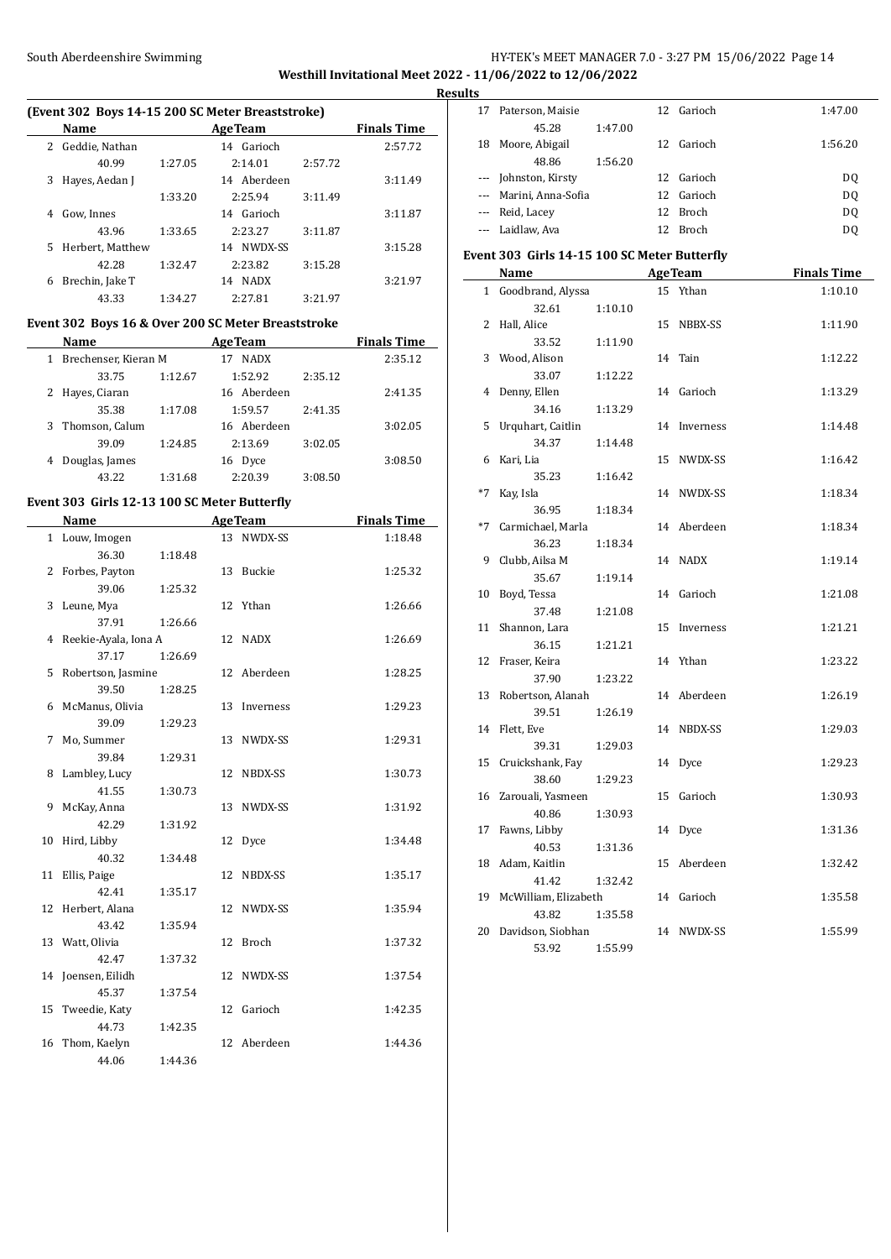$\overline{a}$ 

## South Aberdeenshire Swimming Suite and Suite and HY-TEK's MEET MANAGER 7.0 - 3:27 PM 15/06/2022 Page 14 **Westhill Invitational Meet 2022 - 11/06/2022 to 12/06/2022**

**Results**

 $\frac{1}{2}$ 

### **(Event 302 Boys 14-15 200 SC Meter Breaststroke)**

|    | <b>Name</b>      |         | <b>AgeTeam</b>    |         | <b>Finals Time</b> |
|----|------------------|---------|-------------------|---------|--------------------|
| 2  | Geddie, Nathan   |         | 14 Garioch        |         | 2:57.72            |
|    | 40.99            | 1:27.05 | 2:14.01           | 2:57.72 |                    |
| 3  | Hayes, Aedan J   |         | 14 Aberdeen       |         | 3:11.49            |
|    |                  | 1:33.20 | 2:25.94           | 3:11.49 |                    |
|    | Gow, Innes       |         | 14 Garioch        |         | 3:11.87            |
|    | 43.96            | 1:33.65 | 2:23.27           | 3:11.87 |                    |
| 5. | Herbert, Matthew |         | NWDX-SS<br>14     |         | 3:15.28            |
|    | 42.28            | 1:32.47 | 2:23.82           | 3:15.28 |                    |
| 6  | Brechin, Jake T  |         | <b>NADX</b><br>14 |         | 3:21.97            |
|    | 43.33            | 1:34.27 | 2:27.81           | 3:21.97 |                    |

### **Event 302 Boys 16 & Over 200 SC Meter Breaststroke**

|   | Name                 |         | <b>AgeTeam</b>    |         | <b>Finals Time</b> |
|---|----------------------|---------|-------------------|---------|--------------------|
|   | Brechenser, Kieran M |         | <b>NADX</b><br>17 |         | 2:35.12            |
|   | 33.75                | 1:12.67 | 1:52.92           | 2:35.12 |                    |
|   | Hayes, Ciaran        |         | 16 Aberdeen       |         | 2:41.35            |
|   | 35.38                | 1:17.08 | 1:59.57           | 2:41.35 |                    |
| 3 | Thomson, Calum       |         | 16 Aberdeen       |         | 3:02.05            |
|   | 39.09                | 1:24.85 | 2:13.69           | 3:02.05 |                    |
|   | Douglas, James       |         | Dyce<br>16        |         | 3:08.50            |
|   |                      | 1:31.68 | 2:20.39           | 3:08.50 |                    |

#### **Event 303 Girls 12-13 100 SC Meter Butterfly**

|    | Name                   |         |    | <b>AgeTeam</b> | <b>Finals Time</b> |
|----|------------------------|---------|----|----------------|--------------------|
|    | 1 Louw, Imogen         |         |    | 13 NWDX-SS     | 1:18.48            |
|    | 36.30                  | 1:18.48 |    |                |                    |
| 2  | Forbes, Payton         |         | 13 | Buckie         | 1:25.32            |
|    | 39.06                  | 1:25.32 |    |                |                    |
|    | 3 Leune, Mya           |         | 12 | Ythan          | 1:26.66            |
|    | 37.91                  | 1:26.66 |    |                |                    |
|    | 4 Reekie-Ayala, Iona A |         | 12 | NADX           | 1:26.69            |
|    | 37.17                  | 1:26.69 |    |                |                    |
| 5  | Robertson, Jasmine     |         | 12 | Aberdeen       | 1:28.25            |
|    | 39.50                  | 1:28.25 |    |                |                    |
| 6  | McManus, Olivia        |         | 13 | Inverness      | 1:29.23            |
|    | 39.09                  | 1:29.23 |    |                |                    |
| 7  | Mo, Summer             |         | 13 | NWDX-SS        | 1:29.31            |
|    | 39.84                  | 1:29.31 |    |                |                    |
| 8  | Lambley, Lucy          |         | 12 | NBDX-SS        | 1:30.73            |
|    | 41.55                  | 1:30.73 |    |                |                    |
| 9  | McKay, Anna            |         | 13 | NWDX-SS        | 1:31.92            |
|    | 42.29                  | 1:31.92 |    |                |                    |
| 10 | Hird, Libby            |         | 12 | Dyce           | 1:34.48            |
|    | 40.32                  | 1:34.48 |    |                |                    |
|    | 11 Ellis, Paige        |         | 12 | NBDX-SS        | 1:35.17            |
|    | 42.41                  | 1:35.17 |    |                |                    |
|    | 12 Herbert, Alana      |         | 12 | NWDX-SS        | 1:35.94            |
|    | 43.42                  | 1:35.94 |    |                |                    |
|    | 13 Watt, Olivia        |         | 12 | Broch          | 1:37.32            |
|    | 42.47                  | 1:37.32 |    |                |                    |
|    | 14 Joensen, Eilidh     |         | 12 | NWDX-SS        | 1:37.54            |
|    | 45.37                  | 1:37.54 |    |                |                    |
|    | 15 Tweedie, Katy       |         | 12 | Garioch        | 1:42.35            |
|    | 44.73                  | 1:42.35 |    |                |                    |
| 16 | Thom, Kaelyn           |         | 12 | Aberdeen       | 1:44.36            |
|    | 44.06                  | 1:44.36 |    |                |                    |

| 17 | Paterson, Maisie       |         |     | 12 Garioch | 1:47.00 |
|----|------------------------|---------|-----|------------|---------|
|    | 45.28                  | 1:47.00 |     |            |         |
| 18 | Moore, Abigail         |         |     | 12 Garioch | 1:56.20 |
|    | 48.86                  | 1:56.20 |     |            |         |
|    | --- Johnston, Kirsty   |         |     | 12 Garioch | DO.     |
|    | --- Marini, Anna-Sofia |         |     | 12 Garioch | DO.     |
|    | --- Reid, Lacev        |         | 12  | Broch      | DO.     |
|    | --- Laidlaw, Ava       |         | 12. | Broch      | D0      |

#### **Event 303 Girls 14-15 100 SC Meter Butterfly**

|              | Name                          |         |    | <b>AgeTeam</b> | <b>Finals Time</b> |
|--------------|-------------------------------|---------|----|----------------|--------------------|
| $\mathbf{1}$ | Goodbrand, Alyssa             |         |    | 15 Ythan       | 1:10.10            |
|              | 32.61                         | 1:10.10 |    |                |                    |
| 2            | Hall, Alice                   |         | 15 | NBBX-SS        | 1:11.90            |
|              | 33.52                         | 1:11.90 |    |                |                    |
| 3            | Wood, Alison                  |         | 14 | Tain           | 1:12.22            |
|              | 33.07                         | 1:12.22 |    |                |                    |
| 4            | Denny, Ellen                  |         | 14 | Garioch        | 1:13.29            |
|              | 34.16                         | 1:13.29 |    |                |                    |
| 5            | Urquhart, Caitlin             |         | 14 | Inverness      | 1:14.48            |
|              | 34.37                         | 1:14.48 |    |                |                    |
| 6            | Kari, Lia                     |         | 15 | NWDX-SS        | 1:16.42            |
|              | 35.23                         | 1:16.42 |    |                |                    |
| $*7$         | Kay, Isla                     |         | 14 | NWDX-SS        | 1:18.34            |
|              | 36.95                         | 1:18.34 |    |                |                    |
| $*7$         | Carmichael, Marla             |         | 14 | Aberdeen       | 1:18.34            |
|              | 36.23                         | 1:18.34 |    |                |                    |
| 9            | Clubb, Ailsa M                |         | 14 | <b>NADX</b>    | 1:19.14            |
|              | 35.67                         | 1:19.14 |    |                |                    |
| 10           | Boyd, Tessa                   |         | 14 | Garioch        | 1:21.08            |
|              | 37.48                         | 1:21.08 |    |                |                    |
| 11           | Shannon, Lara                 |         | 15 | Inverness      | 1:21.21            |
|              | 36.15                         | 1:21.21 |    |                |                    |
| 12           | Fraser, Keira                 |         | 14 | Ythan          | 1:23.22            |
|              | 37.90                         | 1:23.22 |    |                |                    |
| 13           | Robertson, Alanah             |         | 14 | Aberdeen       | 1:26.19            |
|              | 39.51                         | 1:26.19 |    |                |                    |
| 14           | Flett, Eve                    |         | 14 | NBDX-SS        | 1:29.03            |
|              | 39.31                         | 1:29.03 |    |                |                    |
| 15           | Cruickshank, Fay              |         | 14 | Dyce           | 1:29.23            |
|              | 38.60                         | 1:29.23 |    |                |                    |
| 16           | Zarouali, Yasmeen             |         | 15 | Garioch        | 1:30.93            |
|              | 40.86                         | 1:30.93 |    |                |                    |
| 17           | Fawns, Libby<br>40.53         |         | 14 | Dyce           | 1:31.36            |
|              |                               | 1:31.36 |    |                |                    |
| 18           | Adam, Kaitlin                 |         | 15 | Aberdeen       | 1:32.42            |
| 19           | 41.42<br>McWilliam, Elizabeth | 1:32.42 | 14 | Garioch        |                    |
|              | 43.82                         | 1:35.58 |    |                | 1:35.58            |
| 20           | Davidson, Siobhan             |         | 14 | NWDX-SS        | 1:55.99            |
|              | 53.92                         | 1:55.99 |    |                |                    |
|              |                               |         |    |                |                    |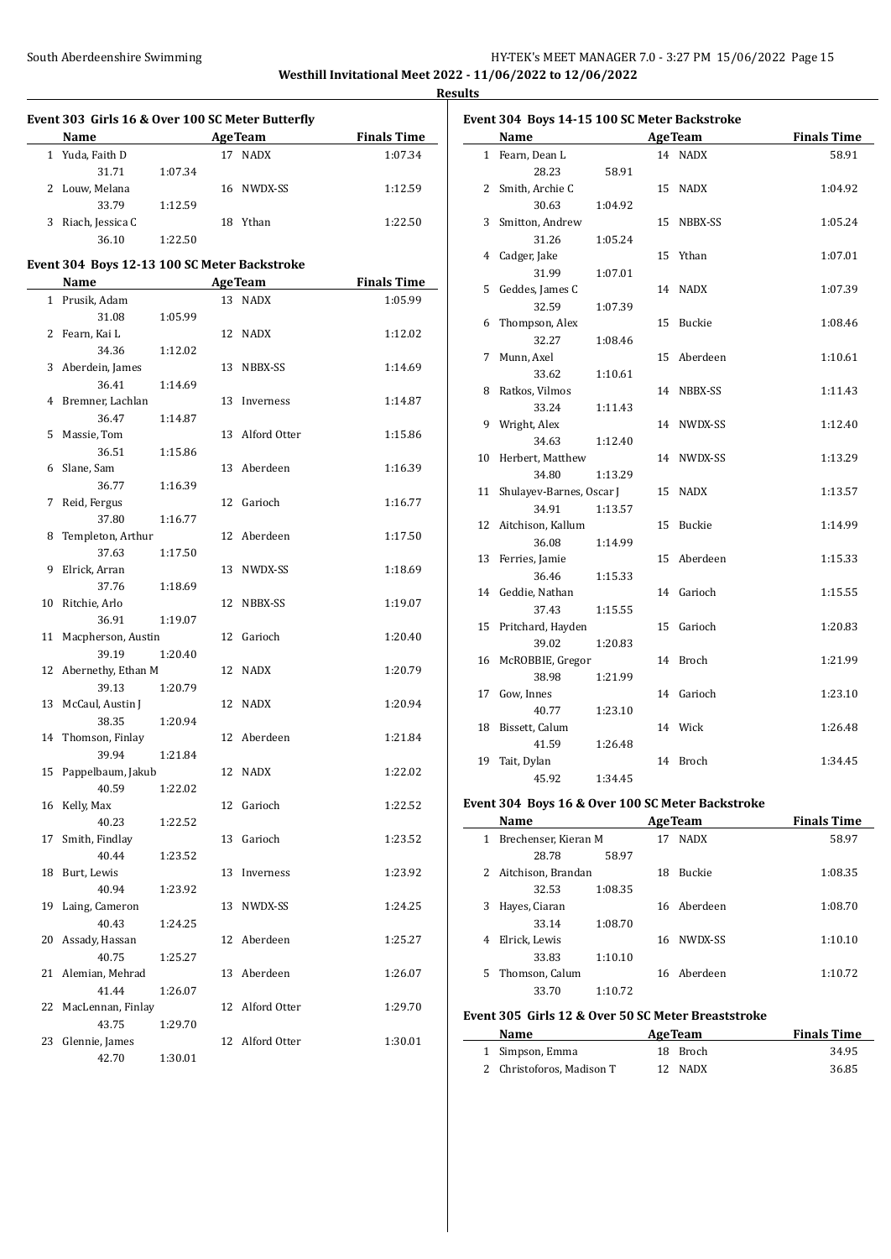### South Aberdeenshire Swimming **Example 2018** HY-TEK's MEET MANAGER 7.0 - 3:27 PM 15/06/2022 Page 15 **Westhill Invitational Meet 2022 - 11/06/2022 to 12/06/2022**

**Results**

|    | Event 303 Girls 16 & Over 100 SC Meter Butterfly                                                                                                                                                                               |         |    |                 |                    |
|----|--------------------------------------------------------------------------------------------------------------------------------------------------------------------------------------------------------------------------------|---------|----|-----------------|--------------------|
|    | Name and the state of the state of the state of the state of the state of the state of the state of the state of the state of the state of the state of the state of the state of the state of the state of the state of the s |         |    | <b>AgeTeam</b>  | <b>Finals Time</b> |
|    | 1 Yuda, Faith D                                                                                                                                                                                                                |         |    | 17 NADX         | 1:07.34            |
|    | 31.71                                                                                                                                                                                                                          | 1:07.34 |    |                 |                    |
|    | 2 Louw, Melana                                                                                                                                                                                                                 |         |    | 16 NWDX-SS      | 1:12.59            |
|    | 33.79                                                                                                                                                                                                                          | 1:12.59 |    |                 |                    |
|    | 3 Riach, Jessica C                                                                                                                                                                                                             |         |    | 18 Ythan        | 1:22.50            |
|    | 36.10                                                                                                                                                                                                                          | 1:22.50 |    |                 |                    |
|    | Event 304 Boys 12-13 100 SC Meter Backstroke                                                                                                                                                                                   |         |    |                 |                    |
|    | Name                                                                                                                                                                                                                           |         |    | <b>AgeTeam</b>  | <b>Finals Time</b> |
|    | 1 Prusik, Adam                                                                                                                                                                                                                 |         |    | 13 NADX         | 1:05.99            |
|    | 31.08                                                                                                                                                                                                                          | 1:05.99 |    |                 |                    |
|    | 2 Fearn, Kai L                                                                                                                                                                                                                 |         |    | 12 NADX         | 1:12.02            |
|    | 34.36                                                                                                                                                                                                                          | 1:12.02 |    |                 |                    |
|    | 3 Aberdein, James                                                                                                                                                                                                              |         |    | 13 NBBX-SS      | 1:14.69            |
|    | 36.41                                                                                                                                                                                                                          | 1:14.69 |    |                 |                    |
|    | 4 Bremner, Lachlan                                                                                                                                                                                                             |         |    | 13 Inverness    | 1:14.87            |
|    | 36.47                                                                                                                                                                                                                          | 1:14.87 |    |                 |                    |
| 5  | Massie, Tom                                                                                                                                                                                                                    |         |    | 13 Alford Otter | 1:15.86            |
|    | 36.51                                                                                                                                                                                                                          | 1:15.86 |    |                 |                    |
| 6  | Slane, Sam                                                                                                                                                                                                                     |         |    | 13 Aberdeen     | 1:16.39            |
|    | 36.77                                                                                                                                                                                                                          | 1:16.39 |    |                 |                    |
| 7  | Reid, Fergus                                                                                                                                                                                                                   |         | 12 | Garioch         | 1:16.77            |
|    | 37.80                                                                                                                                                                                                                          | 1:16.77 |    |                 |                    |
| 8  | Templeton, Arthur                                                                                                                                                                                                              |         |    | 12 Aberdeen     | 1:17.50            |
|    | 37.63                                                                                                                                                                                                                          | 1:17.50 |    |                 |                    |
| 9  | Elrick, Arran                                                                                                                                                                                                                  |         |    | 13 NWDX-SS      | 1:18.69            |
| 10 | 37.76                                                                                                                                                                                                                          | 1:18.69 |    |                 |                    |
|    | Ritchie, Arlo<br>36.91                                                                                                                                                                                                         | 1:19.07 |    | 12 NBBX-SS      | 1:19.07            |
| 11 | Macpherson, Austin                                                                                                                                                                                                             |         |    | 12 Garioch      | 1:20.40            |
|    | 39.19                                                                                                                                                                                                                          | 1:20.40 |    |                 |                    |
|    | 12 Abernethy, Ethan M                                                                                                                                                                                                          |         |    | 12 NADX         | 1:20.79            |
|    | 39.13                                                                                                                                                                                                                          | 1:20.79 |    |                 |                    |
| 13 | McCaul, Austin J                                                                                                                                                                                                               |         |    | 12 NADX         | 1:20.94            |
|    | 38.35                                                                                                                                                                                                                          | 1:20.94 |    |                 |                    |
| 14 | Thomson, Finlay                                                                                                                                                                                                                |         |    | 12 Aberdeen     | 1:21.84            |
|    | 39.94                                                                                                                                                                                                                          | 1:21.84 |    |                 |                    |
|    | 15 Pappelbaum, Jakub                                                                                                                                                                                                           |         |    | 12 NADX         | 1:22.02            |
|    | 40.59                                                                                                                                                                                                                          | 1:22.02 |    |                 |                    |
| 16 | Kelly, Max                                                                                                                                                                                                                     |         |    | 12 Garioch      | 1:22.52            |
|    | 40.23                                                                                                                                                                                                                          | 1:22.52 |    |                 |                    |
| 17 | Smith, Findlay                                                                                                                                                                                                                 |         | 13 | Garioch         | 1:23.52            |
|    | 40.44                                                                                                                                                                                                                          | 1:23.52 |    |                 |                    |
| 18 | Burt, Lewis                                                                                                                                                                                                                    |         | 13 | Inverness       | 1:23.92            |
|    | 40.94                                                                                                                                                                                                                          | 1:23.92 |    |                 |                    |
| 19 | Laing, Cameron                                                                                                                                                                                                                 |         | 13 | NWDX-SS         | 1:24.25            |
|    | 40.43                                                                                                                                                                                                                          | 1:24.25 |    |                 |                    |
| 20 | Assady, Hassan                                                                                                                                                                                                                 |         | 12 | Aberdeen        | 1:25.27            |
|    | 40.75                                                                                                                                                                                                                          | 1:25.27 |    |                 |                    |
| 21 | Alemian, Mehrad                                                                                                                                                                                                                |         | 13 | Aberdeen        | 1:26.07            |
|    | 41.44                                                                                                                                                                                                                          | 1:26.07 |    |                 |                    |
| 22 | MacLennan, Finlay                                                                                                                                                                                                              |         | 12 | Alford Otter    | 1:29.70            |
|    | 43.75                                                                                                                                                                                                                          | 1:29.70 |    |                 |                    |
| 23 | Glennie, James                                                                                                                                                                                                                 |         | 12 | Alford Otter    | 1:30.01            |
|    | 42.70                                                                                                                                                                                                                          | 1:30.01 |    |                 |                    |

| <b>Name</b><br><b>AgeTeam</b><br><b>Finals Time</b> |                          |         |    |             |         |  |
|-----------------------------------------------------|--------------------------|---------|----|-------------|---------|--|
|                                                     | 1 Fearn, Dean L          |         |    | 14 NADX     | 58.91   |  |
|                                                     | 28.23                    | 58.91   |    |             |         |  |
| $\mathbf{2}$                                        | Smith, Archie C          |         |    | 15 NADX     | 1:04.92 |  |
|                                                     | 30.63                    | 1:04.92 |    |             |         |  |
| 3                                                   | Smitton, Andrew          |         |    | 15 NBBX-SS  | 1:05.24 |  |
|                                                     | 31.26                    | 1:05.24 |    |             |         |  |
| 4                                                   | Cadger, Jake             |         |    | 15 Ythan    | 1:07.01 |  |
|                                                     | 31.99                    | 1:07.01 |    |             |         |  |
| 5                                                   | Geddes, James C          |         |    | 14 NADX     | 1:07.39 |  |
|                                                     | 32.59                    | 1:07.39 |    |             |         |  |
| 6                                                   | Thompson, Alex           |         | 15 | Buckie      | 1:08.46 |  |
|                                                     | 32.27                    | 1:08.46 |    |             |         |  |
| 7                                                   | Munn, Axel               |         |    | 15 Aberdeen | 1:10.61 |  |
|                                                     | 33.62                    | 1:10.61 |    |             |         |  |
| 8                                                   | Ratkos, Vilmos           |         |    | 14 NBBX-SS  | 1:11.43 |  |
|                                                     | 33.24                    | 1:11.43 |    |             |         |  |
| 9                                                   | Wright, Alex             |         |    | 14 NWDX-SS  | 1:12.40 |  |
|                                                     | 34.63                    | 1:12.40 |    |             |         |  |
| 10                                                  | Herbert, Matthew         |         |    | 14 NWDX-SS  | 1:13.29 |  |
|                                                     | 34.80                    | 1:13.29 |    |             |         |  |
| 11                                                  | Shulayev-Barnes, Oscar J |         |    | 15 NADX     | 1:13.57 |  |
|                                                     | 34.91                    | 1:13.57 |    |             |         |  |
| 12                                                  | Aitchison, Kallum        |         | 15 | Buckie      | 1:14.99 |  |
|                                                     | 36.08                    | 1:14.99 |    |             |         |  |
| 13                                                  | Ferries, Jamie           |         |    | 15 Aberdeen | 1:15.33 |  |
|                                                     | 36.46                    | 1:15.33 |    |             |         |  |
|                                                     | 14 Geddie, Nathan        |         |    | 14 Garioch  | 1:15.55 |  |
|                                                     | 37.43                    | 1:15.55 |    |             |         |  |
| 15                                                  | Pritchard, Hayden        |         | 15 | Garioch     | 1:20.83 |  |
|                                                     | 39.02                    | 1:20.83 |    |             |         |  |
| 16                                                  | McROBBIE, Gregor         |         |    | 14 Broch    | 1:21.99 |  |
|                                                     | 38.98                    | 1:21.99 |    |             |         |  |
| 17                                                  | Gow, Innes               |         |    | 14 Garioch  | 1:23.10 |  |
|                                                     | 40.77                    | 1:23.10 |    |             |         |  |
| 18                                                  | Bissett, Calum           |         |    | 14 Wick     | 1:26.48 |  |
|                                                     | 41.59                    | 1:26.48 |    |             |         |  |
| 19                                                  | Tait, Dylan              |         |    | 14 Broch    | 1:34.45 |  |
|                                                     | 45.92                    | 1:34.45 |    |             |         |  |

# **Event 304 Boys 16 & Over 100 SC Meter Backstroke**

|    | Name                 |         |    | <b>AgeTeam</b> | <b>Finals Time</b> |
|----|----------------------|---------|----|----------------|--------------------|
| 1  | Brechenser, Kieran M |         | 17 | <b>NADX</b>    | 58.97              |
|    | 28.78                | 58.97   |    |                |                    |
|    | 2 Aitchison, Brandan |         | 18 | <b>Buckie</b>  | 1:08.35            |
|    | 32.53                | 1:08.35 |    |                |                    |
| 3  | Hayes, Ciaran        |         |    | 16 Aberdeen    | 1:08.70            |
|    | 33.14                | 1:08.70 |    |                |                    |
| 4  | Elrick, Lewis        |         | 16 | NWDX-SS        | 1:10.10            |
|    | 33.83                | 1:10.10 |    |                |                    |
| 5. | Thomson, Calum       |         |    | 16 Aberdeen    | 1:10.72            |
|    | 33.70                | 1:10.72 |    |                |                    |

#### **Event 305 Girls 12 & Over 50 SC Meter Breaststroke**

 $\frac{1}{2}$ 

| Name            | <b>AgeTeam</b> | <b>Finals Time</b> |
|-----------------|----------------|--------------------|
| 1 Simpson, Emma | 18 Broch       | 34.95              |
|                 | 12M            | 200                |

|                           | --- ----- | -- --- - - |
|---------------------------|-----------|------------|
| 2 Christoforos, Madison T | 12 NADX   | 36.85      |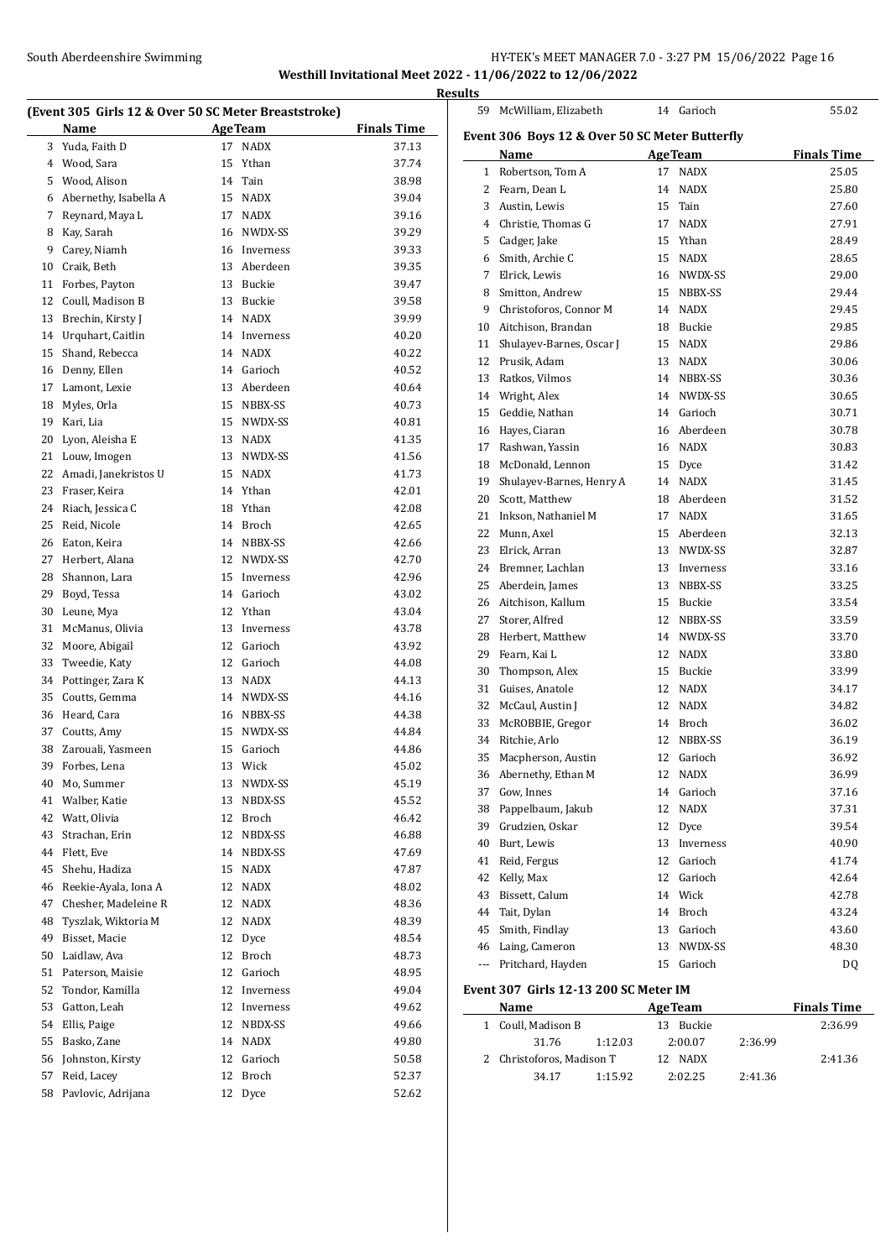### South Aberdeenshire Swimming **Example 2018** HY-TEK's MEET MANAGER 7.0 - 3:27 PM 15/06/2022 Page 16 **Westhill Invitational Meet 2022 - 11/06/2022 to 12/06/2022**

**Results**

|    | (Event 305 Girls 12 & Over 50 SC Meter Breaststroke) |    |                |                    |
|----|------------------------------------------------------|----|----------------|--------------------|
|    | Name                                                 |    | <b>AgeTeam</b> | <b>Finals Time</b> |
| 3  | Yuda, Faith D                                        | 17 | <b>NADX</b>    | 37.13              |
| 4  | Wood, Sara                                           | 15 | Ythan          | 37.74              |
| 5  | Wood, Alison                                         | 14 | Tain           | 38.98              |
| 6  | Abernethy, Isabella A                                |    | 15 NADX        | 39.04              |
| 7  | Reynard, Maya L                                      |    | 17 NADX        | 39.16              |
| 8  | Kay, Sarah                                           |    | 16 NWDX-SS     | 39.29              |
| 9  | Carey, Niamh                                         |    | 16 Inverness   | 39.33              |
| 10 | Craik, Beth                                          |    | 13 Aberdeen    | 39.35              |
| 11 | Forbes, Payton                                       |    | 13 Buckie      | 39.47              |
| 12 | Coull, Madison B                                     |    | 13 Buckie      | 39.58              |
| 13 | Brechin, Kirsty J                                    |    | 14 NADX        | 39.99              |
| 14 | Urquhart, Caitlin                                    |    | 14 Inverness   | 40.20              |
| 15 | Shand, Rebecca                                       |    | 14 NADX        | 40.22              |
| 16 | Denny, Ellen                                         |    | 14 Garioch     | 40.52              |
| 17 | Lamont, Lexie                                        |    | 13 Aberdeen    | 40.64              |
| 18 | Myles, Orla                                          |    | 15 NBBX-SS     | 40.73              |
| 19 | Kari, Lia                                            |    | 15 NWDX-SS     | 40.81              |
| 20 | Lyon, Aleisha E                                      |    | 13 NADX        | 41.35              |
| 21 | Louw, Imogen                                         |    | 13 NWDX-SS     | 41.56              |
| 22 | Amadi, Janekristos U                                 |    | 15 NADX        | 41.73              |
| 23 | Fraser, Keira                                        |    | 14 Ythan       | 42.01              |
| 24 | Riach, Jessica C                                     |    | 18 Ythan       | 42.08              |
| 25 | Reid, Nicole                                         |    | 14 Broch       | 42.65              |
| 26 | Eaton, Keira                                         |    | 14 NBBX-SS     | 42.66              |
| 27 | Herbert, Alana                                       |    | 12 NWDX-SS     | 42.70              |
| 28 | Shannon, Lara                                        |    | 15 Inverness   | 42.96              |
| 29 | Boyd, Tessa                                          |    | 14 Garioch     | 43.02              |
| 30 | Leune, Mya                                           |    | 12 Ythan       | 43.04              |
| 31 | McManus, Olivia                                      |    | 13 Inverness   | 43.78              |
| 32 | Moore, Abigail                                       |    | 12 Garioch     | 43.92              |
| 33 | Tweedie, Katy                                        |    | 12 Garioch     | 44.08              |
| 34 | Pottinger, Zara K                                    |    | 13 NADX        | 44.13              |
| 35 | Coutts, Gemma                                        |    | 14 NWDX-SS     | 44.16              |
| 36 | Heard, Cara                                          |    | 16 NBBX-SS     | 44.38              |
| 37 | Coutts, Amy                                          |    | 15 NWDX-SS     | 44.84              |
| 38 | Zarouali, Yasmeen                                    | 15 | Garioch        | 44.86              |
| 39 | Forbes, Lena                                         |    | 13 Wick        | 45.02              |
| 40 | Mo, Summer                                           | 13 | NWDX-SS        | 45.19              |
| 41 | Walber, Katie                                        | 13 | NBDX-SS        | 45.52              |
| 42 | Watt, Olivia                                         | 12 | Broch          | 46.42              |
| 43 | Strachan, Erin                                       | 12 | NBDX-SS        | 46.88              |
| 44 | Flett, Eve                                           | 14 | NBDX-SS        | 47.69              |
| 45 | Shehu, Hadiza                                        | 15 | NADX           | 47.87              |
| 46 | Reekie-Ayala, Iona A                                 | 12 | NADX           | 48.02              |
| 47 | Chesher, Madeleine R                                 | 12 | <b>NADX</b>    | 48.36              |
| 48 | Tyszlak, Wiktoria M                                  | 12 | NADX           | 48.39              |
| 49 | Bisset, Macie                                        | 12 | Dyce           | 48.54              |
| 50 | Laidlaw, Ava                                         | 12 | Broch          | 48.73              |
| 51 | Paterson, Maisie                                     | 12 | Garioch        | 48.95              |
| 52 | Tondor, Kamilla                                      | 12 | Inverness      | 49.04              |
| 53 | Gatton, Leah                                         | 12 | Inverness      | 49.62              |
| 54 | Ellis, Paige                                         | 12 | NBDX-SS        | 49.66              |
| 55 | Basko, Zane                                          | 14 | NADX           | 49.80              |
| 56 | Johnston, Kirsty                                     | 12 | Garioch        | 50.58              |
| 57 | Reid, Lacey                                          | 12 | Broch          | 52.37              |
| 58 | Pavlovic, Adrijana                                   | 12 | Dyce           | 52.62              |
|    |                                                      |    |                |                    |

| 59                                             | McWilliam, Elizabeth                | 14 | Garioch                | 55.02              |  |  |  |
|------------------------------------------------|-------------------------------------|----|------------------------|--------------------|--|--|--|
| Event 306 Boys 12 & Over 50 SC Meter Butterfly |                                     |    |                        |                    |  |  |  |
|                                                | Name                                |    | <b>AgeTeam</b>         | <b>Finals Time</b> |  |  |  |
| 1                                              | Robertson, Tom A                    | 17 | <b>NADX</b>            | 25.05              |  |  |  |
|                                                | 2 Fearn, Dean L                     | 14 | NADX                   | 25.80              |  |  |  |
|                                                | 3 Austin, Lewis                     |    | 15 Tain                | 27.60              |  |  |  |
|                                                | 4 Christie, Thomas G                |    | 17 NADX                | 27.91              |  |  |  |
|                                                | 5 Cadger, Jake                      |    | 15 Ythan               | 28.49              |  |  |  |
|                                                | 6 Smith, Archie C                   |    | 15 NADX                | 28.65              |  |  |  |
|                                                | 7 Elrick, Lewis                     |    | 16 NWDX-SS             | 29.00              |  |  |  |
|                                                | 8 Smitton, Andrew                   |    | 15 NBBX-SS             | 29.44              |  |  |  |
| 9.                                             | Christoforos, Connor M              |    | 14 NADX                | 29.45              |  |  |  |
|                                                | 10 Aitchison, Brandan               |    | 18 Buckie              | 29.85              |  |  |  |
| 11                                             | Shulayev-Barnes, Oscar J            |    | 15 NADX                | 29.86              |  |  |  |
|                                                | 12 Prusik, Adam                     |    | 13 NADX                | 30.06              |  |  |  |
|                                                | 13 Ratkos, Vilmos                   |    | 14 NBBX-SS             | 30.36              |  |  |  |
|                                                | 14 Wright, Alex                     |    | 14 NWDX-SS             | 30.65              |  |  |  |
|                                                | 15 Geddie, Nathan                   |    | 14 Garioch             | 30.71              |  |  |  |
|                                                | 16 Hayes, Ciaran                    |    | 16 Aberdeen            | 30.78              |  |  |  |
|                                                | 17 Rashwan, Yassin                  |    | 16 NADX                | 30.83              |  |  |  |
| 18                                             | McDonald, Lennon                    |    | 15 Dyce                | 31.42              |  |  |  |
| 19                                             | Shulayev-Barnes, Henry A            |    | 14 NADX                | 31.45              |  |  |  |
| 20                                             | Scott, Matthew                      |    | 18 Aberdeen            | 31.52              |  |  |  |
|                                                | 21 Inkson, Nathaniel M              |    | 17 NADX                | 31.65              |  |  |  |
| 22                                             | Munn, Axel                          |    | 15 Aberdeen            | 32.13              |  |  |  |
| 23                                             | Elrick, Arran                       |    | 13 NWDX-SS             | 32.87              |  |  |  |
|                                                | 24 Bremner, Lachlan                 |    | 13 Inverness           | 33.16              |  |  |  |
| 25                                             | Aberdein, James                     |    | 13 NBBX-SS             | 33.25              |  |  |  |
|                                                | 26 Aitchison, Kallum                |    | 15 Buckie              | 33.54              |  |  |  |
| 27                                             | Storer, Alfred                      |    | 12 NBBX-SS             | 33.59              |  |  |  |
| 28                                             | Herbert, Matthew                    |    | 14 NWDX-SS             | 33.70              |  |  |  |
| 29                                             | Fearn, Kai L                        |    | 12 NADX                | 33.80              |  |  |  |
| 30                                             | Thompson, Alex                      |    | 15 Buckie              | 33.99              |  |  |  |
|                                                | 31 Guises. Anatole                  |    | 12 NADX                | 34.17              |  |  |  |
|                                                | 32 McCaul, Austin J                 |    | 12 NADX                | 34.82              |  |  |  |
| 33                                             | McROBBIE, Gregor                    |    | 14 Broch               | 36.02              |  |  |  |
| 34                                             | Ritchie, Arlo                       | 12 | NBBX-SS                | 36.19              |  |  |  |
| 35                                             | Macpherson, Austin                  |    | 12 Garioch             | 36.92              |  |  |  |
|                                                |                                     |    |                        |                    |  |  |  |
| 37                                             | 36 Abernethy, Ethan M<br>Gow, Innes | 14 | 12 NADX                | 36.99              |  |  |  |
| 38                                             | Pappelbaum, Jakub                   | 12 | Garioch<br><b>NADX</b> | 37.16              |  |  |  |
| 39                                             |                                     | 12 |                        | 37.31              |  |  |  |
|                                                | Grudzien, Oskar<br>Burt, Lewis      |    | Dyce                   | 39.54              |  |  |  |
| 40                                             |                                     | 13 | Inverness              | 40.90              |  |  |  |
| 41                                             | Reid, Fergus                        | 12 | Garioch                | 41.74              |  |  |  |
| 42                                             | Kelly, Max                          | 12 | Garioch                | 42.64              |  |  |  |
| 43                                             | Bissett, Calum                      | 14 | Wick                   | 42.78              |  |  |  |
| 44                                             | Tait, Dylan                         | 14 | Broch                  | 43.24              |  |  |  |
| 45                                             | Smith, Findlay                      | 13 | Garioch                | 43.60              |  |  |  |
| 46                                             | Laing, Cameron                      | 13 | NWDX-SS                | 48.30              |  |  |  |
| ---                                            | Pritchard, Hayden                   | 15 | Garioch                | DQ                 |  |  |  |

#### **Event 307 Girls 12-13 200 SC Meter IM**

| Name                      |         | <b>AgeTeam</b> |         | <b>Finals Time</b> |
|---------------------------|---------|----------------|---------|--------------------|
| 1 Coull, Madison B        |         | Buckie<br>13   |         | 2:36.99            |
| 31.76                     | 1:12.03 | 2:00.07        | 2:36.99 |                    |
| 2 Christoforos, Madison T |         | 12 NADX        |         | 2:41.36            |
| 34.17                     | 1:15.92 | 2:02.25        | 2:41.36 |                    |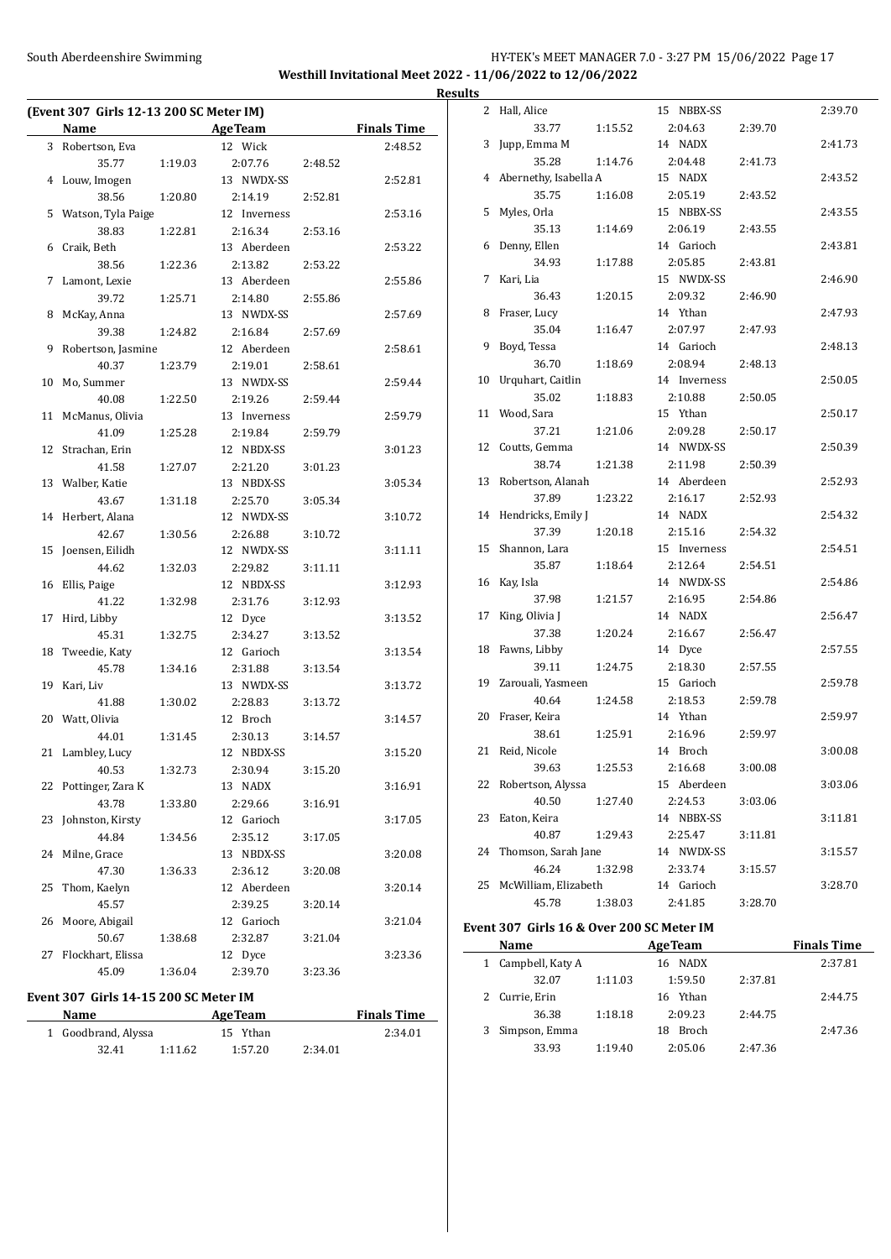### South Aberdeenshire Swimming **Example 2018** HY-TEK's MEET MANAGER 7.0 - 3:27 PM 15/06/2022 Page 17 **Westhill Invitational Meet 2022 - 11/06/2022 to 12/06/2022 Results**

| (Event 307 Girls 12-13 200 SC Meter IM) |                      |         |                |         |                    |  |
|-----------------------------------------|----------------------|---------|----------------|---------|--------------------|--|
|                                         | Name                 |         | <b>AgeTeam</b> |         | <b>Finals Time</b> |  |
|                                         | 3 Robertson, Eva     |         | 12 Wick        |         | 2:48.52            |  |
|                                         | 35.77                | 1:19.03 | 2:07.76        | 2:48.52 |                    |  |
|                                         | 4 Louw, Imogen       |         | 13 NWDX-SS     |         | 2:52.81            |  |
|                                         | 38.56                | 1:20.80 | 2:14.19        | 2:52.81 |                    |  |
| 5                                       | Watson, Tyla Paige   |         | 12 Inverness   |         | 2:53.16            |  |
|                                         | 38.83                | 1:22.81 | 2:16.34        | 2:53.16 |                    |  |
| 6                                       | Craik, Beth          |         | 13 Aberdeen    |         | 2:53.22            |  |
|                                         | 38.56                | 1:22.36 | 2:13.82        | 2:53.22 |                    |  |
| 7                                       | Lamont, Lexie        |         | 13 Aberdeen    |         | 2:55.86            |  |
|                                         | 39.72                | 1:25.71 | 2:14.80        | 2:55.86 |                    |  |
| 8                                       | McKay, Anna          |         | 13 NWDX-SS     |         | 2:57.69            |  |
|                                         | 39.38                | 1:24.82 | 2:16.84        | 2:57.69 |                    |  |
| 9                                       | Robertson, Jasmine   |         | 12 Aberdeen    |         | 2:58.61            |  |
|                                         | 40.37                | 1:23.79 | 2:19.01        | 2:58.61 |                    |  |
| 10                                      | Mo, Summer           |         | 13 NWDX-SS     |         | 2:59.44            |  |
|                                         | 40.08                | 1:22.50 | 2:19.26        | 2:59.44 |                    |  |
| 11                                      | McManus, Olivia      |         | 13 Inverness   |         | 2:59.79            |  |
|                                         | 41.09                | 1:25.28 | 2:19.84        | 2:59.79 |                    |  |
| 12                                      | Strachan, Erin       |         | 12 NBDX-SS     |         | 3:01.23            |  |
|                                         | 41.58                | 1:27.07 | 2:21.20        | 3:01.23 |                    |  |
|                                         | 13 Walber, Katie     |         | 13 NBDX-SS     |         | 3:05.34            |  |
|                                         | 43.67                | 1:31.18 | 2:25.70        | 3:05.34 |                    |  |
| 14                                      | Herbert, Alana       |         | 12 NWDX-SS     |         | 3:10.72            |  |
|                                         | 42.67                | 1:30.56 | 2:26.88        | 3:10.72 |                    |  |
| 15                                      | Joensen, Eilidh      |         | 12 NWDX-SS     |         | 3:11.11            |  |
|                                         | 44.62                | 1:32.03 | 2:29.82        | 3:11.11 |                    |  |
| 16                                      | Ellis, Paige         |         | 12 NBDX-SS     |         | 3:12.93            |  |
|                                         | 41.22                | 1:32.98 | 2:31.76        | 3:12.93 |                    |  |
| 17                                      | Hird, Libby          |         | 12 Dyce        |         | 3:13.52            |  |
|                                         | 45.31                | 1:32.75 | 2:34.27        | 3:13.52 |                    |  |
| 18                                      | Tweedie, Katy        |         | 12 Garioch     |         | 3:13.54            |  |
|                                         | 45.78                | 1:34.16 | 2:31.88        | 3:13.54 |                    |  |
| 19                                      | Kari, Liv            |         | 13 NWDX-SS     |         | 3:13.72            |  |
|                                         | 41.88                | 1:30.02 | 2:28.83        | 3:13.72 |                    |  |
| 20                                      | Watt, Olivia         |         | 12 Broch       |         | 3:14.57            |  |
|                                         | 44.01                | 1:31.45 | 2:30.13        | 3:14.57 |                    |  |
| 21                                      | Lambley, Lucy        |         | 12 NBDX-SS     |         | 3:15.20            |  |
|                                         | 40.53                | 1:32.73 | 2:30.94        | 3:15.20 |                    |  |
|                                         | 22 Pottinger, Zara K |         | 13 NADX        |         | 3:16.91            |  |
|                                         | 43.78                | 1:33.80 | 2:29.66        | 3:16.91 |                    |  |
| 23                                      | Johnston, Kirsty     |         | 12 Garioch     |         | 3:17.05            |  |
|                                         | 44.84                | 1:34.56 | 2:35.12        | 3:17.05 |                    |  |
| 24                                      | Milne, Grace         |         | 13 NBDX-SS     |         | 3:20.08            |  |
|                                         | 47.30                | 1:36.33 | 2:36.12        | 3:20.08 |                    |  |
| 25                                      | Thom, Kaelyn         |         | 12 Aberdeen    |         | 3:20.14            |  |
|                                         | 45.57                |         | 2:39.25        | 3:20.14 |                    |  |
| 26                                      | Moore, Abigail       |         | 12 Garioch     |         | 3:21.04            |  |
|                                         | 50.67                | 1:38.68 | 2:32.87        | 3:21.04 |                    |  |
| 27                                      | Flockhart, Elissa    |         | 12 Dyce        |         | 3:23.36            |  |
|                                         | 45.09                | 1:36.04 | 2:39.70        | 3:23.36 |                    |  |
|                                         |                      |         |                |         |                    |  |

# **Event 307 Girls 14-15 200 SC Meter IM**

L

| Name                |         | <b>AgeTeam</b> |         | <b>Finals Time</b> |
|---------------------|---------|----------------|---------|--------------------|
| 1 Goodbrand, Alyssa |         | 15 Ythan       |         | 2:34.01            |
| 32.41               | 1:11.62 | 1:57.20        | 2:34.01 |                    |

| LS. |                       |         |              |         |         |
|-----|-----------------------|---------|--------------|---------|---------|
| 2   | Hall, Alice           |         | 15 NBBX-SS   |         | 2:39.70 |
|     | 33.77                 | 1:15.52 | 2:04.63      | 2:39.70 |         |
| 3   | Jupp, Emma M          |         | 14 NADX      |         | 2:41.73 |
|     | 35.28                 | 1:14.76 | 2:04.48      | 2:41.73 |         |
| 4   | Abernethy, Isabella A |         | 15 NADX      |         | 2:43.52 |
|     | 35.75                 | 1:16.08 | 2:05.19      | 2:43.52 |         |
| 5   | Myles, Orla           |         | 15 NBBX-SS   |         | 2:43.55 |
|     | 35.13                 | 1:14.69 | 2:06.19      | 2:43.55 |         |
| 6   | Denny, Ellen          |         | 14 Garioch   |         | 2:43.81 |
|     | 34.93                 | 1:17.88 | 2:05.85      | 2:43.81 |         |
| 7   | Kari, Lia             |         | 15 NWDX-SS   |         | 2:46.90 |
|     | 36.43                 | 1:20.15 | 2:09.32      | 2:46.90 |         |
| 8   | Fraser, Lucy          |         | 14 Ythan     |         | 2:47.93 |
|     | 35.04                 | 1:16.47 | 2:07.97      | 2:47.93 |         |
| 9   | Boyd, Tessa           |         | 14 Garioch   |         | 2:48.13 |
|     | 36.70                 | 1:18.69 | 2:08.94      | 2:48.13 |         |
| 10  | Urquhart, Caitlin     |         | 14 Inverness |         | 2:50.05 |
|     | 35.02                 | 1:18.83 | 2:10.88      | 2:50.05 |         |
| 11  | Wood, Sara            |         | 15 Ythan     |         | 2:50.17 |
|     | 37.21                 | 1:21.06 | 2:09.28      | 2:50.17 |         |
| 12  | Coutts, Gemma         |         | 14 NWDX-SS   |         | 2:50.39 |
|     | 38.74                 | 1:21.38 | 2:11.98      | 2:50.39 |         |
| 13  | Robertson, Alanah     |         | 14 Aberdeen  |         | 2:52.93 |
|     | 37.89                 | 1:23.22 | 2:16.17      | 2:52.93 |         |
|     | 14 Hendricks, Emily J |         | 14 NADX      |         | 2:54.32 |
|     | 37.39                 | 1:20.18 | 2:15.16      | 2:54.32 |         |
| 15  | Shannon, Lara         |         | 15 Inverness |         | 2:54.51 |
|     | 35.87                 | 1:18.64 | 2:12.64      | 2:54.51 |         |
| 16  | Kay, Isla             |         | 14 NWDX-SS   |         | 2:54.86 |
|     | 37.98                 | 1:21.57 | 2:16.95      | 2:54.86 |         |
| 17  | King, Olivia J        |         | 14 NADX      |         | 2:56.47 |
|     | 37.38                 | 1:20.24 | 2:16.67      | 2:56.47 |         |
| 18  | Fawns, Libby          |         | 14 Dyce      |         | 2:57.55 |
|     | 39.11                 | 1:24.75 | 2:18.30      | 2:57.55 |         |
| 19  | Zarouali, Yasmeen     |         | 15 Garioch   |         | 2:59.78 |
|     | 40.64                 | 1:24.58 | 2:18.53      | 2:59.78 |         |
| 20  | Fraser, Keira         |         | 14 Ythan     |         | 2:59.97 |
|     | 38.61                 | 1:25.91 | 2:16.96      | 2:59.97 |         |
| 21  | Reid, Nicole          |         | 14 Broch     |         | 3:00.08 |
|     | 39.63                 | 1:25.53 | 2:16.68      | 3:00.08 |         |
| 22  | Robertson, Alyssa     |         | 15 Aberdeen  |         | 3:03.06 |
|     | 40.50                 | 1:27.40 | 2:24.53      | 3:03.06 |         |
| 23  | Eaton, Keira          |         | 14 NBBX-SS   |         | 3:11.81 |
|     | 40.87                 | 1:29.43 | 2:25.47      | 3:11.81 |         |
| 24  | Thomson, Sarah Jane   |         | 14 NWDX-SS   |         | 3:15.57 |
|     | 46.24                 | 1:32.98 | 2:33.74      | 3:15.57 |         |
| 25  | McWilliam, Elizabeth  |         | 14 Garioch   |         | 3:28.70 |
|     | 45.78                 | 1:38.03 | 2:41.85      | 3:28.70 |         |

# **Event 307 Girls 16 & Over 200 SC Meter IM**

|    | <b>Name</b>        |         | <b>AgeTeam</b>     |         | <b>Finals Time</b> |
|----|--------------------|---------|--------------------|---------|--------------------|
|    | 1 Campbell, Katy A |         | 16 NADX            |         | 2:37.81            |
|    | 32.07              | 1:11.03 | 1:59.50            | 2:37.81 |                    |
|    | 2 Currie, Erin     |         | 16 Ythan           |         | 2:44.75            |
|    | 36.38              | 1:18.18 | 2:09.23            | 2:44.75 |                    |
| 3. | Simpson, Emma      |         | <b>Broch</b><br>18 |         | 2:47.36            |
|    | 33.93              | 1:19.40 | 2:05.06            | 2:47.36 |                    |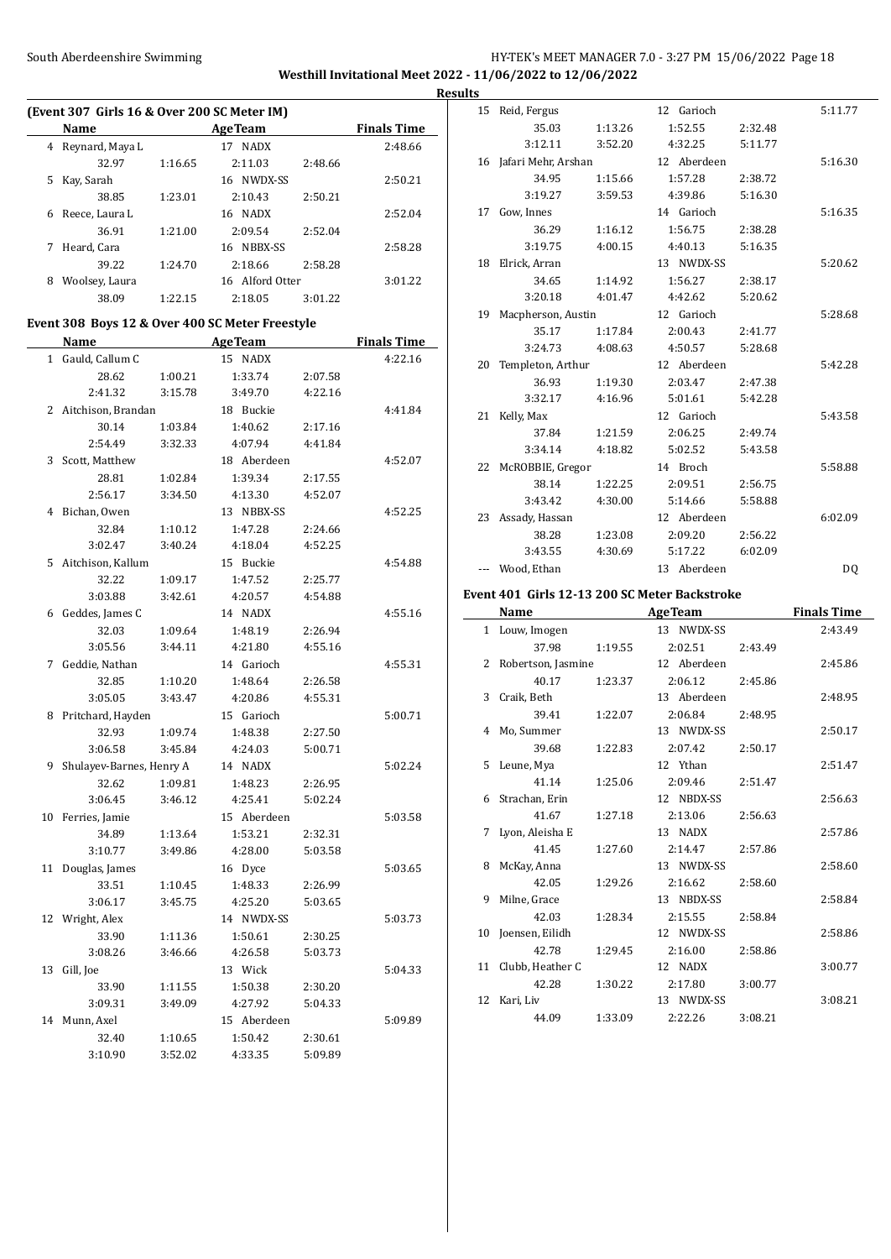# South Aberdeenshire Swimming **Example 2018** HY-TEK's MEET MANAGER 7.0 - 3:27 PM 15/06/2022 Page 18 **Westhill Invitational Meet 2022 - 11/06/2022 to 12/06/2022**

| (Event 307 Girls 16 & Over 200 SC Meter IM) |                 |         |                   |         |                    |  |  |  |
|---------------------------------------------|-----------------|---------|-------------------|---------|--------------------|--|--|--|
|                                             | Name            |         | <b>AgeTeam</b>    |         | <b>Finals Time</b> |  |  |  |
| 4                                           | Reynard, Maya L |         | <b>NADX</b><br>17 |         | 2:48.66            |  |  |  |
|                                             | 32.97           | 1:16.65 | 2:11.03           | 2:48.66 |                    |  |  |  |
| 5                                           | Kay, Sarah      |         | 16 NWDX-SS        |         | 2:50.21            |  |  |  |
|                                             | 38.85           | 1:23.01 | 2:10.43           | 2:50.21 |                    |  |  |  |
| 6                                           | Reece, Laura L  |         | 16 NADX           |         | 2:52.04            |  |  |  |
|                                             | 36.91           | 1:21.00 | 2:09.54           | 2:52.04 |                    |  |  |  |
| 7                                           | Heard, Cara     |         | NBBX-SS<br>16     |         | 2:58.28            |  |  |  |
|                                             | 39.22           | 1:24.70 | 2:18.66           | 2:58.28 |                    |  |  |  |
| 8                                           | Woolsey, Laura  |         | 16 Alford Otter   |         | 3:01.22            |  |  |  |
|                                             | 38.09           | 1:22.15 | 2:18.05           | 3:01.22 |                    |  |  |  |

### **Event 308 Boys 12 & Over 400 SC Meter Freestyle**

|              | <b>Name</b>              |         | <b>AgeTeam</b> |         | <b>Finals Time</b> |
|--------------|--------------------------|---------|----------------|---------|--------------------|
| $\mathbf{1}$ | Gauld, Callum C          |         | 15 NADX        |         | 4:22.16            |
|              | 28.62                    | 1:00.21 | 1:33.74        | 2:07.58 |                    |
|              | 2:41.32                  | 3:15.78 | 3:49.70        | 4:22.16 |                    |
|              | 2 Aitchison, Brandan     |         | 18 Buckie      |         | 4:41.84            |
|              | 30.14                    | 1:03.84 | 1:40.62        | 2:17.16 |                    |
|              | 2:54.49                  | 3:32.33 | 4:07.94        | 4:41.84 |                    |
| 3            | Scott, Matthew           |         | 18 Aberdeen    |         | 4:52.07            |
|              | 28.81                    | 1:02.84 | 1:39.34        | 2:17.55 |                    |
|              | 2:56.17                  | 3:34.50 | 4:13.30        | 4:52.07 |                    |
| 4            | Bichan, Owen             |         | 13 NBBX-SS     |         | 4:52.25            |
|              | 32.84                    | 1:10.12 | 1:47.28        | 2:24.66 |                    |
|              | 3:02.47                  | 3:40.24 | 4:18.04        | 4:52.25 |                    |
| 5.           | Aitchison, Kallum        |         | 15 Buckie      |         | 4:54.88            |
|              | 32.22                    | 1:09.17 | 1:47.52        | 2:25.77 |                    |
|              | 3:03.88                  | 3:42.61 | 4:20.57        | 4:54.88 |                    |
| 6            | Geddes, James C          |         | 14 NADX        |         | 4:55.16            |
|              | 32.03                    | 1:09.64 | 1:48.19        | 2:26.94 |                    |
|              | 3:05.56                  | 3:44.11 | 4:21.80        | 4:55.16 |                    |
| 7            | Geddie, Nathan           |         | 14 Garioch     |         | 4:55.31            |
|              | 32.85                    | 1:10.20 | 1:48.64        | 2:26.58 |                    |
|              | 3:05.05                  | 3:43.47 | 4:20.86        | 4:55.31 |                    |
| 8            | Pritchard, Hayden        |         | 15 Garioch     |         | 5:00.71            |
|              | 32.93                    | 1:09.74 | 1:48.38        | 2:27.50 |                    |
|              | 3:06.58                  | 3:45.84 | 4:24.03        | 5:00.71 |                    |
| 9            | Shulayev-Barnes, Henry A |         | 14 NADX        |         | 5:02.24            |
|              | 32.62                    | 1:09.81 | 1:48.23        | 2:26.95 |                    |
|              | 3:06.45                  | 3:46.12 | 4:25.41        | 5:02.24 |                    |
| 10           | Ferries, Jamie           |         | 15 Aberdeen    |         | 5:03.58            |
|              | 34.89                    | 1:13.64 | 1:53.21        | 2:32.31 |                    |
|              | 3:10.77                  | 3:49.86 | 4:28.00        | 5:03.58 |                    |
| 11           | Douglas, James           |         | 16 Dyce        |         | 5:03.65            |
|              | 33.51                    | 1:10.45 | 1:48.33        | 2:26.99 |                    |
|              | 3:06.17                  | 3:45.75 | 4:25.20        | 5:03.65 |                    |
| 12           | Wright, Alex             |         | 14 NWDX-SS     |         | 5:03.73            |
|              | 33.90                    | 1:11.36 | 1:50.61        | 2:30.25 |                    |
|              | 3:08.26                  | 3:46.66 | 4:26.58        | 5:03.73 |                    |
| 13           | Gill, Joe                |         | 13 Wick        |         | 5:04.33            |
|              | 33.90                    | 1:11.55 | 1:50.38        | 2:30.20 |                    |
|              | 3:09.31                  | 3:49.09 | 4:27.92        | 5:04.33 |                    |
| 14           | Munn, Axel               |         | 15 Aberdeen    |         | 5:09.89            |
|              | 32.40                    | 1:10.65 | 1:50.42        | 2:30.61 |                    |
|              | 3:10.90                  | 3:52.02 | 4:33.35        | 5:09.89 |                    |

| <b>Results</b> |                        |         |             |         |         |
|----------------|------------------------|---------|-------------|---------|---------|
|                | 15 Reid, Fergus        |         | 12 Garioch  |         | 5:11.77 |
|                | 35.03                  | 1:13.26 | 1:52.55     | 2:32.48 |         |
|                | 3:12.11                | 3:52.20 | 4:32.25     | 5:11.77 |         |
|                | 16 Jafari Mehr, Arshan |         | 12 Aberdeen |         | 5:16.30 |
|                | 34.95                  | 1:15.66 | 1:57.28     | 2:38.72 |         |
|                | 3:19.27                | 3:59.53 | 4:39.86     | 5:16.30 |         |
|                | 17 Gow, Innes          |         | 14 Garioch  |         | 5:16.35 |
|                | 36.29                  | 1:16.12 | 1:56.75     | 2:38.28 |         |
|                | 3:19.75                | 4:00.15 | 4:40.13     | 5:16.35 |         |
|                | 18 Elrick, Arran       |         | 13 NWDX-SS  |         | 5:20.62 |
|                | 34.65                  | 1:14.92 | 1:56.27     | 2:38.17 |         |
|                | 3:20.18                | 4:01.47 | 4:42.62     | 5:20.62 |         |
|                | 19 Macpherson, Austin  |         | 12 Garioch  |         | 5:28.68 |
|                | 35.17                  | 1:17.84 | 2:00.43     | 2:41.77 |         |
|                | 3:24.73                | 4:08.63 | 4:50.57     | 5:28.68 |         |
| 20             | Templeton, Arthur      |         | 12 Aberdeen |         | 5:42.28 |
|                | 36.93                  | 1:19.30 | 2:03.47     | 2:47.38 |         |
|                | 3:32.17                | 4:16.96 | 5:01.61     | 5:42.28 |         |
|                | 21 Kelly, Max          |         | 12 Garioch  |         | 5:43.58 |
|                | 37.84                  | 1:21.59 | 2:06.25     | 2:49.74 |         |
|                | 3:34.14                | 4:18.82 | 5:02.52     | 5:43.58 |         |
|                | 22 McROBBIE, Gregor    |         | 14 Broch    |         | 5:58.88 |
|                | 38.14                  | 1:22.25 | 2:09.51     | 2:56.75 |         |
|                | 3:43.42                | 4:30.00 | 5:14.66     | 5:58.88 |         |
|                | 23 Assady, Hassan      |         | 12 Aberdeen |         | 6:02.09 |
|                | 38.28                  | 1:23.08 | 2:09.20     | 2:56.22 |         |
|                | 3:43.55                | 4:30.69 | 5:17.22     | 6:02.09 |         |
|                | Wood, Ethan            |         | 13 Aberdeen |         | DQ      |

### **Event 401 Girls 12-13 200 SC Meter Backstroke**

 $\frac{1}{2}$ 

|               | Name               |         | <b>AgeTeam</b> |         | <b>Finals Time</b> |
|---------------|--------------------|---------|----------------|---------|--------------------|
|               | 1 Louw, Imogen     |         | 13 NWDX-SS     |         | 2:43.49            |
|               | 37.98              | 1:19.55 | 2:02.51        | 2:43.49 |                    |
| $\mathcal{L}$ | Robertson, Jasmine |         | 12 Aberdeen    |         | 2:45.86            |
|               | 40.17              | 1:23.37 | 2:06.12        | 2:45.86 |                    |
| 3             | Craik, Beth        |         | 13 Aberdeen    |         | 2:48.95            |
|               | 39.41              | 1:22.07 | 2:06.84        | 2:48.95 |                    |
| 4             | Mo, Summer         |         | 13 NWDX-SS     |         | 2:50.17            |
|               | 39.68              | 1:22.83 | 2:07.42        | 2:50.17 |                    |
| 5.            | Leune, Mya         |         | 12 Ythan       |         | 2:51.47            |
|               | 41.14              | 1:25.06 | 2:09.46        | 2:51.47 |                    |
| 6             | Strachan, Erin     |         | 12 NBDX-SS     |         | 2:56.63            |
|               | 41.67              | 1:27.18 | 2:13.06        | 2:56.63 |                    |
| 7             | Lyon, Aleisha E    |         | 13 NADX        |         | 2:57.86            |
|               | 41.45              | 1:27.60 | 2:14.47        | 2:57.86 |                    |
| 8             | McKay, Anna        |         | 13 NWDX-SS     |         | 2:58.60            |
|               | 42.05              | 1:29.26 | 2:16.62        | 2:58.60 |                    |
| 9             | Milne, Grace       |         | 13 NBDX-SS     |         | 2:58.84            |
|               | 42.03              | 1:28.34 | 2:15.55        | 2:58.84 |                    |
| 10            | Joensen, Eilidh    |         | 12 NWDX-SS     |         | 2:58.86            |
|               | 42.78              | 1:29.45 | 2:16.00        | 2:58.86 |                    |
| 11            | Clubb, Heather C   |         | 12 NADX        |         | 3:00.77            |
|               | 42.28              | 1:30.22 | 2:17.80        | 3:00.77 |                    |
| 12            | Kari, Liv          |         | 13 NWDX-SS     |         | 3:08.21            |
|               | 44.09              | 1:33.09 | 2:22.26        | 3:08.21 |                    |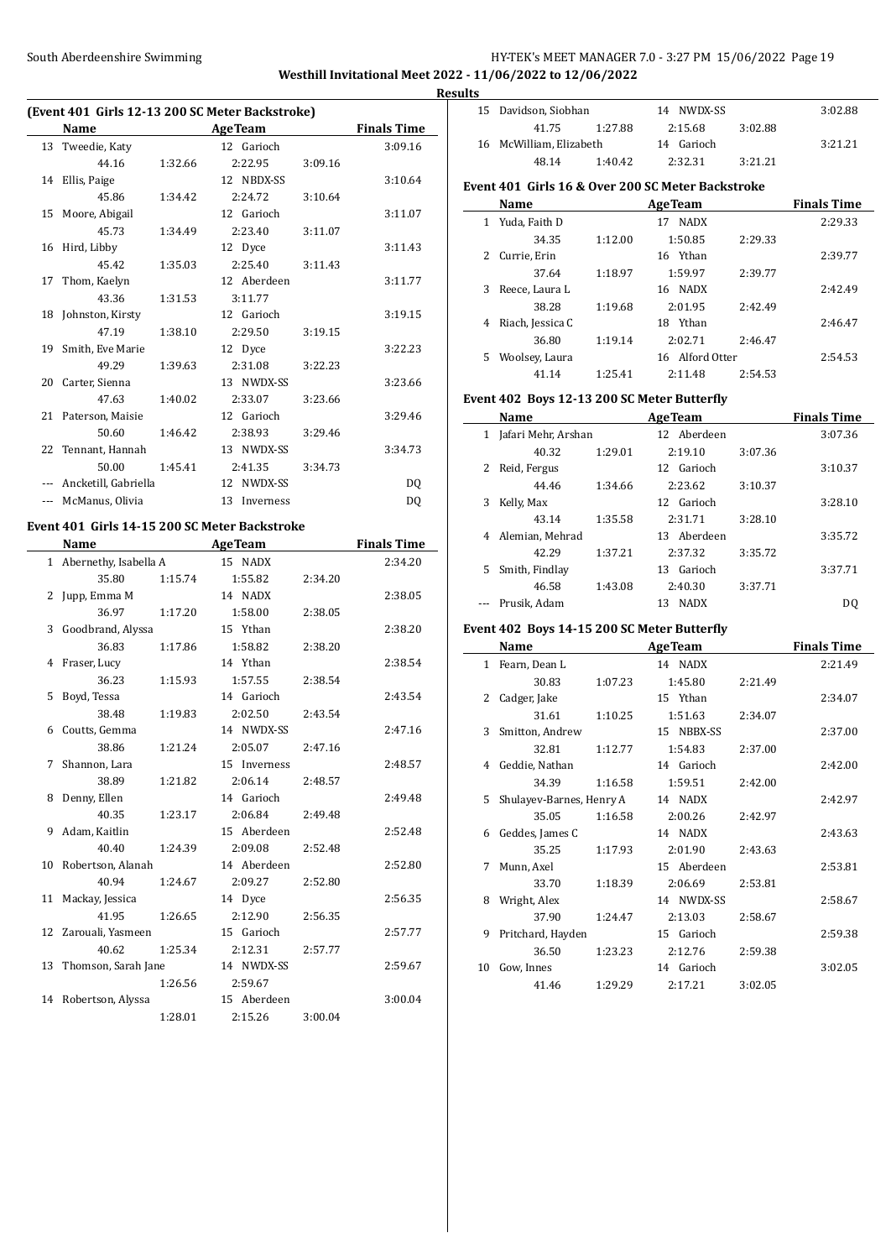### South Aberdeenshire Swimming Supering HY-TEK's MEET MANAGER 7.0 - 3:27 PM 15/06/2022 Page 19 **Westhill Invitational Meet 2022 - 11/06/2022 to 12/06/2022**

**Results**

 $\overline{a}$ 

## **(Event 401 Girls 12-13 200 SC Meter Backstroke)**

|       | Name                 |         | <b>AgeTeam</b>  |         | <b>Finals Time</b> |
|-------|----------------------|---------|-----------------|---------|--------------------|
|       |                      |         |                 |         |                    |
| 13    | Tweedie, Katy        |         | 12 Garioch      |         | 3:09.16            |
|       | 44.16                | 1:32.66 | 2:22.95         | 3:09.16 |                    |
|       | 14 Ellis, Paige      |         | 12 NBDX-SS      |         | 3:10.64            |
|       | 45.86                | 1:34.42 | 2:24.72         | 3:10.64 |                    |
| 15    | Moore, Abigail       |         | 12 Garioch      |         | 3:11.07            |
|       | 45.73                | 1:34.49 | 2:23.40         | 3:11.07 |                    |
|       | 16 Hird, Libby       |         | 12 Dyce         |         | 3:11.43            |
|       | 45.42                | 1:35.03 | 2:25.40         | 3:11.43 |                    |
| 17    | Thom, Kaelyn         |         | 12 Aberdeen     |         | 3:11.77            |
|       | 43.36                | 1:31.53 | 3:11.77         |         |                    |
|       | 18 Johnston, Kirsty  |         | 12 Garioch      |         | 3:19.15            |
|       | 47.19                | 1:38.10 | 2:29.50         | 3:19.15 |                    |
| 19    | Smith, Eve Marie     |         | 12 Dyce         |         | 3:22.23            |
|       | 49.29                | 1:39.63 | 2:31.08         | 3:22.23 |                    |
| 20    | Carter, Sienna       |         | 13 NWDX-SS      |         | 3:23.66            |
|       | 47.63                | 1:40.02 | 2:33.07         | 3:23.66 |                    |
|       | 21 Paterson, Maisie  |         | 12 Garioch      |         | 3:29.46            |
|       | 50.60                | 1:46.42 | 2:38.93         | 3:29.46 |                    |
| 22    | Tennant, Hannah      |         | 13 NWDX-SS      |         | 3:34.73            |
|       | 50.00                | 1:45.41 | 2:41.35         | 3:34.73 |                    |
|       | Ancketill, Gabriella |         | 12 NWDX-SS      |         | DQ                 |
| $---$ | McManus, Olivia      |         | 13<br>Inverness |         | DQ                 |

# **Event 401 Girls 14-15 200 SC Meter Backstroke**

|    | <b>Name</b>             |         | <b>AgeTeam</b> | <b>Finals Time</b> |
|----|-------------------------|---------|----------------|--------------------|
|    | 1 Abernethy, Isabella A |         | 15 NADX        | 2:34.20            |
|    | 35.80                   | 1:15.74 | 1:55.82        | 2:34.20            |
| 2  | Jupp, Emma M            |         | 14 NADX        | 2:38.05            |
|    | 36.97                   | 1:17.20 | 1:58.00        | 2:38.05            |
| 3  | Goodbrand, Alyssa       |         | 15 Ythan       | 2:38.20            |
|    | 36.83                   | 1:17.86 | 1:58.82        | 2:38.20            |
| 4  | Fraser, Lucy            |         | 14 Ythan       | 2:38.54            |
|    | 36.23                   | 1:15.93 | 1:57.55        | 2:38.54            |
| 5  | Boyd, Tessa             |         | 14 Garioch     | 2:43.54            |
|    | 38.48                   | 1:19.83 | 2:02.50        | 2:43.54            |
| 6  | Coutts, Gemma           |         | 14 NWDX-SS     | 2:47.16            |
|    | 38.86                   | 1:21.24 | 2:05.07        | 2:47.16            |
| 7  | Shannon, Lara           |         | 15 Inverness   | 2:48.57            |
|    | 38.89                   | 1:21.82 | 2:06.14        | 2:48.57            |
| 8  | Denny, Ellen            |         | 14 Garioch     | 2:49.48            |
|    | 40.35                   | 1:23.17 | 2:06.84        | 2:49.48            |
| 9  | Adam, Kaitlin           |         | 15 Aberdeen    | 2:52.48            |
|    | 40.40                   | 1:24.39 | 2:09.08        | 2:52.48            |
| 10 | Robertson, Alanah       |         | 14 Aberdeen    | 2:52.80            |
|    | 40.94                   | 1:24.67 | 2:09.27        | 2:52.80            |
| 11 | Mackay, Jessica         |         | 14 Dyce        | 2:56.35            |
|    | 41.95                   | 1:26.65 | 2:12.90        | 2:56.35            |
| 12 | Zarouali, Yasmeen       |         | 15 Garioch     | 2:57.77            |
|    | 40.62                   | 1:25.34 | 2:12.31        | 2:57.77            |
| 13 | Thomson, Sarah Jane     |         | 14 NWDX-SS     | 2:59.67            |
|    |                         | 1:26.56 | 2:59.67        |                    |
| 14 | Robertson, Alyssa       |         | 15 Aberdeen    | 3:00.04            |
|    |                         | 1:28.01 | 2:15.26        | 3:00.04            |

| 11 L.S |                                                    |         |                 |         |                    |
|--------|----------------------------------------------------|---------|-----------------|---------|--------------------|
| 15     | Davidson, Siobhan                                  |         | 14 NWDX-SS      |         | 3:02.88            |
|        | 41.75                                              | 1:27.88 | 2:15.68         | 3:02.88 |                    |
|        | 16 McWilliam, Elizabeth                            |         | 14 Garioch      |         | 3:21.21            |
|        | 48.14                                              | 1:40.42 | 2:32.31         | 3:21.21 |                    |
|        | Event 401  Girls 16 & Over 200 SC Meter Backstroke |         |                 |         |                    |
|        | Name                                               |         | <b>AgeTeam</b>  |         | <b>Finals Time</b> |
| 1      | Yuda, Faith D                                      |         | 17 NADX         |         | 2:29.33            |
|        | 34.35                                              | 1:12.00 | 1:50.85         | 2:29.33 |                    |
| 2      | Currie, Erin                                       |         | 16 Ythan        |         | 2:39.77            |
|        | 37.64                                              | 1:18.97 | 1:59.97         | 2:39.77 |                    |
| 3      | Reece, Laura L                                     |         | 16 NADX         |         | 2:42.49            |
|        | 38.28                                              | 1:19.68 | 2:01.95         | 2:42.49 |                    |
| 4      | Riach, Jessica C                                   |         | 18 Ythan        |         | 2:46.47            |
|        | 36.80                                              | 1:19.14 | 2:02.71         | 2:46.47 |                    |
| 5      | Woolsey, Laura                                     |         | 16 Alford Otter |         | 2:54.53            |
|        | 41.14                                              | 1:25.41 | 2:11.48         | 2:54.53 |                    |

#### **Event 402 Boys 12-13 200 SC Meter Butterfly**

|    | Name                |         | <b>AgeTeam</b>     |         |         |  |
|----|---------------------|---------|--------------------|---------|---------|--|
| 1  | Jafari Mehr, Arshan |         | 12 Aberdeen        |         | 3:07.36 |  |
|    | 40.32               | 1:29.01 | 2:19.10            | 3:07.36 |         |  |
|    | Reid, Fergus        |         | 12 Garioch         |         | 3:10.37 |  |
|    | 44.46               | 1:34.66 | 2:23.62            | 3:10.37 |         |  |
| 3  | Kelly, Max          |         | 12 Garioch         |         | 3:28.10 |  |
|    | 43.14               | 1:35.58 | 2:31.71            | 3:28.10 |         |  |
| 4  | Alemian, Mehrad     |         | 13 Aberdeen        |         | 3:35.72 |  |
|    | 42.29               | 1:37.21 | 2:37.32            | 3:35.72 |         |  |
| 5. | Smith, Findlay      |         | 13 Garioch         |         | 3:37.71 |  |
|    | 46.58               | 1:43.08 | 2:40.30            | 3:37.71 |         |  |
|    | Prusik, Adam        |         | <b>NADX</b><br>13. |         | D0      |  |

### **Event 402 Boys 14-15 200 SC Meter Butterfly**

|               | Name                     |         | <b>AgeTeam</b> |         | <b>Finals Time</b> |
|---------------|--------------------------|---------|----------------|---------|--------------------|
| 1             | Fearn, Dean L            |         | 14 NADX        |         | 2:21.49            |
|               | 30.83                    | 1:07.23 | 1:45.80        | 2:21.49 |                    |
| $\mathcal{L}$ | Cadger, Jake             |         | 15 Ythan       |         | 2:34.07            |
|               | 31.61                    | 1:10.25 | 1:51.63        | 2:34.07 |                    |
| 3             | Smitton, Andrew          |         | 15 NBBX-SS     |         | 2:37.00            |
|               | 32.81                    | 1:12.77 | 1:54.83        | 2:37.00 |                    |
| 4             | Geddie, Nathan           |         | 14 Garioch     |         | 2:42.00            |
|               | 34.39                    | 1:16.58 | 1:59.51        | 2:42.00 |                    |
| 5.            | Shulayev-Barnes, Henry A |         | 14 NADX        |         | 2:42.97            |
|               | 35.05                    | 1:16.58 | 2:00.26        | 2:42.97 |                    |
| 6             | Geddes, James C          |         | 14 NADX        |         | 2:43.63            |
|               | 35.25                    | 1:17.93 | 2:01.90        | 2:43.63 |                    |
| 7             | Munn, Axel               |         | 15 Aberdeen    |         | 2:53.81            |
|               | 33.70                    | 1:18.39 | 2:06.69        | 2:53.81 |                    |
| 8             | Wright, Alex             |         | 14 NWDX-SS     |         | 2:58.67            |
|               | 37.90                    | 1:24.47 | 2:13.03        | 2:58.67 |                    |
| 9             | Pritchard, Hayden        |         | 15 Garioch     |         | 2:59.38            |
|               | 36.50                    | 1:23.23 | 2:12.76        | 2:59.38 |                    |
| 10            | Gow, Innes               |         | 14 Garioch     |         | 3:02.05            |
|               | 41.46                    | 1:29.29 | 2:17.21        | 3:02.05 |                    |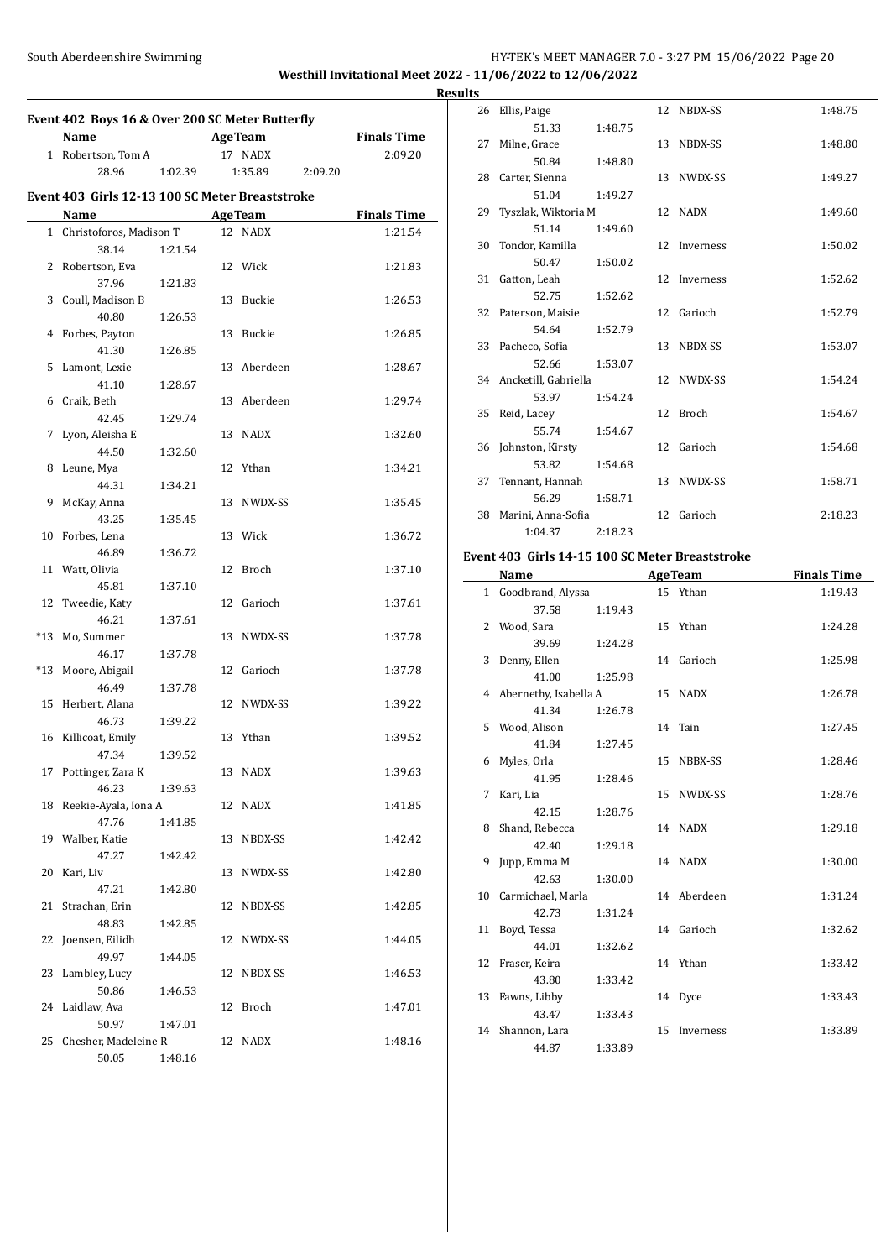### South Aberdeenshire Swimming The Swimming HY-TEK's MEET MANAGER 7.0 - 3:27 PM 15/06/2022 Page 20 **Westhill Invitational Meet 2022 - 11/06/2022 to 12/06/2022**

**Event 402 Boys 16 & Over 200 SC Meter Butterfly Name Age Team Finals Time** 1 Robertson, Tom A 17 NADX 2:09.20 28.96 1:02.39 1:35.89 2:09.20 **Event 403 Girls 12-13 100 SC Meter Breaststroke Name Age Team Finals Time** 1 Christoforos, Madison T 12 NADX 1:21.54 38.14 1:21.54 2 Robertson, Eva 12 Wick 1:21.83 37.96 1:21.83 3 Coull, Madison B 13 Buckie 1:26.53 40.80 1:26.53 4 Forbes, Payton 13 Buckie 1:26.85 41.30 1:26.85 5 Lamont, Lexie 13 Aberdeen 1:28.67 41.10 1:28.67 6 Craik, Beth 13 Aberdeen 1:29.74 42.45 1:29.74 7 Lyon, Aleisha E 13 NADX 1:32.60 44.50 1:32.60 8 Leune, Mya 12 Ythan 1:34.21 44.31 1:34.21 9 McKay, Anna 13 NWDX-SS 1:35.45 43.25 1:35.45 10 Forbes, Lena 13 Wick 1:36.72 46.89 1:36.72 11 Watt, Olivia 12 Broch 1:37.10 45.81 1:37.10 12 Tweedie, Katy 12 Garioch 1:37.61 46.21 1:37.61 \*13 Mo, Summer 13 NWDX-SS 1:37.78 46.17 1:37.78 \*13 Moore, Abigail 12 Garioch 1:37.78 46.49 1:37.78 15 Herbert, Alana 12 NWDX-SS 1:39.22 46.73 1:39.22 16 Killicoat, Emily 13 Ythan 1:39.52 47.34 1:39.52 17 Pottinger, Zara K 13 NADX 1:39.63 46.23 1:39.63 18 Reekie-Ayala, Iona A 12 NADX 1:41.85 47.76 1:41.85 19 Walber, Katie 13 NBDX-SS 1:42.42 47.27 1:42.42 20 Kari, Liv 13 NWDX-SS 1:42.80 47.21 1:42.80 21 Strachan, Erin 12 NBDX-SS 1:42.85 48.83 1:42.85 22 Joensen, Eilidh 12 NWDX-SS 1:44.05 49.97 1:44.05 23 Lambley, Lucy 12 NBDX-SS 1:46.53 50.86 1:46.53 24 Laidlaw, Ava 12 Broch 1:47.01 50.97 1:47.01 25 Chesher, Madeleine R 12 NADX 1:48.16 50.05 1:48.16

|   | <b>Results</b> |                                                        |         |              |         |
|---|----------------|--------------------------------------------------------|---------|--------------|---------|
|   |                | 26 Ellis, Paige                                        |         | 12 NBDX-SS   | 1:48.75 |
|   |                | 51.33                                                  | 1:48.75 |              |         |
| - |                | 27 Milne, Grace                                        |         | 13 NBDX-SS   | 1:48.80 |
|   |                | 50.84                                                  | 1:48.80 |              |         |
|   |                | 28 Carter, Sienna                                      |         | 13 NWDX-SS   | 1:49.27 |
|   |                | 51.04                                                  | 1:49.27 |              |         |
|   |                | 29 Tyszlak, Wiktoria M                                 |         | 12 NADX      | 1:49.60 |
|   |                | 51.14                                                  | 1:49.60 |              |         |
|   |                | 30 Tondor, Kamilla                                     |         | 12 Inverness | 1:50.02 |
|   |                | 50.47                                                  | 1:50.02 |              |         |
|   |                | 31 Gatton, Leah                                        |         | 12 Inverness | 1:52.62 |
|   |                | 52.75                                                  | 1:52.62 |              |         |
|   |                | 32 Paterson, Maisie                                    |         | 12 Garioch   | 1:52.79 |
|   |                | 54.64                                                  | 1:52.79 |              |         |
|   |                | 33 Pacheco, Sofia                                      |         | 13 NBDX-SS   | 1:53.07 |
|   |                | 52.66                                                  | 1:53.07 |              |         |
|   |                | 34 Ancketill, Gabriella                                |         | 12 NWDX-SS   | 1:54.24 |
|   |                | 53.97                                                  | 1:54.24 |              |         |
|   |                | 35 Reid, Lacey                                         |         | 12 Broch     | 1:54.67 |
|   |                | 55.74                                                  | 1:54.67 |              |         |
|   |                | 36 Johnston, Kirsty                                    |         | 12 Garioch   | 1:54.68 |
|   |                | 53.82                                                  | 1:54.68 |              |         |
|   |                | 37 Tennant, Hannah                                     |         | 13 NWDX-SS   | 1:58.71 |
|   |                | 56.29                                                  | 1:58.71 |              |         |
|   |                | 38 Marini, Anna-Sofia                                  |         | 12 Garioch   | 2:18.23 |
|   |                | 1:04.37                                                | 2:18.23 |              |         |
|   |                | <b>Event 403 Cirls 14.15 100 SC Meter Breaststroke</b> |         |              |         |

#### **Event 403 Girls 14-15 100 SC Meter Breaststroke**

| <b>Name</b>  |                                                                                                                                                                  |                         |           | <b>Finals Time</b>                                                                                                                                                            |
|--------------|------------------------------------------------------------------------------------------------------------------------------------------------------------------|-------------------------|-----------|-------------------------------------------------------------------------------------------------------------------------------------------------------------------------------|
|              |                                                                                                                                                                  |                         |           | 1:19.43                                                                                                                                                                       |
| 37.58        | 1:19.43                                                                                                                                                          |                         |           |                                                                                                                                                                               |
|              |                                                                                                                                                                  |                         |           | 1:24.28                                                                                                                                                                       |
| 39.69        | 1:24.28                                                                                                                                                          |                         |           |                                                                                                                                                                               |
| Denny, Ellen |                                                                                                                                                                  |                         |           | 1:25.98                                                                                                                                                                       |
| 41.00        | 1:25.98                                                                                                                                                          |                         |           |                                                                                                                                                                               |
|              |                                                                                                                                                                  |                         |           | 1:26.78                                                                                                                                                                       |
| 41.34        | 1:26.78                                                                                                                                                          |                         |           |                                                                                                                                                                               |
|              |                                                                                                                                                                  |                         |           | 1:27.45                                                                                                                                                                       |
| 41.84        | 1:27.45                                                                                                                                                          |                         |           |                                                                                                                                                                               |
|              |                                                                                                                                                                  |                         |           | 1:28.46                                                                                                                                                                       |
| 41.95        | 1:28.46                                                                                                                                                          |                         |           |                                                                                                                                                                               |
| Kari, Lia    |                                                                                                                                                                  | 15                      |           | 1:28.76                                                                                                                                                                       |
| 42.15        | 1:28.76                                                                                                                                                          |                         |           |                                                                                                                                                                               |
|              |                                                                                                                                                                  |                         |           | 1:29.18                                                                                                                                                                       |
| 42.40        | 1:29.18                                                                                                                                                          |                         |           |                                                                                                                                                                               |
| Jupp, Emma M |                                                                                                                                                                  |                         |           | 1:30.00                                                                                                                                                                       |
| 42.63        | 1:30.00                                                                                                                                                          |                         |           |                                                                                                                                                                               |
|              |                                                                                                                                                                  |                         |           | 1:31.24                                                                                                                                                                       |
| 42.73        | 1:31.24                                                                                                                                                          |                         |           |                                                                                                                                                                               |
| Boyd, Tessa  |                                                                                                                                                                  |                         |           | 1:32.62                                                                                                                                                                       |
| 44.01        | 1:32.62                                                                                                                                                          |                         |           |                                                                                                                                                                               |
|              |                                                                                                                                                                  |                         |           | 1:33.42                                                                                                                                                                       |
| 43.80        | 1:33.42                                                                                                                                                          |                         |           |                                                                                                                                                                               |
| Fawns, Libby |                                                                                                                                                                  |                         |           | 1:33.43                                                                                                                                                                       |
| 43.47        | 1:33.43                                                                                                                                                          |                         |           |                                                                                                                                                                               |
|              |                                                                                                                                                                  | 15                      | Inverness | 1:33.89                                                                                                                                                                       |
| 44.87        | 1:33.89                                                                                                                                                          |                         |           |                                                                                                                                                                               |
|              | 1 Goodbrand, Alyssa<br>Wood, Sara<br>5 Wood, Alison<br>Myles, Orla<br>Shand, Rebecca<br>10 Carmichael, Marla<br>11<br>12 Fraser, Keira<br>13<br>14 Shannon, Lara | 4 Abernethy, Isabella A |           | <b>AgeTeam</b><br>15 Ythan<br>15 Ythan<br>14 Garioch<br>15 NADX<br>14 Tain<br>15 NBBX-SS<br>NWDX-SS<br>14 NADX<br>14 NADX<br>14 Aberdeen<br>14 Garioch<br>14 Ythan<br>14 Dyce |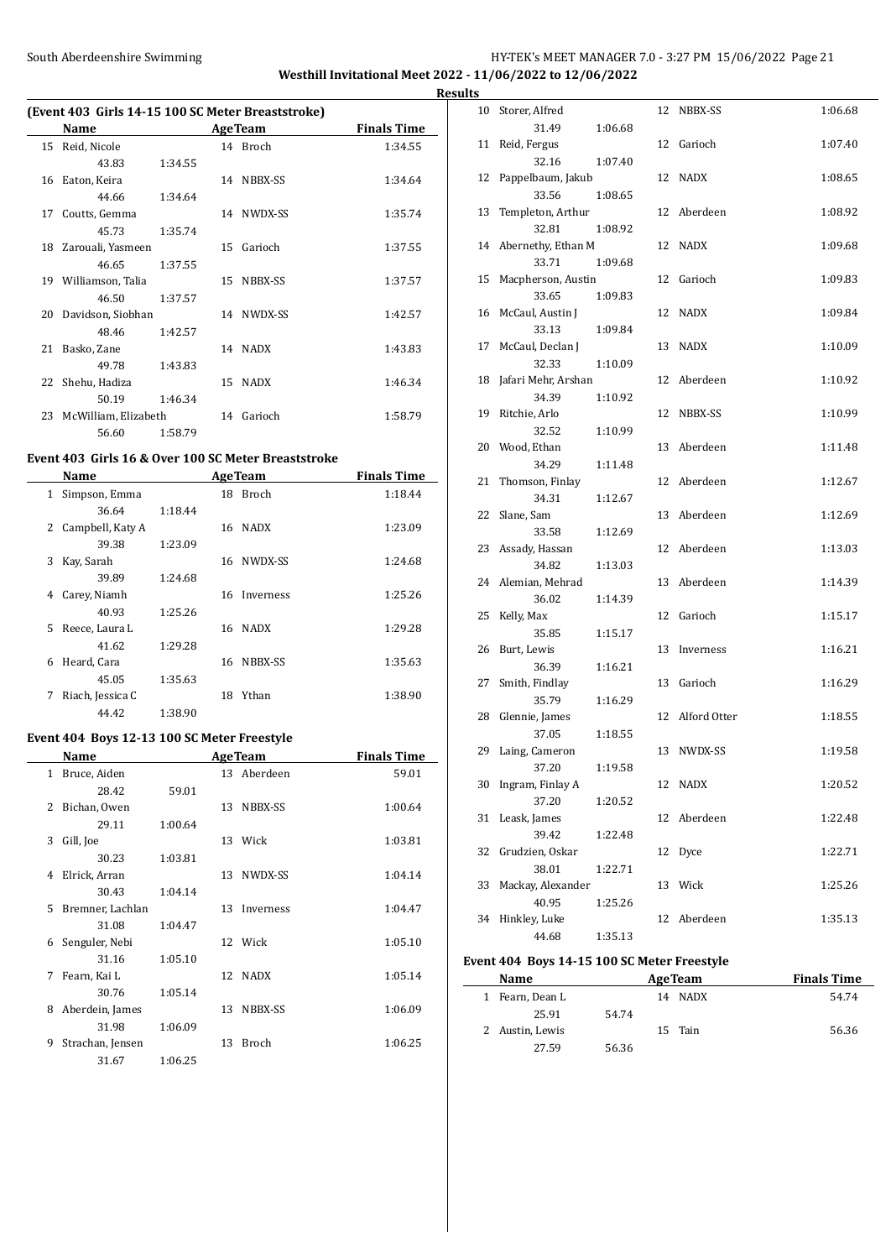### South Aberdeenshire Swimming Summing Extending HY-TEK's MEET MANAGER 7.0 - 3:27 PM 15/06/2022 Page 21 **Westhill Invitational Meet 2022 - 11/06/2022 to 12/06/2022**

**Results**

### **(Event 403 Girls 14-15 100 SC Meter Breaststroke)**

|    | Name                 |         |    | <b>AgeTeam</b> | <b>Finals Time</b> |
|----|----------------------|---------|----|----------------|--------------------|
| 15 | Reid, Nicole         |         |    | 14 Broch       | 1:34.55            |
|    | 43.83                | 1:34.55 |    |                |                    |
| 16 | Eaton, Keira         |         | 14 | NBBX-SS        | 1:34.64            |
|    | 44.66                | 1:34.64 |    |                |                    |
| 17 | Coutts, Gemma        |         |    | 14 NWDX-SS     | 1:35.74            |
|    | 45.73                | 1:35.74 |    |                |                    |
| 18 | Zarouali, Yasmeen    |         | 15 | Garioch        | 1:37.55            |
|    | 46.65                | 1:37.55 |    |                |                    |
| 19 | Williamson, Talia    |         | 15 | NBBX-SS        | 1:37.57            |
|    | 46.50                | 1:37.57 |    |                |                    |
| 20 | Davidson, Siobhan    |         |    | 14 NWDX-SS     | 1:42.57            |
|    | 48.46                | 1:42.57 |    |                |                    |
| 21 | Basko, Zane          |         |    | 14 NADX        | 1:43.83            |
|    | 49.78                | 1:43.83 |    |                |                    |
| 22 | Shehu, Hadiza        |         | 15 | <b>NADX</b>    | 1:46.34            |
|    | 50.19                | 1:46.34 |    |                |                    |
| 23 | McWilliam, Elizabeth |         |    | 14 Garioch     | 1:58.79            |
|    | 56.60                | 1:58.79 |    |                |                    |

#### **Event 403 Girls 16 & Over 100 SC Meter Breaststroke**

 $\overline{a}$ 

 $\overline{\phantom{a}}$ 

|    | Name             |         |    | <b>AgeTeam</b> | <b>Finals Time</b> |
|----|------------------|---------|----|----------------|--------------------|
| 1  | Simpson, Emma    |         | 18 | <b>Broch</b>   | 1:18.44            |
|    | 36.64            | 1:18.44 |    |                |                    |
| 2  | Campbell, Katy A |         | 16 | <b>NADX</b>    | 1:23.09            |
|    | 39.38            | 1:23.09 |    |                |                    |
| 3  | Kay, Sarah       |         | 16 | NWDX-SS        | 1:24.68            |
|    | 39.89            | 1:24.68 |    |                |                    |
| 4  | Carey, Niamh     |         | 16 | Inverness      | 1:25.26            |
|    | 40.93            | 1:25.26 |    |                |                    |
| 5. | Reece, Laura L   |         | 16 | <b>NADX</b>    | 1:29.28            |
|    | 41.62            | 1:29.28 |    |                |                    |
| 6  | Heard, Cara      |         | 16 | NBBX-SS        | 1:35.63            |
|    | 45.05            | 1:35.63 |    |                |                    |
| 7  | Riach, Jessica C |         | 18 | Ythan          | 1:38.90            |
|    | 44.42            | 1:38.90 |    |                |                    |

#### **Event 404 Boys 12-13 100 SC Meter Freestyle**

|    | Name             | <b>AgeTeam</b> |    |              | <b>Finals Time</b> |
|----|------------------|----------------|----|--------------|--------------------|
| 1  | Bruce, Aiden     |                |    | 13 Aberdeen  | 59.01              |
|    | 28.42            | 59.01          |    |              |                    |
| 2  | Bichan, Owen     |                | 13 | NBBX-SS      | 1:00.64            |
|    | 29.11            | 1:00.64        |    |              |                    |
| 3  | Gill, Joe        |                |    | 13 Wick      | 1:03.81            |
|    | 30.23            | 1:03.81        |    |              |                    |
| 4  | Elrick, Arran    |                | 13 | NWDX-SS      | 1:04.14            |
|    | 30.43            | 1:04.14        |    |              |                    |
| 5. | Bremner, Lachlan |                | 13 | Inverness    | 1:04.47            |
|    | 31.08            | 1:04.47        |    |              |                    |
| 6  | Senguler, Nebi   |                |    | 12 Wick      | 1:05.10            |
|    | 31.16            | 1:05.10        |    |              |                    |
| 7  | Fearn, Kai L     |                | 12 | NADX         | 1:05.14            |
|    | 30.76            | 1:05.14        |    |              |                    |
| 8  | Aberdein, James  |                | 13 | NBBX-SS      | 1:06.09            |
|    | 31.98            | 1:06.09        |    |              |                    |
| 9  | Strachan, Jensen |                | 13 | <b>Broch</b> | 1:06.25            |
|    | 31.67            | 1:06.25        |    |              |                    |

| 10 | Storer, Alfred      |         | 12 | NBBX-SS      | 1:06.68 |
|----|---------------------|---------|----|--------------|---------|
|    | 31.49               | 1:06.68 |    |              |         |
| 11 | Reid, Fergus        |         | 12 | Garioch      | 1:07.40 |
|    | 32.16               | 1:07.40 |    |              |         |
| 12 | Pappelbaum, Jakub   |         | 12 | NADX         | 1:08.65 |
|    | 33.56               | 1:08.65 |    |              |         |
| 13 | Templeton, Arthur   |         | 12 | Aberdeen     | 1:08.92 |
|    | 32.81               | 1:08.92 |    |              |         |
| 14 | Abernethy, Ethan M  |         | 12 | <b>NADX</b>  | 1:09.68 |
|    | 33.71               | 1:09.68 |    |              |         |
| 15 | Macpherson, Austin  |         | 12 | Garioch      | 1:09.83 |
|    | 33.65               | 1:09.83 |    |              |         |
| 16 | McCaul, Austin J    |         | 12 | <b>NADX</b>  | 1:09.84 |
|    | 33.13               | 1:09.84 |    |              |         |
| 17 | McCaul, Declan J    |         | 13 | <b>NADX</b>  | 1:10.09 |
|    | 32.33               | 1:10.09 |    |              |         |
| 18 | Jafari Mehr, Arshan |         | 12 | Aberdeen     | 1:10.92 |
|    | 34.39               | 1:10.92 |    |              |         |
| 19 | Ritchie, Arlo       |         | 12 | NBBX-SS      | 1:10.99 |
|    | 32.52               | 1:10.99 |    |              |         |
| 20 | Wood, Ethan         |         | 13 | Aberdeen     | 1:11.48 |
|    | 34.29               | 1:11.48 |    |              |         |
| 21 | Thomson, Finlay     |         | 12 | Aberdeen     | 1:12.67 |
|    | 34.31               | 1:12.67 |    |              |         |
| 22 | Slane, Sam          |         | 13 | Aberdeen     | 1:12.69 |
|    | 33.58               | 1:12.69 |    |              |         |
| 23 | Assady, Hassan      |         | 12 | Aberdeen     | 1:13.03 |
|    | 34.82               | 1:13.03 |    |              |         |
| 24 | Alemian, Mehrad     |         | 13 | Aberdeen     | 1:14.39 |
|    | 36.02               | 1:14.39 |    |              |         |
| 25 | Kelly, Max          |         | 12 | Garioch      | 1:15.17 |
|    | 35.85               | 1:15.17 |    |              |         |
| 26 | Burt, Lewis         |         | 13 | Inverness    | 1:16.21 |
|    | 36.39               | 1:16.21 |    |              |         |
| 27 | Smith, Findlay      |         | 13 | Garioch      | 1:16.29 |
|    | 35.79               | 1:16.29 |    |              |         |
| 28 | Glennie, James      |         | 12 | Alford Otter | 1:18.55 |
|    | 37.05               | 1:18.55 |    |              |         |
| 29 | Laing, Cameron      |         |    | 13 NWDX-SS   | 1:19.58 |
|    | 37.20               | 1:19.58 |    |              |         |
| 30 | Ingram, Finlay A    |         | 12 | <b>NADX</b>  | 1:20.52 |
|    | 37.20               | 1:20.52 |    |              |         |
| 31 | Leask, James        |         | 12 | Aberdeen     | 1:22.48 |
|    | 39.42               | 1:22.48 |    |              |         |
| 32 | Grudzien, Oskar     |         | 12 | Dyce         | 1:22.71 |
|    | 38.01               | 1:22.71 |    |              |         |
| 33 | Mackay, Alexander   |         | 13 | Wick         | 1:25.26 |
|    | 40.95               | 1:25.26 |    |              |         |
| 34 | Hinkley, Luke       |         | 12 | Aberdeen     | 1:35.13 |
|    | 44.68               | 1:35.13 |    |              |         |

### **Event 404 Boys 14-15 100 SC Meter Freestyle**

| <b>Name</b>     |       |    | <b>AgeTeam</b> | <b>Finals Time</b> |
|-----------------|-------|----|----------------|--------------------|
| 1 Fearn, Dean L |       | 14 | NADX           | 54.74              |
| 25.91           | 54.74 |    |                |                    |
| 2 Austin, Lewis |       |    | 15 Tain        | 56.36              |
| 27.59           | 56.36 |    |                |                    |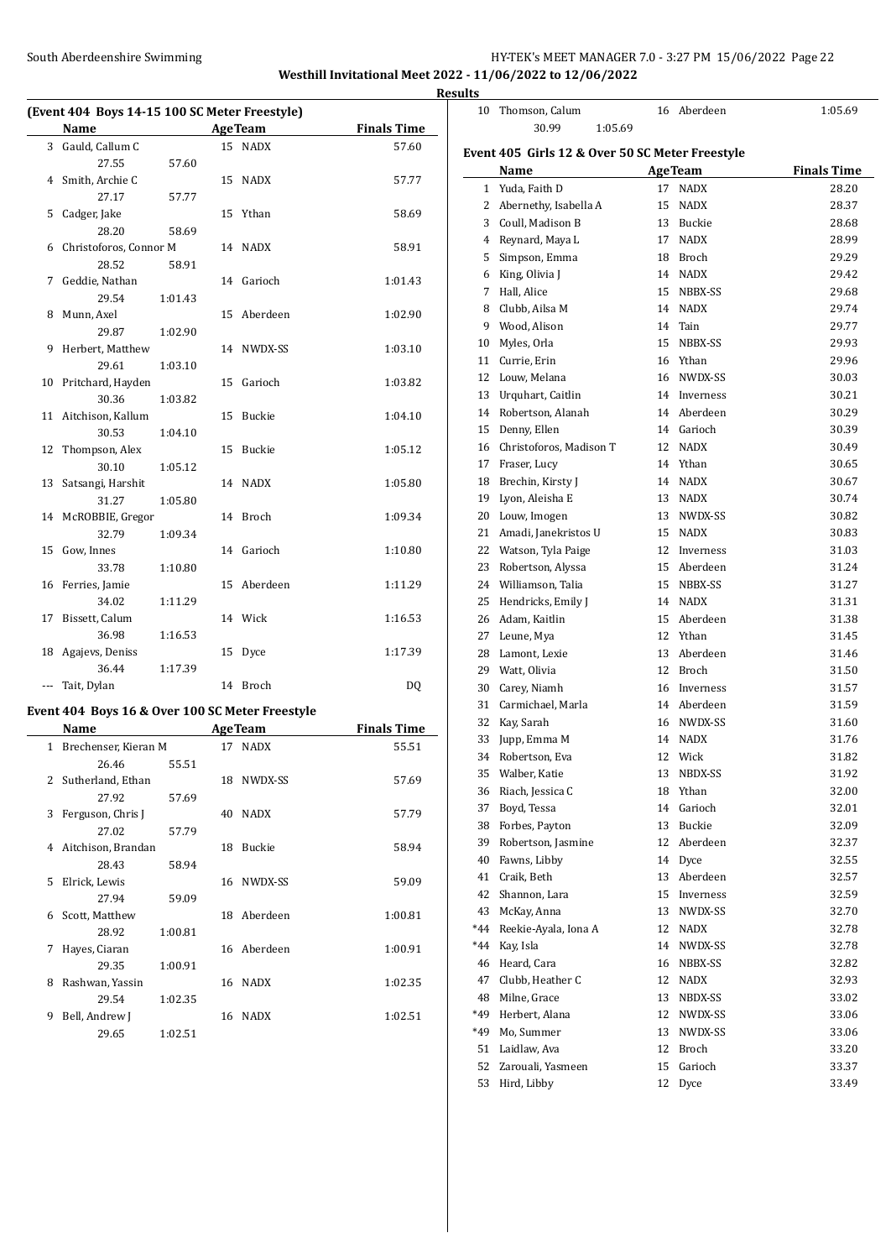# South Aberdeenshire Swimming **Example 20 South Aberdeenshire Swimming** HY-TEK's MEET MANAGER 7.0 - 3:27 PM 15/06/2022 Page 22

**Westhill Invitational Meet 2022 - 11/06/2022 to 12/06/2022 Results**

| (Event 404 Boys 14-15 100 SC Meter Freestyle) |                            |         |    |                |                    |  |
|-----------------------------------------------|----------------------------|---------|----|----------------|--------------------|--|
|                                               | Name                       |         |    | <b>AgeTeam</b> | <b>Finals Time</b> |  |
|                                               | 3 Gauld, Callum C          |         |    | 15 NADX        | 57.60              |  |
|                                               | 27.55                      | 57.60   |    |                |                    |  |
|                                               | 4 Smith, Archie C          |         |    | 15 NADX        | 57.77              |  |
|                                               | 27.17                      | 57.77   |    |                |                    |  |
| 5                                             | Cadger, Jake               |         |    | 15 Ythan       | 58.69              |  |
|                                               | 28.20                      | 58.69   |    |                |                    |  |
| 6                                             | Christoforos, Connor M     |         |    | 14 NADX        | 58.91              |  |
|                                               | 28.52                      | 58.91   |    |                |                    |  |
| 7                                             | Geddie, Nathan             |         |    | 14 Garioch     | 1:01.43            |  |
|                                               | 29.54                      | 1:01.43 |    |                |                    |  |
| 8                                             | Munn, Axel                 |         | 15 | Aberdeen       | 1:02.90            |  |
|                                               | 29.87                      | 1:02.90 |    |                |                    |  |
| 9                                             | Herbert, Matthew           |         |    | 14 NWDX-SS     | 1:03.10            |  |
|                                               | 29.61                      | 1:03.10 |    |                |                    |  |
|                                               | 10 Pritchard, Hayden       |         | 15 | Garioch        | 1:03.82            |  |
|                                               | 30.36                      | 1:03.82 |    | 15 Buckie      |                    |  |
| 11                                            | Aitchison, Kallum<br>30.53 |         |    |                | 1:04.10            |  |
| 12                                            | Thompson, Alex             | 1:04.10 |    | 15 Buckie      | 1:05.12            |  |
|                                               | 30.10                      | 1:05.12 |    |                |                    |  |
| 13                                            | Satsangi, Harshit          |         |    | 14 NADX        | 1:05.80            |  |
|                                               | 31.27                      | 1:05.80 |    |                |                    |  |
|                                               | 14 McROBBIE, Gregor        |         |    | 14 Broch       | 1:09.34            |  |
|                                               | 32.79                      | 1:09.34 |    |                |                    |  |
| 15                                            | Gow, Innes                 |         |    | 14 Garioch     | 1:10.80            |  |
|                                               | 33.78                      | 1:10.80 |    |                |                    |  |
| 16                                            | Ferries, Jamie             |         |    | 15 Aberdeen    | 1:11.29            |  |
|                                               | 34.02                      | 1:11.29 |    |                |                    |  |
| 17                                            | Bissett, Calum             |         |    | 14 Wick        | 1:16.53            |  |
|                                               | 36.98                      | 1:16.53 |    |                |                    |  |
| 18                                            | Agajevs, Deniss            |         | 15 | Dyce           | 1:17.39            |  |
|                                               | 36.44                      | 1:17.39 |    |                |                    |  |
| ---                                           | Tait, Dylan                |         |    | 14 Broch       | DQ                 |  |
|                                               |                            |         |    |                |                    |  |

### **Event 404 Boys 16 & Over 100 SC Meter Freestyle**

|                | Name                 |         |    | <b>AgeTeam</b> | <b>Finals Time</b> |  |
|----------------|----------------------|---------|----|----------------|--------------------|--|
| $\mathbf{1}$   | Brechenser, Kieran M |         |    | 17 NADX        | 55.51              |  |
|                | 26.46                | 55.51   |    |                |                    |  |
| $\overline{2}$ | Sutherland, Ethan    |         | 18 | NWDX-SS        | 57.69              |  |
|                | 27.92                | 57.69   |    |                |                    |  |
| 3              | Ferguson, Chris J    |         | 40 | <b>NADX</b>    | 57.79              |  |
|                | 27.02                | 57.79   |    |                |                    |  |
| 4              | Aitchison, Brandan   |         | 18 | <b>Buckie</b>  | 58.94              |  |
|                | 28.43                | 58.94   |    |                |                    |  |
| 5              | Elrick, Lewis        |         | 16 | NWDX-SS        | 59.09              |  |
|                | 27.94                | 59.09   |    |                |                    |  |
| 6              | Scott, Matthew       |         | 18 | Aberdeen       | 1:00.81            |  |
|                | 28.92                | 1:00.81 |    |                |                    |  |
| 7              | Hayes, Ciaran        |         | 16 | Aberdeen       | 1:00.91            |  |
|                | 29.35                | 1:00.91 |    |                |                    |  |
| 8              | Rashwan, Yassin      |         | 16 | <b>NADX</b>    | 1:02.35            |  |
|                | 29.54                | 1:02.35 |    |                |                    |  |
| 9              | Bell, Andrew J       |         | 16 | <b>NADX</b>    | 1:02.51            |  |
|                | 29.65                | 1:02.51 |    |                |                    |  |

| 10             | Thomson, Calum                                  |    | 16 Aberdeen    | 1:05.69            |  |  |  |  |  |
|----------------|-------------------------------------------------|----|----------------|--------------------|--|--|--|--|--|
|                | 30.99<br>1:05.69                                |    |                |                    |  |  |  |  |  |
|                |                                                 |    |                |                    |  |  |  |  |  |
|                | Event 405 Girls 12 & Over 50 SC Meter Freestyle |    |                |                    |  |  |  |  |  |
|                | Name                                            |    | <b>AgeTeam</b> | <b>Finals Time</b> |  |  |  |  |  |
| $\mathbf{1}$   | Yuda, Faith D                                   | 17 | <b>NADX</b>    | 28.20              |  |  |  |  |  |
| 2              | Abernethy, Isabella A                           | 15 | <b>NADX</b>    | 28.37              |  |  |  |  |  |
|                | 3 Coull, Madison B                              | 13 | Buckie         | 28.68              |  |  |  |  |  |
| $\overline{4}$ | Reynard, Maya L                                 | 17 | <b>NADX</b>    | 28.99              |  |  |  |  |  |
| 5              | Simpson, Emma                                   |    | 18 Broch       | 29.29              |  |  |  |  |  |
|                | 6 King, Olivia J                                |    | 14 NADX        | 29.42              |  |  |  |  |  |
| 7              | Hall, Alice                                     |    | 15 NBBX-SS     | 29.68              |  |  |  |  |  |
| 8              | Clubb, Ailsa M                                  |    | 14 NADX        | 29.74              |  |  |  |  |  |
| 9              | Wood, Alison                                    | 14 | Tain           | 29.77              |  |  |  |  |  |
| 10             | Myles, Orla                                     | 15 | NBBX-SS        | 29.93              |  |  |  |  |  |
| 11             | Currie, Erin                                    |    | 16 Ythan       | 29.96              |  |  |  |  |  |
| 12             | Louw, Melana                                    | 16 | NWDX-SS        | 30.03              |  |  |  |  |  |
| 13             | Urquhart, Caitlin                               | 14 | Inverness      | 30.21              |  |  |  |  |  |
| 14             | Robertson, Alanah                               | 14 | Aberdeen       | 30.29              |  |  |  |  |  |
| 15             | Denny, Ellen                                    | 14 | Garioch        | 30.39              |  |  |  |  |  |
| 16             | Christoforos, Madison T                         | 12 | <b>NADX</b>    | 30.49              |  |  |  |  |  |
| 17             | Fraser, Lucy                                    |    | 14 Ythan       | 30.65              |  |  |  |  |  |
| 18             | Brechin, Kirsty J                               |    | 14 NADX        | 30.67              |  |  |  |  |  |
| 19             | Lyon, Aleisha E                                 |    | 13 NADX        | 30.74              |  |  |  |  |  |
| 20             | Louw, Imogen                                    |    | 13 NWDX-SS     | 30.82              |  |  |  |  |  |
|                |                                                 |    |                |                    |  |  |  |  |  |
| 21             | Amadi, Janekristos U                            |    | 15 NADX        | 30.83              |  |  |  |  |  |
| 22             | Watson, Tyla Paige                              |    | 12 Inverness   | 31.03              |  |  |  |  |  |
| 23             | Robertson, Alyssa                               |    | 15 Aberdeen    | 31.24              |  |  |  |  |  |
| 24             | Williamson, Talia                               | 15 | NBBX-SS        | 31.27              |  |  |  |  |  |
| 25             | Hendricks, Emily J                              | 14 | <b>NADX</b>    | 31.31              |  |  |  |  |  |
| 26             | Adam, Kaitlin                                   | 15 | Aberdeen       | 31.38              |  |  |  |  |  |
| 27             | Leune, Mya                                      |    | 12 Ythan       | 31.45              |  |  |  |  |  |
| 28             | Lamont, Lexie                                   |    | 13 Aberdeen    | 31.46              |  |  |  |  |  |
| 29             | Watt, Olivia                                    | 12 | Broch          | 31.50              |  |  |  |  |  |
| 30             | Carey, Niamh                                    |    | 16 Inverness   | 31.57              |  |  |  |  |  |
| 31             | Carmichael, Marla                               |    | 14 Aberdeen    | 31.59              |  |  |  |  |  |
| 32             | Kay, Sarah                                      |    | 16 NWDX-SS     | 31.60              |  |  |  |  |  |
| 33             | Jupp, Emma M                                    |    | 14 NADX        | 31.76              |  |  |  |  |  |
| 34             | Robertson, Eva                                  |    | 12 Wick        | 31.82              |  |  |  |  |  |
|                | 35 Walber, Katie                                |    | 13 NBDX-SS     | 31.92              |  |  |  |  |  |
| 36             | Riach, Jessica C                                |    | 18 Ythan       | 32.00              |  |  |  |  |  |
| 37             | Boyd, Tessa                                     | 14 | Garioch        | 32.01              |  |  |  |  |  |
| 38             | Forbes, Payton                                  | 13 | Buckie         | 32.09              |  |  |  |  |  |
| 39             | Robertson, Jasmine                              | 12 | Aberdeen       | 32.37              |  |  |  |  |  |
| 40             | Fawns, Libby                                    | 14 | Dyce           | 32.55              |  |  |  |  |  |
| 41             | Craik, Beth                                     | 13 | Aberdeen       | 32.57              |  |  |  |  |  |
| 42             | Shannon, Lara                                   | 15 | Inverness      | 32.59              |  |  |  |  |  |
| 43             | McKay, Anna                                     | 13 | NWDX-SS        | 32.70              |  |  |  |  |  |
| *44            | Reekie-Ayala, Iona A                            | 12 | <b>NADX</b>    | 32.78              |  |  |  |  |  |
|                | Kay, Isla                                       |    |                |                    |  |  |  |  |  |
| *44            |                                                 | 14 | NWDX-SS        | 32.78              |  |  |  |  |  |
| 46             | Heard, Cara                                     | 16 | NBBX-SS        | 32.82              |  |  |  |  |  |
| 47             | Clubb, Heather C                                | 12 | <b>NADX</b>    | 32.93              |  |  |  |  |  |
| 48             | Milne, Grace                                    | 13 | NBDX-SS        | 33.02              |  |  |  |  |  |
| *49            | Herbert, Alana                                  | 12 | NWDX-SS        | 33.06              |  |  |  |  |  |
| *49            | Mo, Summer                                      | 13 | NWDX-SS        | 33.06              |  |  |  |  |  |
| 51             | Laidlaw, Ava                                    | 12 | <b>Broch</b>   | 33.20              |  |  |  |  |  |
| 52             | Zarouali, Yasmeen                               | 15 | Garioch        | 33.37              |  |  |  |  |  |
| 53             | Hird, Libby                                     | 12 | Dyce           | 33.49              |  |  |  |  |  |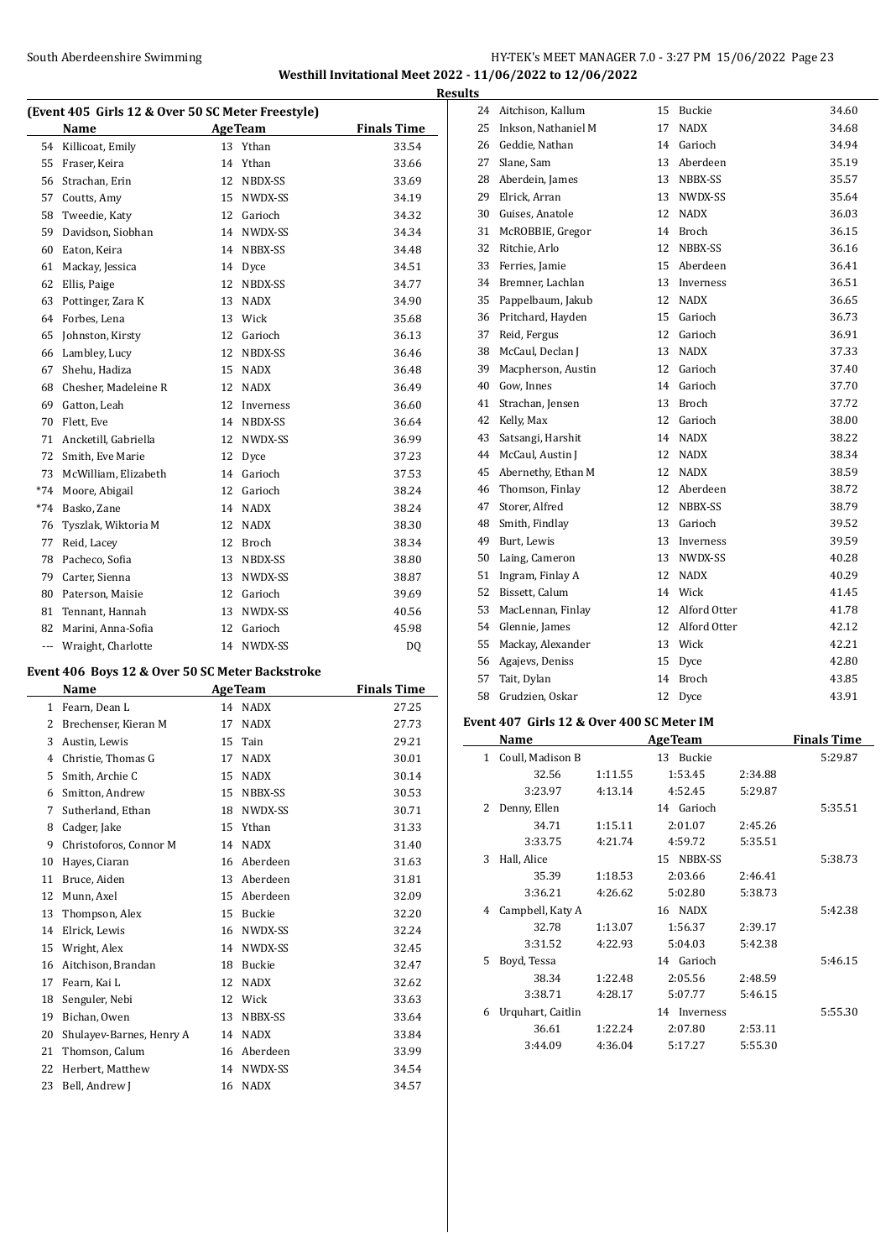### South Aberdeenshire Swimming **Example 23** HY-TEK's MEET MANAGER 7.0 - 3:27 PM 15/06/2022 Page 23 **Westhill Invitational Meet 2022 - 11/06/2022 to 12/06/2022**

**Results**

|       | (Event 405 Girls 12 & Over 50 SC Meter Freestyle)<br>Name<br><b>AgeTeam</b><br><b>Finals Time</b><br>Ythan<br>33.54<br>Killicoat, Emily<br>13<br>Fraser, Keira<br>Ythan<br>33.66<br>14<br>Strachan, Erin<br>NBDX-SS<br>12<br>33.69<br>Coutts, Amy<br>15<br>NWDX-SS<br>34.19<br>Garioch<br>Tweedie, Katy<br>12<br>34.32<br>Davidson, Siobhan<br>NWDX-SS<br>34.34<br>14 |    |             |           |  |
|-------|-----------------------------------------------------------------------------------------------------------------------------------------------------------------------------------------------------------------------------------------------------------------------------------------------------------------------------------------------------------------------|----|-------------|-----------|--|
|       |                                                                                                                                                                                                                                                                                                                                                                       |    |             |           |  |
| 54    |                                                                                                                                                                                                                                                                                                                                                                       |    |             |           |  |
| 55    |                                                                                                                                                                                                                                                                                                                                                                       |    |             |           |  |
| 56    |                                                                                                                                                                                                                                                                                                                                                                       |    |             |           |  |
| 57    |                                                                                                                                                                                                                                                                                                                                                                       |    |             |           |  |
| 58    |                                                                                                                                                                                                                                                                                                                                                                       |    |             |           |  |
| 59    |                                                                                                                                                                                                                                                                                                                                                                       |    |             |           |  |
| 60    | Eaton, Keira                                                                                                                                                                                                                                                                                                                                                          | 14 | NBBX-SS     | 34.48     |  |
| 61    | Mackay, Jessica                                                                                                                                                                                                                                                                                                                                                       | 14 | Dyce        | 34.51     |  |
| 62    | Ellis, Paige                                                                                                                                                                                                                                                                                                                                                          | 12 | NBDX-SS     | 34.77     |  |
| 63    | Pottinger, Zara K                                                                                                                                                                                                                                                                                                                                                     | 13 | <b>NADX</b> | 34.90     |  |
| 64    | Forbes, Lena                                                                                                                                                                                                                                                                                                                                                          | 13 | Wick        | 35.68     |  |
| 65    | Johnston, Kirsty                                                                                                                                                                                                                                                                                                                                                      | 12 | Garioch     | 36.13     |  |
| 66    | Lambley, Lucy                                                                                                                                                                                                                                                                                                                                                         | 12 | NBDX-SS     | 36.46     |  |
| 67    | Shehu, Hadiza                                                                                                                                                                                                                                                                                                                                                         | 15 | <b>NADX</b> | 36.48     |  |
| 68    | Chesher, Madeleine R                                                                                                                                                                                                                                                                                                                                                  | 12 | <b>NADX</b> | 36.49     |  |
| 69    | Gatton, Leah                                                                                                                                                                                                                                                                                                                                                          | 12 | Inverness   | 36.60     |  |
| 70    | Flett, Eve                                                                                                                                                                                                                                                                                                                                                            | 14 | NBDX-SS     | 36.64     |  |
| 71    | Ancketill, Gabriella                                                                                                                                                                                                                                                                                                                                                  | 12 | NWDX-SS     | 36.99     |  |
| 72    | Smith, Eve Marie                                                                                                                                                                                                                                                                                                                                                      | 12 | Dyce        | 37.23     |  |
| 73    | McWilliam, Elizabeth                                                                                                                                                                                                                                                                                                                                                  | 14 | Garioch     | 37.53     |  |
| $*74$ | Moore, Abigail                                                                                                                                                                                                                                                                                                                                                        | 12 | Garioch     | 38.24     |  |
| $*74$ | Basko, Zane                                                                                                                                                                                                                                                                                                                                                           | 14 | <b>NADX</b> | 38.24     |  |
| 76    | Tyszlak, Wiktoria M                                                                                                                                                                                                                                                                                                                                                   | 12 | <b>NADX</b> | 38.30     |  |
| 77    | Reid, Lacey                                                                                                                                                                                                                                                                                                                                                           | 12 | Broch       | 38.34     |  |
| 78    | Pacheco, Sofia                                                                                                                                                                                                                                                                                                                                                        | 13 | NBDX-SS     | 38.80     |  |
| 79    | Carter, Sienna                                                                                                                                                                                                                                                                                                                                                        | 13 | NWDX-SS     | 38.87     |  |
| 80    | Paterson, Maisie                                                                                                                                                                                                                                                                                                                                                      | 12 | Garioch     | 39.69     |  |
| 81    | Tennant, Hannah                                                                                                                                                                                                                                                                                                                                                       | 13 | NWDX-SS     | 40.56     |  |
| 82    | Marini, Anna-Sofia                                                                                                                                                                                                                                                                                                                                                    | 12 | Garioch     | 45.98     |  |
| ---   | Wraight, Charlotte                                                                                                                                                                                                                                                                                                                                                    | 14 | NWDX-SS     | <b>DQ</b> |  |

# **Event 406 Boys 12 & Over 50 SC Meter Backstroke**

 $\overline{\phantom{a}}$ 

|    | Name                     |    | <b>AgeTeam</b> | <b>Finals Time</b> |
|----|--------------------------|----|----------------|--------------------|
| 1  | Fearn, Dean L            | 14 | <b>NADX</b>    | 27.25              |
| 2  | Brechenser, Kieran M     | 17 | <b>NADX</b>    | 27.73              |
| 3  | Austin, Lewis            | 15 | Tain           | 29.21              |
| 4  | Christie, Thomas G       | 17 | <b>NADX</b>    | 30.01              |
| 5  | Smith, Archie C          | 15 | <b>NADX</b>    | 30.14              |
| 6  | Smitton, Andrew          | 15 | NBBX-SS        | 30.53              |
| 7  | Sutherland, Ethan        | 18 | NWDX-SS        | 30.71              |
| 8  | Cadger, Jake             | 15 | Ythan          | 31.33              |
| 9  | Christoforos, Connor M   | 14 | <b>NADX</b>    | 31.40              |
| 10 | Hayes, Ciaran            | 16 | Aberdeen       | 31.63              |
| 11 | Bruce, Aiden             | 13 | Aberdeen       | 31.81              |
| 12 | Munn, Axel               | 15 | Aberdeen       | 32.09              |
| 13 | Thompson, Alex           | 15 | Buckie         | 32.20              |
| 14 | Elrick, Lewis            | 16 | NWDX-SS        | 32.24              |
| 15 | Wright, Alex             | 14 | NWDX-SS        | 32.45              |
| 16 | Aitchison, Brandan       | 18 | Buckie         | 32.47              |
| 17 | Fearn, Kai L             | 12 | <b>NADX</b>    | 32.62              |
| 18 | Senguler, Nebi           | 12 | Wick           | 33.63              |
| 19 | Bichan, Owen             | 13 | NBBX-SS        | 33.64              |
| 20 | Shulayev-Barnes, Henry A | 14 | <b>NADX</b>    | 33.84              |
| 21 | Thomson, Calum           | 16 | Aberdeen       | 33.99              |
| 22 | Herbert, Matthew         | 14 | NWDX-SS        | 34.54              |
| 23 | Bell. Andrew I           | 16 | <b>NADX</b>    | 34.57              |

| 24 | Aitchison, Kallum   | 15 | Buckie       | 34.60 |
|----|---------------------|----|--------------|-------|
| 25 | Inkson, Nathaniel M | 17 | <b>NADX</b>  | 34.68 |
| 26 | Geddie, Nathan      | 14 | Garioch      | 34.94 |
| 27 | Slane, Sam          | 13 | Aberdeen     | 35.19 |
| 28 | Aberdein, James     | 13 | NBBX-SS      | 35.57 |
| 29 | Elrick. Arran       | 13 | NWDX-SS      | 35.64 |
| 30 | Guises, Anatole     | 12 | <b>NADX</b>  | 36.03 |
| 31 | McROBBIE, Gregor    | 14 | Broch        | 36.15 |
| 32 | Ritchie, Arlo       | 12 | NBBX-SS      | 36.16 |
| 33 | Ferries, Jamie      | 15 | Aberdeen     | 36.41 |
| 34 | Bremner, Lachlan    | 13 | Inverness    | 36.51 |
| 35 | Pappelbaum, Jakub   | 12 | <b>NADX</b>  | 36.65 |
| 36 | Pritchard, Hayden   | 15 | Garioch      | 36.73 |
| 37 | Reid, Fergus        | 12 | Garioch      | 36.91 |
| 38 | McCaul, Declan J    | 13 | <b>NADX</b>  | 37.33 |
| 39 | Macpherson, Austin  | 12 | Garioch      | 37.40 |
| 40 | Gow, Innes          | 14 | Garioch      | 37.70 |
| 41 | Strachan, Jensen    | 13 | <b>Broch</b> | 37.72 |
| 42 | Kelly, Max          | 12 | Garioch      | 38.00 |
| 43 | Satsangi, Harshit   | 14 | <b>NADX</b>  | 38.22 |
| 44 | McCaul, Austin J    | 12 | <b>NADX</b>  | 38.34 |
| 45 | Abernethy, Ethan M  | 12 | <b>NADX</b>  | 38.59 |
| 46 | Thomson, Finlay     | 12 | Aberdeen     | 38.72 |
| 47 | Storer, Alfred      | 12 | NBBX-SS      | 38.79 |
| 48 | Smith, Findlay      | 13 | Garioch      | 39.52 |
| 49 | Burt, Lewis         | 13 | Inverness    | 39.59 |
| 50 | Laing, Cameron      | 13 | NWDX-SS      | 40.28 |
| 51 | Ingram, Finlay A    | 12 | <b>NADX</b>  | 40.29 |
| 52 | Bissett, Calum      | 14 | Wick         | 41.45 |
| 53 | MacLennan, Finlay   | 12 | Alford Otter | 41.78 |
| 54 | Glennie, James      | 12 | Alford Otter | 42.12 |
| 55 | Mackay, Alexander   | 13 | Wick         | 42.21 |
| 56 | Agajevs, Deniss     | 15 | Dyce         | 42.80 |
| 57 | Tait, Dylan         | 14 | <b>Broch</b> | 43.85 |
| 58 | Grudzien, Oskar     | 12 | Dyce         | 43.91 |
|    |                     |    |              |       |

### **Event 407 Girls 12 & Over 400 SC Meter IM**

|   | Name              |         | <b>AgeTeam</b>  |         | <b>Finals Time</b> |
|---|-------------------|---------|-----------------|---------|--------------------|
| 1 | Coull, Madison B  |         | 13<br>Buckie    |         | 5:29.87            |
|   | 32.56             | 1:11.55 | 1:53.45         | 2:34.88 |                    |
|   | 3:23.97           | 4:13.14 | 4:52.45         | 5:29.87 |                    |
| 2 | Denny, Ellen      |         | 14 Garioch      |         | 5:35.51            |
|   | 34.71             | 1:15.11 | 2:01.07         | 2:45.26 |                    |
|   | 3:33.75           | 4:21.74 | 4:59.72         | 5:35.51 |                    |
| 3 | Hall, Alice       |         | NBBX-SS<br>15   |         | 5:38.73            |
|   | 35.39             | 1:18.53 | 2:03.66         | 2:46.41 |                    |
|   | 3:36.21           | 4:26.62 | 5:02.80         | 5:38.73 |                    |
| 4 | Campbell, Katy A  |         | NADX<br>16      |         | 5:42.38            |
|   | 32.78             | 1:13.07 | 1:56.37         | 2:39.17 |                    |
|   | 3:31.52           | 4:22.93 | 5:04.03         | 5:42.38 |                    |
| 5 | Boyd, Tessa       |         | 14 Garioch      |         | 5:46.15            |
|   | 38.34             | 1:22.48 | 2:05.56         | 2:48.59 |                    |
|   | 3:38.71           | 4:28.17 | 5:07.77         | 5:46.15 |                    |
| 6 | Urquhart, Caitlin |         | 14<br>Inverness |         | 5:55.30            |
|   | 36.61             | 1:22.24 | 2:07.80         | 2:53.11 |                    |
|   | 3:44.09           | 4:36.04 | 5:17.27         | 5:55.30 |                    |